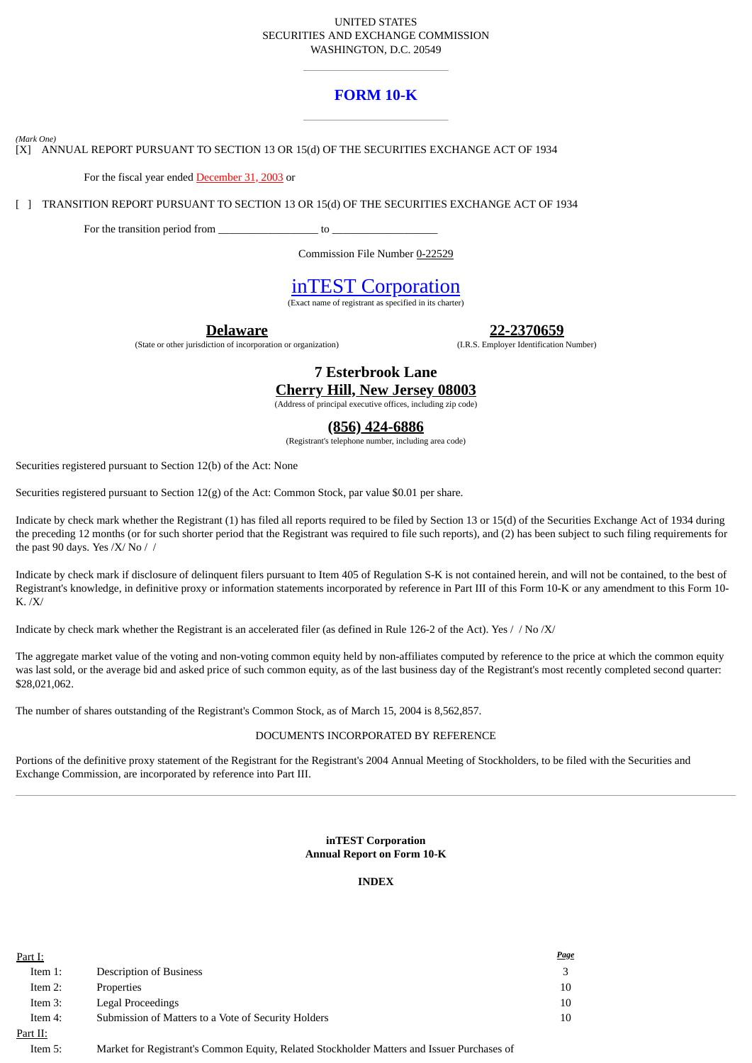#### UNITED STATES SECURITIES AND EXCHANGE COMMISSION WASHINGTON, D.C. 20549

# **FORM 10-K**

*(Mark One)*

[X] ANNUAL REPORT PURSUANT TO SECTION 13 OR 15(d) OF THE SECURITIES EXCHANGE ACT OF 1934

For the fiscal year ended December 31, 2003 or

[ ] TRANSITION REPORT PURSUANT TO SECTION 13 OR 15(d) OF THE SECURITIES EXCHANGE ACT OF 1934

For the transition period from  $\qquad \qquad$  to  $\qquad \qquad$ 

Commission File Number 0-22529

# inTEST Corporation

(Exact name of registrant as specified in its charter)

**Delaware**

(State or other jurisdiction of incorporation or organization)

**22-2370659**

(I.R.S. Employer Identification Number)

**7 Esterbrook Lane Cherry Hill, New Jersey 08003**

(Address of principal executive offices, including zip code)

# **(856) 424-6886**

(Registrant's telephone number, including area code)

Securities registered pursuant to Section 12(b) of the Act: None

Securities registered pursuant to Section 12(g) of the Act: Common Stock, par value \$0.01 per share.

Indicate by check mark whether the Registrant (1) has filed all reports required to be filed by Section 13 or 15(d) of the Securities Exchange Act of 1934 during the preceding 12 months (or for such shorter period that the Registrant was required to file such reports), and (2) has been subject to such filing requirements for the past 90 days. Yes /X/ No //

Indicate by check mark if disclosure of delinquent filers pursuant to Item 405 of Regulation S-K is not contained herein, and will not be contained, to the best of Registrant's knowledge, in definitive proxy or information statements incorporated by reference in Part III of this Form 10-K or any amendment to this Form 10- K. /X/

Indicate by check mark whether the Registrant is an accelerated filer (as defined in Rule 126-2 of the Act). Yes // No /X/

The aggregate market value of the voting and non-voting common equity held by non-affiliates computed by reference to the price at which the common equity was last sold, or the average bid and asked price of such common equity, as of the last business day of the Registrant's most recently completed second quarter: \$28,021,062.

The number of shares outstanding of the Registrant's Common Stock, as of March 15, 2004 is 8,562,857.

#### DOCUMENTS INCORPORATED BY REFERENCE

Portions of the definitive proxy statement of the Registrant for the Registrant's 2004 Annual Meeting of Stockholders, to be filed with the Securities and Exchange Commission, are incorporated by reference into Part III.

#### **inTEST Corporation Annual Report on Form 10-K**

#### **INDEX**

| Part I:  |                                                     | <b>Page</b> |
|----------|-----------------------------------------------------|-------------|
| Item 1:  | <b>Description of Business</b>                      |             |
| Item 2:  | Properties                                          | 10          |
| Item 3:  | Legal Proceedings                                   | 10          |
| Item 4:  | Submission of Matters to a Vote of Security Holders | 10          |
| Part II: |                                                     |             |

Item 5: Market for Registrant's Common Equity, Related Stockholder Matters and Issuer Purchases of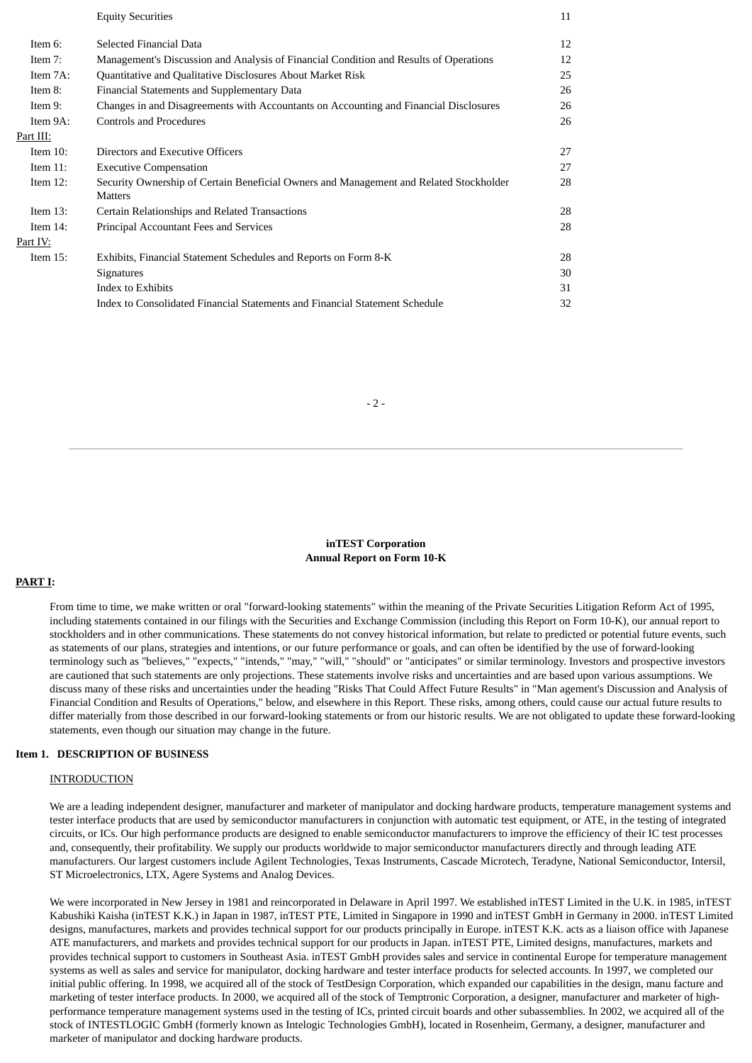|             | <b>Equity Securities</b>                                                                                 | 11 |
|-------------|----------------------------------------------------------------------------------------------------------|----|
| Item 6:     | Selected Financial Data                                                                                  | 12 |
| Item 7:     | Management's Discussion and Analysis of Financial Condition and Results of Operations                    | 12 |
| Item 7A:    | Quantitative and Qualitative Disclosures About Market Risk                                               | 25 |
| Item 8:     | Financial Statements and Supplementary Data                                                              | 26 |
| Item 9:     | Changes in and Disagreements with Accountants on Accounting and Financial Disclosures                    | 26 |
| Item 9A:    | <b>Controls and Procedures</b>                                                                           | 26 |
| Part III:   |                                                                                                          |    |
| Item $10$ : | Directors and Executive Officers                                                                         | 27 |
| Item $11$ : | <b>Executive Compensation</b>                                                                            | 27 |
| Item $12$ : | Security Ownership of Certain Beneficial Owners and Management and Related Stockholder<br><b>Matters</b> | 28 |
| Item $13$ : | Certain Relationships and Related Transactions                                                           | 28 |
| Item $14$ : | Principal Accountant Fees and Services                                                                   | 28 |
| Part IV:    |                                                                                                          |    |
| Item $15$ : | Exhibits, Financial Statement Schedules and Reports on Form 8-K                                          | 28 |
|             | <b>Signatures</b>                                                                                        | 30 |
|             | Index to Exhibits                                                                                        | 31 |
|             | Index to Consolidated Financial Statements and Financial Statement Schedule                              | 32 |

#### $-2-$

#### **inTEST Corporation Annual Report on Form 10-K**

#### **PART I:**

From time to time, we make written or oral "forward-looking statements" within the meaning of the Private Securities Litigation Reform Act of 1995, including statements contained in our filings with the Securities and Exchange Commission (including this Report on Form 10-K), our annual report to stockholders and in other communications. These statements do not convey historical information, but relate to predicted or potential future events, such as statements of our plans, strategies and intentions, or our future performance or goals, and can often be identified by the use of forward-looking terminology such as "believes," "expects," "intends," "may," "will," "should" or "anticipates" or similar terminology. Investors and prospective investors are cautioned that such statements are only projections. These statements involve risks and uncertainties and are based upon various assumptions. We discuss many of these risks and uncertainties under the heading "Risks That Could Affect Future Results" in "Man agement's Discussion and Analysis of Financial Condition and Results of Operations," below, and elsewhere in this Report. These risks, among others, could cause our actual future results to differ materially from those described in our forward-looking statements or from our historic results. We are not obligated to update these forward-looking statements, even though our situation may change in the future.

#### **Item 1. DESCRIPTION OF BUSINESS**

#### **INTRODUCTION**

We are a leading independent designer, manufacturer and marketer of manipulator and docking hardware products, temperature management systems and tester interface products that are used by semiconductor manufacturers in conjunction with automatic test equipment, or ATE, in the testing of integrated circuits, or ICs. Our high performance products are designed to enable semiconductor manufacturers to improve the efficiency of their IC test processes and, consequently, their profitability. We supply our products worldwide to major semiconductor manufacturers directly and through leading ATE manufacturers. Our largest customers include Agilent Technologies, Texas Instruments, Cascade Microtech, Teradyne, National Semiconductor, Intersil, ST Microelectronics, LTX, Agere Systems and Analog Devices.

We were incorporated in New Jersey in 1981 and reincorporated in Delaware in April 1997. We established inTEST Limited in the U.K. in 1985, inTEST Kabushiki Kaisha (inTEST K.K.) in Japan in 1987, inTEST PTE, Limited in Singapore in 1990 and inTEST GmbH in Germany in 2000. inTEST Limited designs, manufactures, markets and provides technical support for our products principally in Europe. inTEST K.K. acts as a liaison office with Japanese ATE manufacturers, and markets and provides technical support for our products in Japan. inTEST PTE, Limited designs, manufactures, markets and provides technical support to customers in Southeast Asia. inTEST GmbH provides sales and service in continental Europe for temperature management systems as well as sales and service for manipulator, docking hardware and tester interface products for selected accounts. In 1997, we completed our initial public offering. In 1998, we acquired all of the stock of TestDesign Corporation, which expanded our capabilities in the design, manu facture and marketing of tester interface products. In 2000, we acquired all of the stock of Temptronic Corporation, a designer, manufacturer and marketer of highperformance temperature management systems used in the testing of ICs, printed circuit boards and other subassemblies. In 2002, we acquired all of the stock of INTESTLOGIC GmbH (formerly known as Intelogic Technologies GmbH), located in Rosenheim, Germany, a designer, manufacturer and marketer of manipulator and docking hardware products.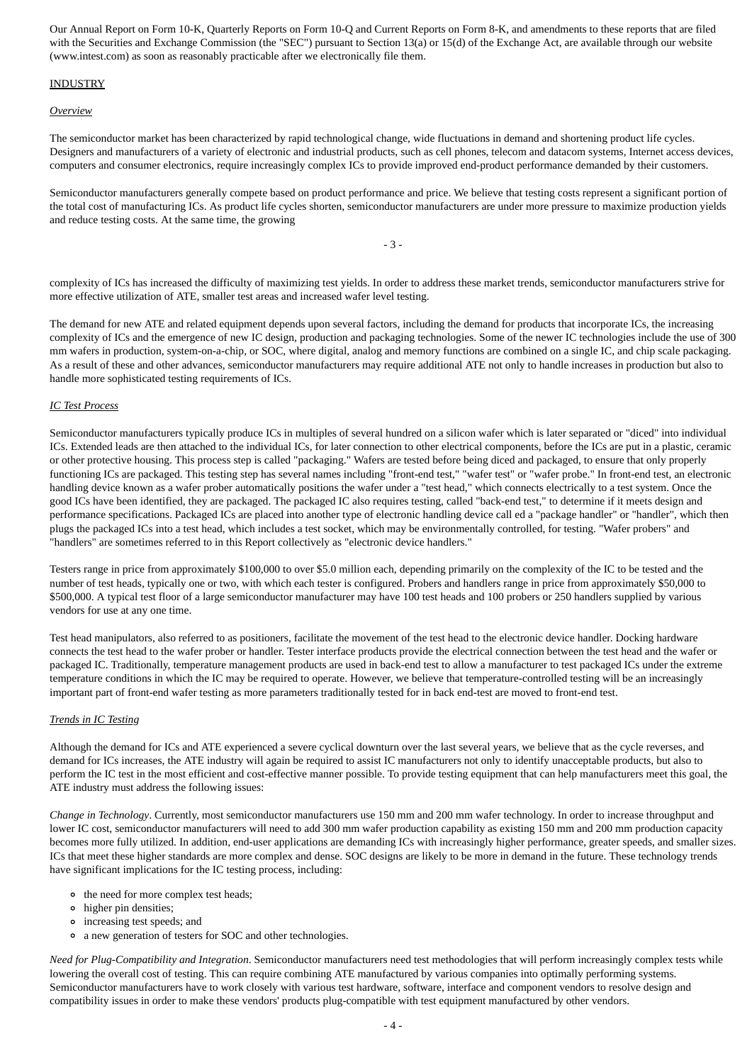Our Annual Report on Form 10-K, Quarterly Reports on Form 10-Q and Current Reports on Form 8-K, and amendments to these reports that are filed with the Securities and Exchange Commission (the "SEC") pursuant to Section 13(a) or 15(d) of the Exchange Act, are available through our website (www.intest.com) as soon as reasonably practicable after we electronically file them.

#### INDUSTRY

#### *Overview*

The semiconductor market has been characterized by rapid technological change, wide fluctuations in demand and shortening product life cycles. Designers and manufacturers of a variety of electronic and industrial products, such as cell phones, telecom and datacom systems, Internet access devices, computers and consumer electronics, require increasingly complex ICs to provide improved end-product performance demanded by their customers.

Semiconductor manufacturers generally compete based on product performance and price. We believe that testing costs represent a significant portion of the total cost of manufacturing ICs. As product life cycles shorten, semiconductor manufacturers are under more pressure to maximize production yields and reduce testing costs. At the same time, the growing

- 3 -

complexity of ICs has increased the difficulty of maximizing test yields. In order to address these market trends, semiconductor manufacturers strive for more effective utilization of ATE, smaller test areas and increased wafer level testing.

The demand for new ATE and related equipment depends upon several factors, including the demand for products that incorporate ICs, the increasing complexity of ICs and the emergence of new IC design, production and packaging technologies. Some of the newer IC technologies include the use of 300 mm wafers in production, system-on-a-chip, or SOC, where digital, analog and memory functions are combined on a single IC, and chip scale packaging. As a result of these and other advances, semiconductor manufacturers may require additional ATE not only to handle increases in production but also to handle more sophisticated testing requirements of ICs.

#### *IC Test Process*

Semiconductor manufacturers typically produce ICs in multiples of several hundred on a silicon wafer which is later separated or "diced" into individual ICs. Extended leads are then attached to the individual ICs, for later connection to other electrical components, before the ICs are put in a plastic, ceramic or other protective housing. This process step is called "packaging." Wafers are tested before being diced and packaged, to ensure that only properly functioning ICs are packaged. This testing step has several names including "front-end test," "wafer test" or "wafer probe." In front-end test, an electronic handling device known as a wafer prober automatically positions the wafer under a "test head," which connects electrically to a test system. Once the good ICs have been identified, they are packaged. The packaged IC also requires testing, called "back-end test," to determine if it meets design and performance specifications. Packaged ICs are placed into another type of electronic handling device call ed a "package handler" or "handler", which then plugs the packaged ICs into a test head, which includes a test socket, which may be environmentally controlled, for testing. "Wafer probers" and "handlers" are sometimes referred to in this Report collectively as "electronic device handlers."

Testers range in price from approximately \$100,000 to over \$5.0 million each, depending primarily on the complexity of the IC to be tested and the number of test heads, typically one or two, with which each tester is configured. Probers and handlers range in price from approximately \$50,000 to \$500,000. A typical test floor of a large semiconductor manufacturer may have 100 test heads and 100 probers or 250 handlers supplied by various vendors for use at any one time.

Test head manipulators, also referred to as positioners, facilitate the movement of the test head to the electronic device handler. Docking hardware connects the test head to the wafer prober or handler. Tester interface products provide the electrical connection between the test head and the wafer or packaged IC. Traditionally, temperature management products are used in back-end test to allow a manufacturer to test packaged ICs under the extreme temperature conditions in which the IC may be required to operate. However, we believe that temperature-controlled testing will be an increasingly important part of front-end wafer testing as more parameters traditionally tested for in back end-test are moved to front-end test.

#### *Trends in IC Testing*

Although the demand for ICs and ATE experienced a severe cyclical downturn over the last several years, we believe that as the cycle reverses, and demand for ICs increases, the ATE industry will again be required to assist IC manufacturers not only to identify unacceptable products, but also to perform the IC test in the most efficient and cost-effective manner possible. To provide testing equipment that can help manufacturers meet this goal, the ATE industry must address the following issues:

*Change in Technology*. Currently, most semiconductor manufacturers use 150 mm and 200 mm wafer technology. In order to increase throughput and lower IC cost, semiconductor manufacturers will need to add 300 mm wafer production capability as existing 150 mm and 200 mm production capacity becomes more fully utilized. In addition, end-user applications are demanding ICs with increasingly higher performance, greater speeds, and smaller sizes. ICs that meet these higher standards are more complex and dense. SOC designs are likely to be more in demand in the future. These technology trends have significant implications for the IC testing process, including:

- <sup>o</sup> the need for more complex test heads;
- higher pin densities;
- increasing test speeds; and
- a new generation of testers for SOC and other technologies.

*Need for Plug-Compatibility and Integration*. Semiconductor manufacturers need test methodologies that will perform increasingly complex tests while lowering the overall cost of testing. This can require combining ATE manufactured by various companies into optimally performing systems. Semiconductor manufacturers have to work closely with various test hardware, software, interface and component vendors to resolve design and compatibility issues in order to make these vendors' products plug-compatible with test equipment manufactured by other vendors.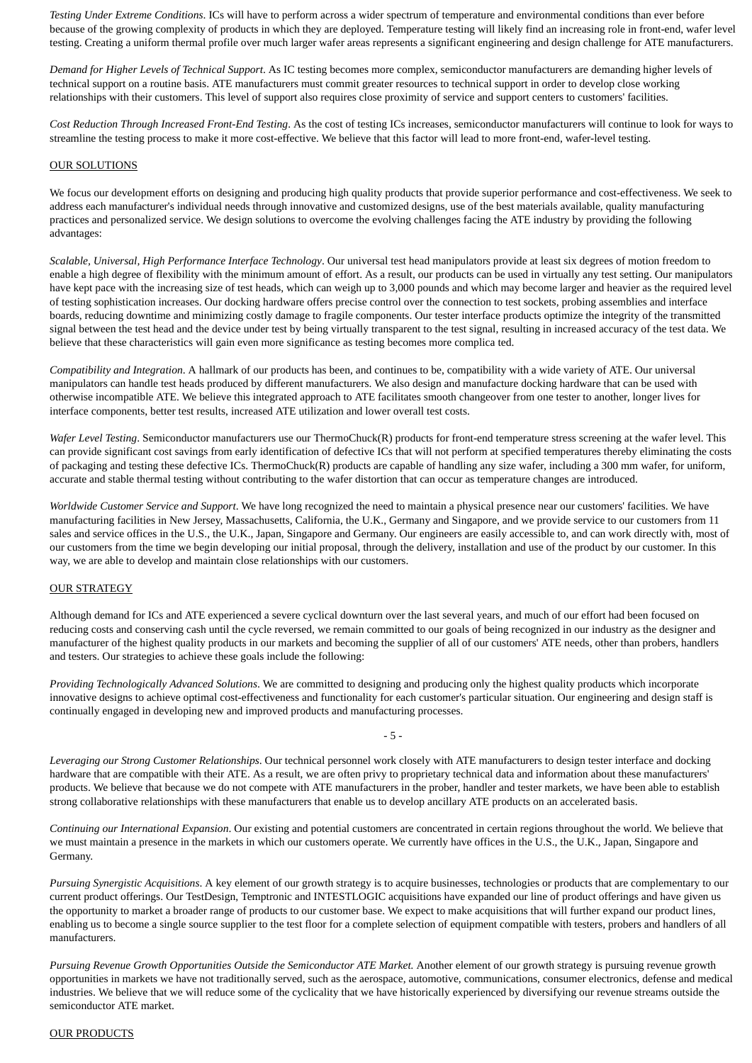*Testing Under Extreme Conditions*. ICs will have to perform across a wider spectrum of temperature and environmental conditions than ever before because of the growing complexity of products in which they are deployed. Temperature testing will likely find an increasing role in front-end, wafer level testing. Creating a uniform thermal profile over much larger wafer areas represents a significant engineering and design challenge for ATE manufacturers.

*Demand for Higher Levels of Technical Support*. As IC testing becomes more complex, semiconductor manufacturers are demanding higher levels of technical support on a routine basis. ATE manufacturers must commit greater resources to technical support in order to develop close working relationships with their customers. This level of support also requires close proximity of service and support centers to customers' facilities.

*Cost Reduction Through Increased Front-End Testing*. As the cost of testing ICs increases, semiconductor manufacturers will continue to look for ways to streamline the testing process to make it more cost-effective. We believe that this factor will lead to more front-end, wafer-level testing.

#### OUR SOLUTIONS

We focus our development efforts on designing and producing high quality products that provide superior performance and cost-effectiveness. We seek to address each manufacturer's individual needs through innovative and customized designs, use of the best materials available, quality manufacturing practices and personalized service. We design solutions to overcome the evolving challenges facing the ATE industry by providing the following advantages:

*Scalable, Universal, High Performance Interface Technology*. Our universal test head manipulators provide at least six degrees of motion freedom to enable a high degree of flexibility with the minimum amount of effort. As a result, our products can be used in virtually any test setting. Our manipulators have kept pace with the increasing size of test heads, which can weigh up to 3,000 pounds and which may become larger and heavier as the required level of testing sophistication increases. Our docking hardware offers precise control over the connection to test sockets, probing assemblies and interface boards, reducing downtime and minimizing costly damage to fragile components. Our tester interface products optimize the integrity of the transmitted signal between the test head and the device under test by being virtually transparent to the test signal, resulting in increased accuracy of the test data. We believe that these characteristics will gain even more significance as testing becomes more complica ted.

*Compatibility and Integration*. A hallmark of our products has been, and continues to be, compatibility with a wide variety of ATE. Our universal manipulators can handle test heads produced by different manufacturers. We also design and manufacture docking hardware that can be used with otherwise incompatible ATE. We believe this integrated approach to ATE facilitates smooth changeover from one tester to another, longer lives for interface components, better test results, increased ATE utilization and lower overall test costs.

*Wafer Level Testing*. Semiconductor manufacturers use our ThermoChuck(R) products for front-end temperature stress screening at the wafer level. This can provide significant cost savings from early identification of defective ICs that will not perform at specified temperatures thereby eliminating the costs of packaging and testing these defective ICs. ThermoChuck(R) products are capable of handling any size wafer, including a 300 mm wafer, for uniform, accurate and stable thermal testing without contributing to the wafer distortion that can occur as temperature changes are introduced.

*Worldwide Customer Service and Support*. We have long recognized the need to maintain a physical presence near our customers' facilities. We have manufacturing facilities in New Jersey, Massachusetts, California, the U.K., Germany and Singapore, and we provide service to our customers from 11 sales and service offices in the U.S., the U.K., Japan, Singapore and Germany. Our engineers are easily accessible to, and can work directly with, most of our customers from the time we begin developing our initial proposal, through the delivery, installation and use of the product by our customer. In this way, we are able to develop and maintain close relationships with our customers.

#### OUR STRATEGY

Although demand for ICs and ATE experienced a severe cyclical downturn over the last several years, and much of our effort had been focused on reducing costs and conserving cash until the cycle reversed, we remain committed to our goals of being recognized in our industry as the designer and manufacturer of the highest quality products in our markets and becoming the supplier of all of our customers' ATE needs, other than probers, handlers and testers. Our strategies to achieve these goals include the following:

*Providing Technologically Advanced Solutions*. We are committed to designing and producing only the highest quality products which incorporate innovative designs to achieve optimal cost-effectiveness and functionality for each customer's particular situation. Our engineering and design staff is continually engaged in developing new and improved products and manufacturing processes.

*Leveraging our Strong Customer Relationships*. Our technical personnel work closely with ATE manufacturers to design tester interface and docking hardware that are compatible with their ATE. As a result, we are often privy to proprietary technical data and information about these manufacturers' products. We believe that because we do not compete with ATE manufacturers in the prober, handler and tester markets, we have been able to establish strong collaborative relationships with these manufacturers that enable us to develop ancillary ATE products on an accelerated basis.

- 5 -

*Continuing our International Expansion*. Our existing and potential customers are concentrated in certain regions throughout the world. We believe that we must maintain a presence in the markets in which our customers operate. We currently have offices in the U.S., the U.K., Japan, Singapore and Germany.

*Pursuing Synergistic Acquisitions*. A key element of our growth strategy is to acquire businesses, technologies or products that are complementary to our current product offerings. Our TestDesign, Temptronic and INTESTLOGIC acquisitions have expanded our line of product offerings and have given us the opportunity to market a broader range of products to our customer base. We expect to make acquisitions that will further expand our product lines, enabling us to become a single source supplier to the test floor for a complete selection of equipment compatible with testers, probers and handlers of all manufacturers.

*Pursuing Revenue Growth Opportunities Outside the Semiconductor ATE Market.* Another element of our growth strategy is pursuing revenue growth opportunities in markets we have not traditionally served, such as the aerospace, automotive, communications, consumer electronics, defense and medical industries. We believe that we will reduce some of the cyclicality that we have historically experienced by diversifying our revenue streams outside the semiconductor ATE market.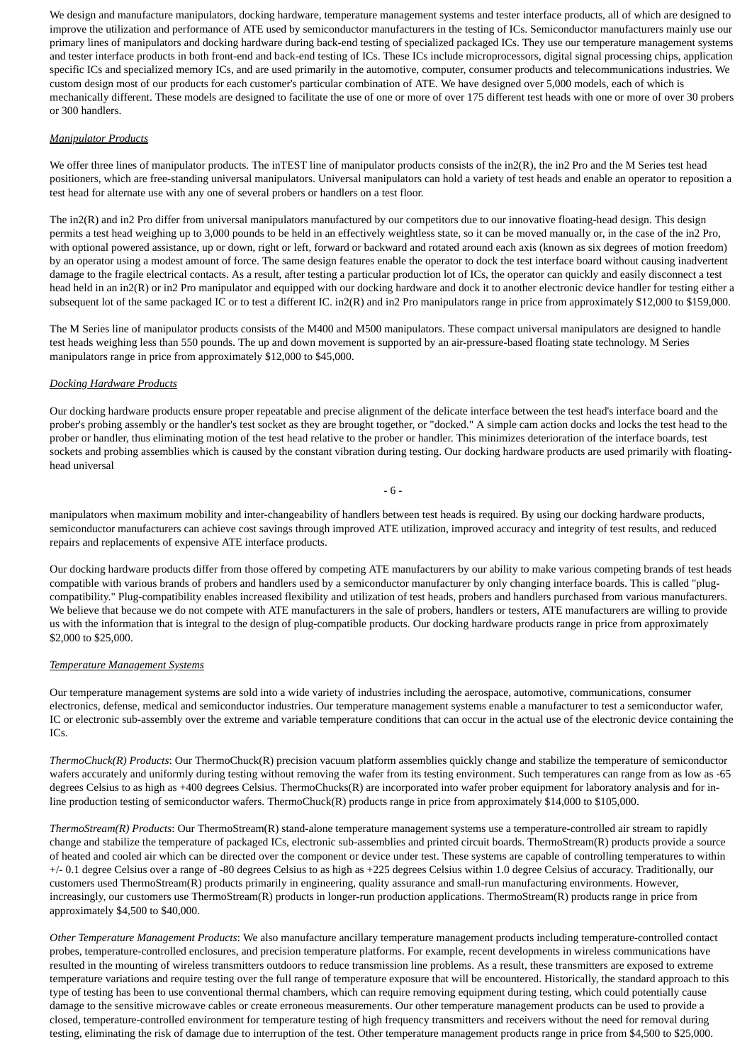We design and manufacture manipulators, docking hardware, temperature management systems and tester interface products, all of which are designed to improve the utilization and performance of ATE used by semiconductor manufacturers in the testing of ICs. Semiconductor manufacturers mainly use our primary lines of manipulators and docking hardware during back-end testing of specialized packaged ICs. They use our temperature management systems and tester interface products in both front-end and back-end testing of ICs. These ICs include microprocessors, digital signal processing chips, application specific ICs and specialized memory ICs, and are used primarily in the automotive, computer, consumer products and telecommunications industries. We custom design most of our products for each customer's particular combination of ATE. We have designed over 5,000 models, each of which is mechanically different. These models are designed to facilitate the use of one or more of over 175 different test heads with one or more of over 30 probers or 300 handlers.

#### *Manipulator Products*

We offer three lines of manipulator products. The inTEST line of manipulator products consists of the in2(R), the in2 Pro and the M Series test head positioners, which are free-standing universal manipulators. Universal manipulators can hold a variety of test heads and enable an operator to reposition a test head for alternate use with any one of several probers or handlers on a test floor.

The in2(R) and in2 Pro differ from universal manipulators manufactured by our competitors due to our innovative floating-head design. This design permits a test head weighing up to 3,000 pounds to be held in an effectively weightless state, so it can be moved manually or, in the case of the in2 Pro, with optional powered assistance, up or down, right or left, forward or backward and rotated around each axis (known as six degrees of motion freedom) by an operator using a modest amount of force. The same design features enable the operator to dock the test interface board without causing inadvertent damage to the fragile electrical contacts. As a result, after testing a particular production lot of ICs, the operator can quickly and easily disconnect a test head held in an in2(R) or in2 Pro manipulator and equipped with our docking hardware and dock it to another electronic device handler for testing either a subsequent lot of the same packaged IC or to test a different IC. in2(R) and in2 Pro manipulators range in price from approximately \$12,000 to \$159,000.

The M Series line of manipulator products consists of the M400 and M500 manipulators. These compact universal manipulators are designed to handle test heads weighing less than 550 pounds. The up and down movement is supported by an air-pressure-based floating state technology. M Series manipulators range in price from approximately \$12,000 to \$45,000.

#### *Docking Hardware Products*

Our docking hardware products ensure proper repeatable and precise alignment of the delicate interface between the test head's interface board and the prober's probing assembly or the handler's test socket as they are brought together, or "docked." A simple cam action docks and locks the test head to the prober or handler, thus eliminating motion of the test head relative to the prober or handler. This minimizes deterioration of the interface boards, test sockets and probing assemblies which is caused by the constant vibration during testing. Our docking hardware products are used primarily with floatinghead universal

- 6 -

manipulators when maximum mobility and inter-changeability of handlers between test heads is required. By using our docking hardware products, semiconductor manufacturers can achieve cost savings through improved ATE utilization, improved accuracy and integrity of test results, and reduced repairs and replacements of expensive ATE interface products.

Our docking hardware products differ from those offered by competing ATE manufacturers by our ability to make various competing brands of test heads compatible with various brands of probers and handlers used by a semiconductor manufacturer by only changing interface boards. This is called "plugcompatibility." Plug-compatibility enables increased flexibility and utilization of test heads, probers and handlers purchased from various manufacturers. We believe that because we do not compete with ATE manufacturers in the sale of probers, handlers or testers, ATE manufacturers are willing to provide us with the information that is integral to the design of plug-compatible products. Our docking hardware products range in price from approximately \$2,000 to \$25,000.

#### *Temperature Management Systems*

Our temperature management systems are sold into a wide variety of industries including the aerospace, automotive, communications, consumer electronics, defense, medical and semiconductor industries. Our temperature management systems enable a manufacturer to test a semiconductor wafer, IC or electronic sub-assembly over the extreme and variable temperature conditions that can occur in the actual use of the electronic device containing the ICs.

*ThermoChuck(R) Products*: Our ThermoChuck(R) precision vacuum platform assemblies quickly change and stabilize the temperature of semiconductor wafers accurately and uniformly during testing without removing the wafer from its testing environment. Such temperatures can range from as low as -65 degrees Celsius to as high as +400 degrees Celsius. ThermoChucks(R) are incorporated into wafer prober equipment for laboratory analysis and for inline production testing of semiconductor wafers. ThermoChuck(R) products range in price from approximately \$14,000 to \$105,000.

*ThermoStream(R) Products*: Our ThermoStream(R) stand-alone temperature management systems use a temperature-controlled air stream to rapidly change and stabilize the temperature of packaged ICs, electronic sub-assemblies and printed circuit boards. ThermoStream(R) products provide a source of heated and cooled air which can be directed over the component or device under test. These systems are capable of controlling temperatures to within +/- 0.1 degree Celsius over a range of -80 degrees Celsius to as high as +225 degrees Celsius within 1.0 degree Celsius of accuracy. Traditionally, our customers used ThermoStream(R) products primarily in engineering, quality assurance and small-run manufacturing environments. However, increasingly, our customers use ThermoStream(R) products in longer-run production applications. ThermoStream(R) products range in price from approximately \$4,500 to \$40,000.

*Other Temperature Management Products*: We also manufacture ancillary temperature management products including temperature-controlled contact probes, temperature-controlled enclosures, and precision temperature platforms. For example, recent developments in wireless communications have resulted in the mounting of wireless transmitters outdoors to reduce transmission line problems. As a result, these transmitters are exposed to extreme temperature variations and require testing over the full range of temperature exposure that will be encountered. Historically, the standard approach to this type of testing has been to use conventional thermal chambers, which can require removing equipment during testing, which could potentially cause damage to the sensitive microwave cables or create erroneous measurements. Our other temperature management products can be used to provide a closed, temperature-controlled environment for temperature testing of high frequency transmitters and receivers without the need for removal during testing, eliminating the risk of damage due to interruption of the test. Other temperature management products range in price from \$4,500 to \$25,000.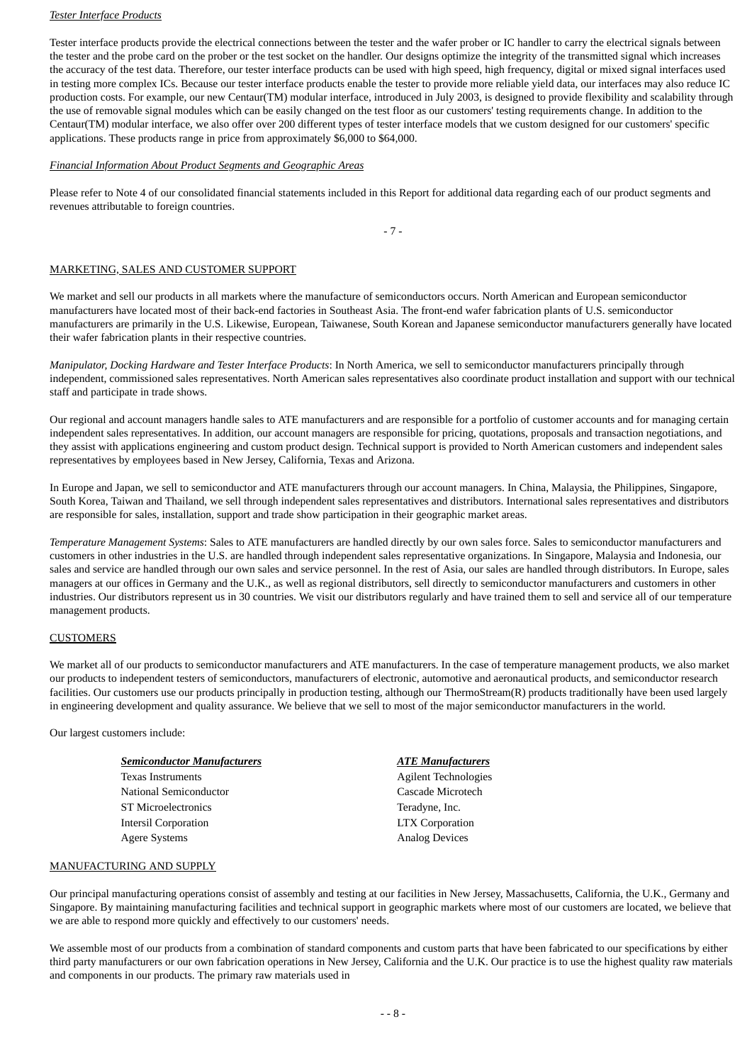#### *Tester Interface Products*

Tester interface products provide the electrical connections between the tester and the wafer prober or IC handler to carry the electrical signals between the tester and the probe card on the prober or the test socket on the handler. Our designs optimize the integrity of the transmitted signal which increases the accuracy of the test data. Therefore, our tester interface products can be used with high speed, high frequency, digital or mixed signal interfaces used in testing more complex ICs. Because our tester interface products enable the tester to provide more reliable yield data, our interfaces may also reduce IC production costs. For example, our new Centaur(TM) modular interface, introduced in July 2003, is designed to provide flexibility and scalability through the use of removable signal modules which can be easily changed on the test floor as our customers' testing requirements change. In addition to the Centaur(TM) modular interface, we also offer over 200 different types of tester interface models that we custom designed for our customers' specific applications. These products range in price from approximately \$6,000 to \$64,000.

#### *Financial Information About Product Segments and Geographic Areas*

Please refer to Note 4 of our consolidated financial statements included in this Report for additional data regarding each of our product segments and revenues attributable to foreign countries.

 $-7 -$ 

#### MARKETING, SALES AND CUSTOMER SUPPORT

We market and sell our products in all markets where the manufacture of semiconductors occurs. North American and European semiconductor manufacturers have located most of their back-end factories in Southeast Asia. The front-end wafer fabrication plants of U.S. semiconductor manufacturers are primarily in the U.S. Likewise, European, Taiwanese, South Korean and Japanese semiconductor manufacturers generally have located their wafer fabrication plants in their respective countries.

*Manipulator, Docking Hardware and Tester Interface Products*: In North America, we sell to semiconductor manufacturers principally through independent, commissioned sales representatives. North American sales representatives also coordinate product installation and support with our technical staff and participate in trade shows.

Our regional and account managers handle sales to ATE manufacturers and are responsible for a portfolio of customer accounts and for managing certain independent sales representatives. In addition, our account managers are responsible for pricing, quotations, proposals and transaction negotiations, and they assist with applications engineering and custom product design. Technical support is provided to North American customers and independent sales representatives by employees based in New Jersey, California, Texas and Arizona.

In Europe and Japan, we sell to semiconductor and ATE manufacturers through our account managers. In China, Malaysia, the Philippines, Singapore, South Korea, Taiwan and Thailand, we sell through independent sales representatives and distributors. International sales representatives and distributors are responsible for sales, installation, support and trade show participation in their geographic market areas.

*Temperature Management Systems*: Sales to ATE manufacturers are handled directly by our own sales force. Sales to semiconductor manufacturers and customers in other industries in the U.S. are handled through independent sales representative organizations. In Singapore, Malaysia and Indonesia, our sales and service are handled through our own sales and service personnel. In the rest of Asia, our sales are handled through distributors. In Europe, sales managers at our offices in Germany and the U.K., as well as regional distributors, sell directly to semiconductor manufacturers and customers in other industries. Our distributors represent us in 30 countries. We visit our distributors regularly and have trained them to sell and service all of our temperature management products.

#### **CUSTOMERS**

We market all of our products to semiconductor manufacturers and ATE manufacturers. In the case of temperature management products, we also market our products to independent testers of semiconductors, manufacturers of electronic, automotive and aeronautical products, and semiconductor research facilities. Our customers use our products principally in production testing, although our ThermoStream(R) products traditionally have been used largely in engineering development and quality assurance. We believe that we sell to most of the major semiconductor manufacturers in the world.

Our largest customers include:

#### *Semiconductor Manufacturers ATE Manufacturers*

Texas Instruments **Agilent Technologies** National Semiconductor **Cascade Microtech** ST Microelectronics Teradyne, Inc. Intersil Corporation LTX Corporation Agere Systems **Analog Devices** Analog Devices

#### MANUFACTURING AND SUPPLY

Our principal manufacturing operations consist of assembly and testing at our facilities in New Jersey, Massachusetts, California, the U.K., Germany and Singapore. By maintaining manufacturing facilities and technical support in geographic markets where most of our customers are located, we believe that we are able to respond more quickly and effectively to our customers' needs.

We assemble most of our products from a combination of standard components and custom parts that have been fabricated to our specifications by either third party manufacturers or our own fabrication operations in New Jersey, California and the U.K. Our practice is to use the highest quality raw materials and components in our products. The primary raw materials used in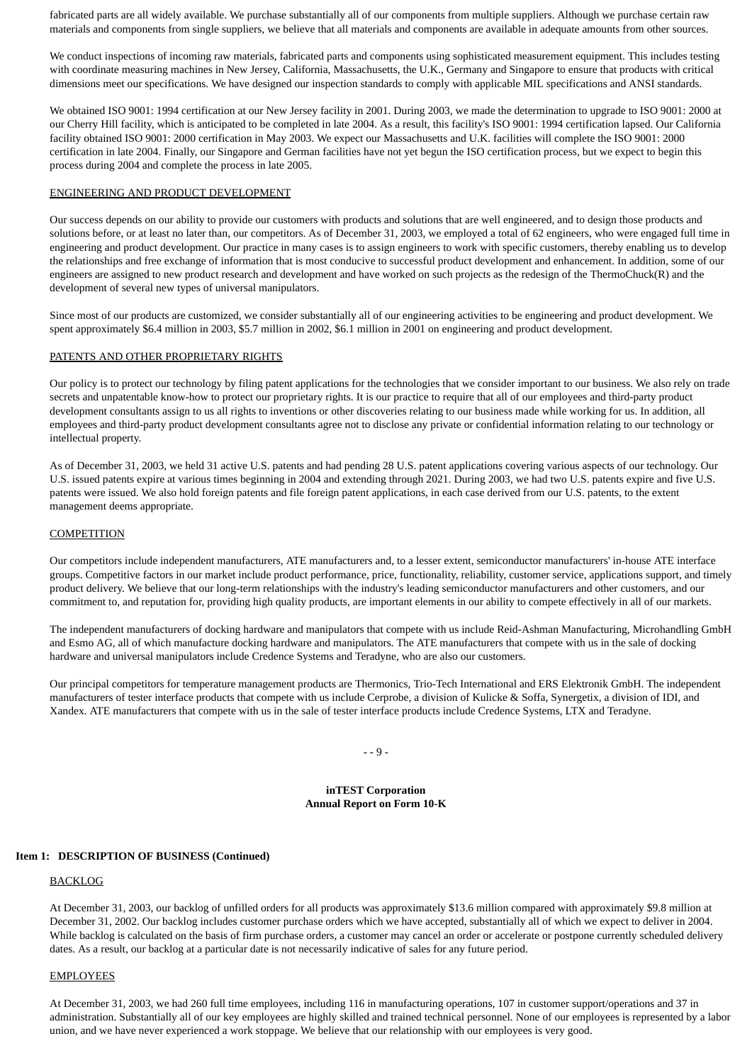fabricated parts are all widely available. We purchase substantially all of our components from multiple suppliers. Although we purchase certain raw materials and components from single suppliers, we believe that all materials and components are available in adequate amounts from other sources.

We conduct inspections of incoming raw materials, fabricated parts and components using sophisticated measurement equipment. This includes testing with coordinate measuring machines in New Jersey, California, Massachusetts, the U.K., Germany and Singapore to ensure that products with critical dimensions meet our specifications. We have designed our inspection standards to comply with applicable MIL specifications and ANSI standards.

We obtained ISO 9001: 1994 certification at our New Jersey facility in 2001. During 2003, we made the determination to upgrade to ISO 9001: 2000 at our Cherry Hill facility, which is anticipated to be completed in late 2004. As a result, this facility's ISO 9001: 1994 certification lapsed. Our California facility obtained ISO 9001: 2000 certification in May 2003. We expect our Massachusetts and U.K. facilities will complete the ISO 9001: 2000 certification in late 2004. Finally, our Singapore and German facilities have not yet begun the ISO certification process, but we expect to begin this process during 2004 and complete the process in late 2005.

#### ENGINEERING AND PRODUCT DEVELOPMENT

Our success depends on our ability to provide our customers with products and solutions that are well engineered, and to design those products and solutions before, or at least no later than, our competitors. As of December 31, 2003, we employed a total of 62 engineers, who were engaged full time in engineering and product development. Our practice in many cases is to assign engineers to work with specific customers, thereby enabling us to develop the relationships and free exchange of information that is most conducive to successful product development and enhancement. In addition, some of our engineers are assigned to new product research and development and have worked on such projects as the redesign of the ThermoChuck(R) and the development of several new types of universal manipulators.

Since most of our products are customized, we consider substantially all of our engineering activities to be engineering and product development. We spent approximately \$6.4 million in 2003, \$5.7 million in 2002, \$6.1 million in 2001 on engineering and product development.

#### PATENTS AND OTHER PROPRIETARY RIGHTS

Our policy is to protect our technology by filing patent applications for the technologies that we consider important to our business. We also rely on trade secrets and unpatentable know-how to protect our proprietary rights. It is our practice to require that all of our employees and third-party product development consultants assign to us all rights to inventions or other discoveries relating to our business made while working for us. In addition, all employees and third-party product development consultants agree not to disclose any private or confidential information relating to our technology or intellectual property.

As of December 31, 2003, we held 31 active U.S. patents and had pending 28 U.S. patent applications covering various aspects of our technology. Our U.S. issued patents expire at various times beginning in 2004 and extending through 2021. During 2003, we had two U.S. patents expire and five U.S. patents were issued. We also hold foreign patents and file foreign patent applications, in each case derived from our U.S. patents, to the extent management deems appropriate.

#### **COMPETITION**

Our competitors include independent manufacturers, ATE manufacturers and, to a lesser extent, semiconductor manufacturers' in-house ATE interface groups. Competitive factors in our market include product performance, price, functionality, reliability, customer service, applications support, and timely product delivery. We believe that our long-term relationships with the industry's leading semiconductor manufacturers and other customers, and our commitment to, and reputation for, providing high quality products, are important elements in our ability to compete effectively in all of our markets.

The independent manufacturers of docking hardware and manipulators that compete with us include Reid-Ashman Manufacturing, Microhandling GmbH and Esmo AG, all of which manufacture docking hardware and manipulators. The ATE manufacturers that compete with us in the sale of docking hardware and universal manipulators include Credence Systems and Teradyne, who are also our customers.

Our principal competitors for temperature management products are Thermonics, Trio-Tech International and ERS Elektronik GmbH. The independent manufacturers of tester interface products that compete with us include Cerprobe, a division of Kulicke & Soffa, Synergetix, a division of IDI, and Xandex. ATE manufacturers that compete with us in the sale of tester interface products include Credence Systems, LTX and Teradyne.

 $- - 9 -$ 

#### **inTEST Corporation Annual Report on Form 10-K**

#### **Item 1: DESCRIPTION OF BUSINESS (Continued)**

#### **BACKLOG**

At December 31, 2003, our backlog of unfilled orders for all products was approximately \$13.6 million compared with approximately \$9.8 million at December 31, 2002. Our backlog includes customer purchase orders which we have accepted, substantially all of which we expect to deliver in 2004. While backlog is calculated on the basis of firm purchase orders, a customer may cancel an order or accelerate or postpone currently scheduled delivery dates. As a result, our backlog at a particular date is not necessarily indicative of sales for any future period.

#### EMPLOYEES

At December 31, 2003, we had 260 full time employees, including 116 in manufacturing operations, 107 in customer support/operations and 37 in administration. Substantially all of our key employees are highly skilled and trained technical personnel. None of our employees is represented by a labor union, and we have never experienced a work stoppage. We believe that our relationship with our employees is very good.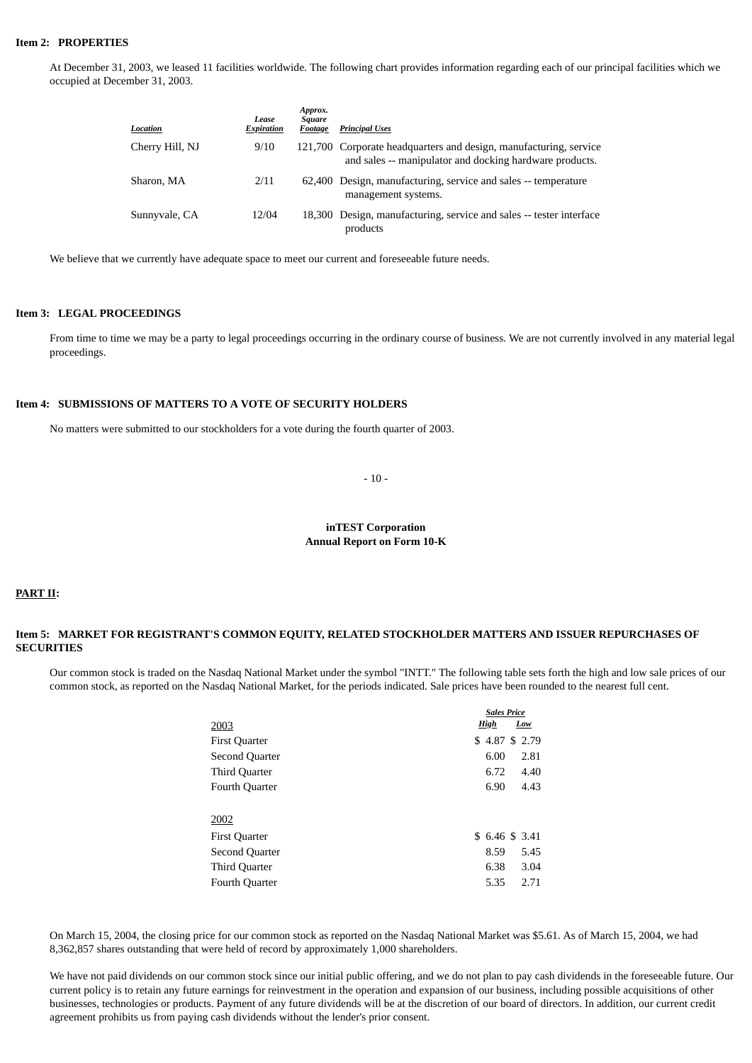#### **Item 2: PROPERTIES**

At December 31, 2003, we leased 11 facilities worldwide. The following chart provides information regarding each of our principal facilities which we occupied at December 31, 2003.

| Location        | Lease<br><b>Expiration</b> | Approx.<br>Square<br>Footage | <b>Principal Uses</b>                                                                                                        |
|-----------------|----------------------------|------------------------------|------------------------------------------------------------------------------------------------------------------------------|
| Cherry Hill, NJ | 9/10                       |                              | 121,700 Corporate headquarters and design, manufacturing, service<br>and sales -- manipulator and docking hardware products. |
| Sharon, MA      | 2/11                       |                              | 62,400 Design, manufacturing, service and sales -- temperature<br>management systems.                                        |
| Sunnyvale, CA   | 12/04                      |                              | 18,300 Design, manufacturing, service and sales -- tester interface<br>products                                              |

We believe that we currently have adequate space to meet our current and foreseeable future needs.

#### **Item 3: LEGAL PROCEEDINGS**

From time to time we may be a party to legal proceedings occurring in the ordinary course of business. We are not currently involved in any material legal proceedings.

#### **Item 4: SUBMISSIONS OF MATTERS TO A VOTE OF SECURITY HOLDERS**

No matters were submitted to our stockholders for a vote during the fourth quarter of 2003.

- 10 -

#### **inTEST Corporation Annual Report on Form 10-K**

### **PART II:**

#### **Item 5: MARKET FOR REGISTRANT'S COMMON EQUITY, RELATED STOCKHOLDER MATTERS AND ISSUER REPURCHASES OF SECURITIES**

Our common stock is traded on the Nasdaq National Market under the symbol "INTT." The following table sets forth the high and low sale prices of our common stock, as reported on the Nasdaq National Market, for the periods indicated. Sale prices have been rounded to the nearest full cent.

|                      | <b>Sales Price</b> |               |     |      |
|----------------------|--------------------|---------------|-----|------|
| 2003                 |                    | <b>High</b>   | Low |      |
| <b>First Quarter</b> |                    | \$4.87 \$2.79 |     |      |
| Second Quarter       |                    | 6.00          |     | 2.81 |
| Third Quarter        |                    | 6.72          |     | 4.40 |
| Fourth Quarter       |                    | 6.90          |     | 4.43 |
|                      |                    |               |     |      |
| 2002                 |                    |               |     |      |
| <b>First Quarter</b> |                    | \$6.46\$3.41  |     |      |
| Second Quarter       |                    | 8.59          |     | 5.45 |
| Third Quarter        |                    | 6.38          |     | 3.04 |
| Fourth Quarter       |                    | 5.35          |     | 2.71 |

On March 15, 2004, the closing price for our common stock as reported on the Nasdaq National Market was \$5.61. As of March 15, 2004, we had 8,362,857 shares outstanding that were held of record by approximately 1,000 shareholders.

We have not paid dividends on our common stock since our initial public offering, and we do not plan to pay cash dividends in the foreseeable future. Our current policy is to retain any future earnings for reinvestment in the operation and expansion of our business, including possible acquisitions of other businesses, technologies or products. Payment of any future dividends will be at the discretion of our board of directors. In addition, our current credit agreement prohibits us from paying cash dividends without the lender's prior consent.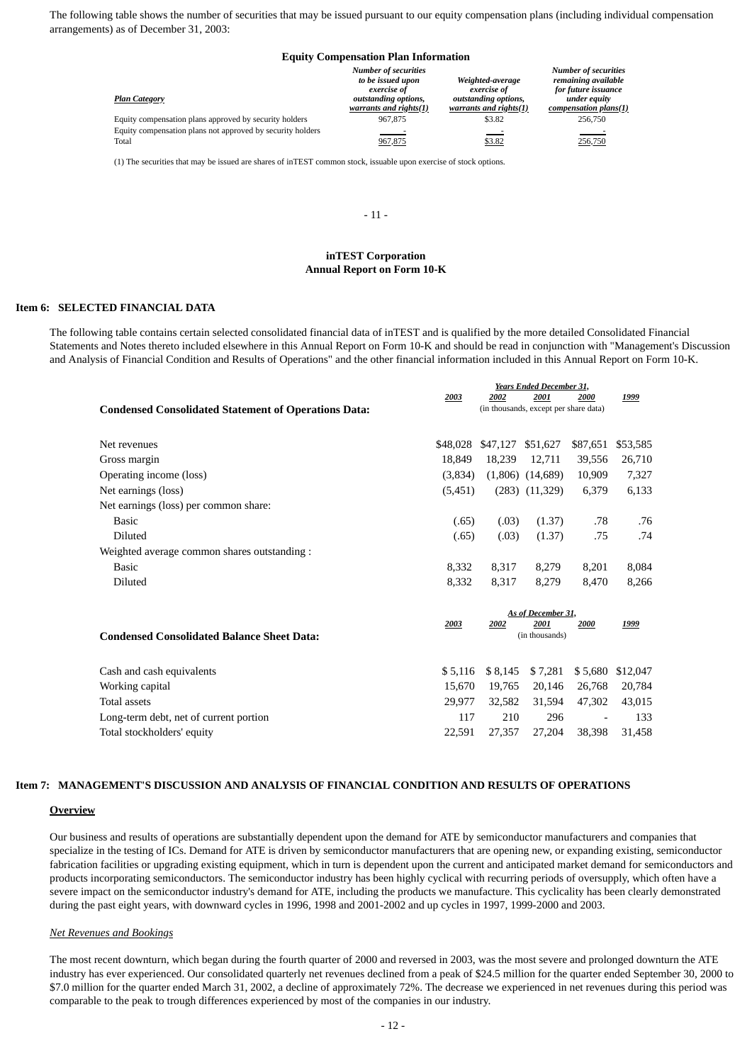The following table shows the number of securities that may be issued pursuant to our equity compensation plans (including individual compensation arrangements) as of December 31, 2003:

#### **Equity Compensation Plan Information**

| <b>Plan Category</b>                                                | <b>Number of securities</b><br>to be issued upon<br>exercise of<br>outstanding options,<br>warrants and rights(1) | Weighted-average<br>exercise of<br>outstanding options,<br>warrants and rights(1) | <b>Number of securities</b><br>remaining available<br>for future issuance<br>under equity<br>compensation plans(1) |
|---------------------------------------------------------------------|-------------------------------------------------------------------------------------------------------------------|-----------------------------------------------------------------------------------|--------------------------------------------------------------------------------------------------------------------|
| Equity compensation plans approved by security holders              | 967,875                                                                                                           | \$3.82                                                                            | 256,750                                                                                                            |
| Equity compensation plans not approved by security holders<br>Total | $\sim$ $\sim$<br>967,875                                                                                          | $ -$<br>\$3.82                                                                    | $\sim$<br>256,750                                                                                                  |

(1) The securities that may be issued are shares of inTEST common stock, issuable upon exercise of stock options.

#### $-11-$

# **inTEST Corporation Annual Report on Form 10-K**

#### **Item 6: SELECTED FINANCIAL DATA**

The following table contains certain selected consolidated financial data of inTEST and is qualified by the more detailed Consolidated Financial Statements and Notes thereto included elsewhere in this Annual Report on Form 10-K and should be read in conjunction with "Management's Discussion and Analysis of Financial Condition and Results of Operations" and the other financial information included in this Annual Report on Form 10-K.

*Years Ended December 31,*

|                                                             | 2003    | 2002                       | 2001                                  | 2000                     | 1999     |
|-------------------------------------------------------------|---------|----------------------------|---------------------------------------|--------------------------|----------|
| <b>Condensed Consolidated Statement of Operations Data:</b> |         |                            | (in thousands, except per share data) |                          |          |
|                                                             |         |                            |                                       |                          |          |
| Net revenues                                                |         | \$48,028 \$47,127 \$51,627 |                                       | \$87,651                 | \$53,585 |
| Gross margin                                                | 18.849  | 18,239                     | 12,711                                | 39,556                   | 26,710   |
| Operating income (loss)                                     | (3,834) |                            | $(1,806)$ $(14,689)$                  | 10,909                   | 7,327    |
| Net earnings (loss)                                         | (5,451) |                            | $(283)$ $(11,329)$                    | 6,379                    | 6,133    |
| Net earnings (loss) per common share:                       |         |                            |                                       |                          |          |
| Basic                                                       | (.65)   | (.03)                      | (1.37)                                | .78                      | .76      |
| Diluted                                                     | (.65)   | (.03)                      | (1.37)                                | .75                      | .74      |
| Weighted average common shares outstanding:                 |         |                            |                                       |                          |          |
| Basic                                                       | 8,332   | 8,317                      | 8,279                                 | 8,201                    | 8,084    |
| Diluted                                                     | 8,332   | 8,317                      | 8,279                                 | 8,470                    | 8,266    |
|                                                             |         |                            |                                       |                          |          |
|                                                             |         |                            | As of December 31,                    |                          |          |
|                                                             | 2003    | 2002                       | 2001                                  | 2000                     | 1999     |
| <b>Condensed Consolidated Balance Sheet Data:</b>           |         |                            | (in thousands)                        |                          |          |
|                                                             |         |                            |                                       |                          |          |
| Cash and cash equivalents                                   | \$5,116 | \$8,145                    | \$7,281                               | \$5,680                  | \$12,047 |
| Working capital                                             | 15,670  | 19,765                     | 20,146                                | 26,768                   | 20,784   |
| <b>Total assets</b>                                         | 29,977  | 32,582                     | 31,594                                | 47,302                   | 43,015   |
| Long-term debt, net of current portion                      | 117     | 210                        | 296                                   | $\overline{\phantom{a}}$ | 133      |
| Total stockholders' equity                                  | 22,591  | 27,357                     | 27,204                                | 38,398                   | 31,458   |

#### **Item 7: MANAGEMENT'S DISCUSSION AND ANALYSIS OF FINANCIAL CONDITION AND RESULTS OF OPERATIONS**

#### **Overview**

Our business and results of operations are substantially dependent upon the demand for ATE by semiconductor manufacturers and companies that specialize in the testing of ICs. Demand for ATE is driven by semiconductor manufacturers that are opening new, or expanding existing, semiconductor fabrication facilities or upgrading existing equipment, which in turn is dependent upon the current and anticipated market demand for semiconductors and products incorporating semiconductors. The semiconductor industry has been highly cyclical with recurring periods of oversupply, which often have a severe impact on the semiconductor industry's demand for ATE, including the products we manufacture. This cyclicality has been clearly demonstrated during the past eight years, with downward cycles in 1996, 1998 and 2001-2002 and up cycles in 1997, 1999-2000 and 2003.

#### *Net Revenues and Bookings*

The most recent downturn, which began during the fourth quarter of 2000 and reversed in 2003, was the most severe and prolonged downturn the ATE industry has ever experienced. Our consolidated quarterly net revenues declined from a peak of \$24.5 million for the quarter ended September 30, 2000 to \$7.0 million for the quarter ended March 31, 2002, a decline of approximately 72%. The decrease we experienced in net revenues during this period was comparable to the peak to trough differences experienced by most of the companies in our industry.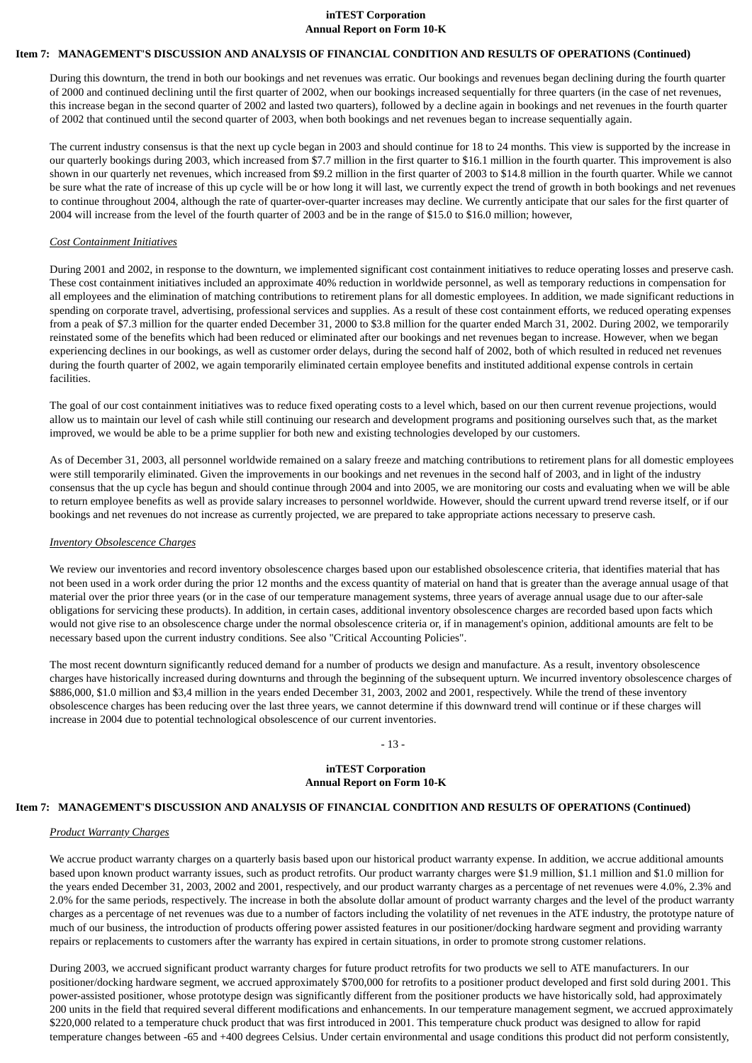#### **inTEST Corporation Annual Report on Form 10-K**

#### **Item 7: MANAGEMENT'S DISCUSSION AND ANALYSIS OF FINANCIAL CONDITION AND RESULTS OF OPERATIONS (Continued)**

During this downturn, the trend in both our bookings and net revenues was erratic. Our bookings and revenues began declining during the fourth quarter of 2000 and continued declining until the first quarter of 2002, when our bookings increased sequentially for three quarters (in the case of net revenues, this increase began in the second quarter of 2002 and lasted two quarters), followed by a decline again in bookings and net revenues in the fourth quarter of 2002 that continued until the second quarter of 2003, when both bookings and net revenues began to increase sequentially again.

The current industry consensus is that the next up cycle began in 2003 and should continue for 18 to 24 months. This view is supported by the increase in our quarterly bookings during 2003, which increased from \$7.7 million in the first quarter to \$16.1 million in the fourth quarter. This improvement is also shown in our quarterly net revenues, which increased from \$9.2 million in the first quarter of 2003 to \$14.8 million in the fourth quarter. While we cannot be sure what the rate of increase of this up cycle will be or how long it will last, we currently expect the trend of growth in both bookings and net revenues to continue throughout 2004, although the rate of quarter-over-quarter increases may decline. We currently anticipate that our sales for the first quarter of 2004 will increase from the level of the fourth quarter of 2003 and be in the range of \$15.0 to \$16.0 million; however,

#### *Cost Containment Initiatives*

During 2001 and 2002, in response to the downturn, we implemented significant cost containment initiatives to reduce operating losses and preserve cash. These cost containment initiatives included an approximate 40% reduction in worldwide personnel, as well as temporary reductions in compensation for all employees and the elimination of matching contributions to retirement plans for all domestic employees. In addition, we made significant reductions in spending on corporate travel, advertising, professional services and supplies. As a result of these cost containment efforts, we reduced operating expenses from a peak of \$7.3 million for the quarter ended December 31, 2000 to \$3.8 million for the quarter ended March 31, 2002. During 2002, we temporarily reinstated some of the benefits which had been reduced or eliminated after our bookings and net revenues began to increase. However, when we began experiencing declines in our bookings, as well as customer order delays, during the second half of 2002, both of which resulted in reduced net revenues during the fourth quarter of 2002, we again temporarily eliminated certain employee benefits and instituted additional expense controls in certain facilities.

The goal of our cost containment initiatives was to reduce fixed operating costs to a level which, based on our then current revenue projections, would allow us to maintain our level of cash while still continuing our research and development programs and positioning ourselves such that, as the market improved, we would be able to be a prime supplier for both new and existing technologies developed by our customers.

As of December 31, 2003, all personnel worldwide remained on a salary freeze and matching contributions to retirement plans for all domestic employees were still temporarily eliminated. Given the improvements in our bookings and net revenues in the second half of 2003, and in light of the industry consensus that the up cycle has begun and should continue through 2004 and into 2005, we are monitoring our costs and evaluating when we will be able to return employee benefits as well as provide salary increases to personnel worldwide. However, should the current upward trend reverse itself, or if our bookings and net revenues do not increase as currently projected, we are prepared to take appropriate actions necessary to preserve cash.

#### *Inventory Obsolescence Charges*

We review our inventories and record inventory obsolescence charges based upon our established obsolescence criteria, that identifies material that has not been used in a work order during the prior 12 months and the excess quantity of material on hand that is greater than the average annual usage of that material over the prior three years (or in the case of our temperature management systems, three years of average annual usage due to our after-sale obligations for servicing these products). In addition, in certain cases, additional inventory obsolescence charges are recorded based upon facts which would not give rise to an obsolescence charge under the normal obsolescence criteria or, if in management's opinion, additional amounts are felt to be necessary based upon the current industry conditions. See also "Critical Accounting Policies".

The most recent downturn significantly reduced demand for a number of products we design and manufacture. As a result, inventory obsolescence charges have historically increased during downturns and through the beginning of the subsequent upturn. We incurred inventory obsolescence charges of \$886,000, \$1.0 million and \$3,4 million in the years ended December 31, 2003, 2002 and 2001, respectively. While the trend of these inventory obsolescence charges has been reducing over the last three years, we cannot determine if this downward trend will continue or if these charges will increase in 2004 due to potential technological obsolescence of our current inventories.

#### - 13 -

#### **inTEST Corporation Annual Report on Form 10-K**

#### **Item 7: MANAGEMENT'S DISCUSSION AND ANALYSIS OF FINANCIAL CONDITION AND RESULTS OF OPERATIONS (Continued)**

#### *Product Warranty Charges*

We accrue product warranty charges on a quarterly basis based upon our historical product warranty expense. In addition, we accrue additional amounts based upon known product warranty issues, such as product retrofits. Our product warranty charges were \$1.9 million, \$1.1 million and \$1.0 million for the years ended December 31, 2003, 2002 and 2001, respectively, and our product warranty charges as a percentage of net revenues were 4.0%, 2.3% and 2.0% for the same periods, respectively. The increase in both the absolute dollar amount of product warranty charges and the level of the product warranty charges as a percentage of net revenues was due to a number of factors including the volatility of net revenues in the ATE industry, the prototype nature of much of our business, the introduction of products offering power assisted features in our positioner/docking hardware segment and providing warranty repairs or replacements to customers after the warranty has expired in certain situations, in order to promote strong customer relations.

During 2003, we accrued significant product warranty charges for future product retrofits for two products we sell to ATE manufacturers. In our positioner/docking hardware segment, we accrued approximately \$700,000 for retrofits to a positioner product developed and first sold during 2001. This power-assisted positioner, whose prototype design was significantly different from the positioner products we have historically sold, had approximately 200 units in the field that required several different modifications and enhancements. In our temperature management segment, we accrued approximately \$220,000 related to a temperature chuck product that was first introduced in 2001. This temperature chuck product was designed to allow for rapid temperature changes between -65 and +400 degrees Celsius. Under certain environmental and usage conditions this product did not perform consistently,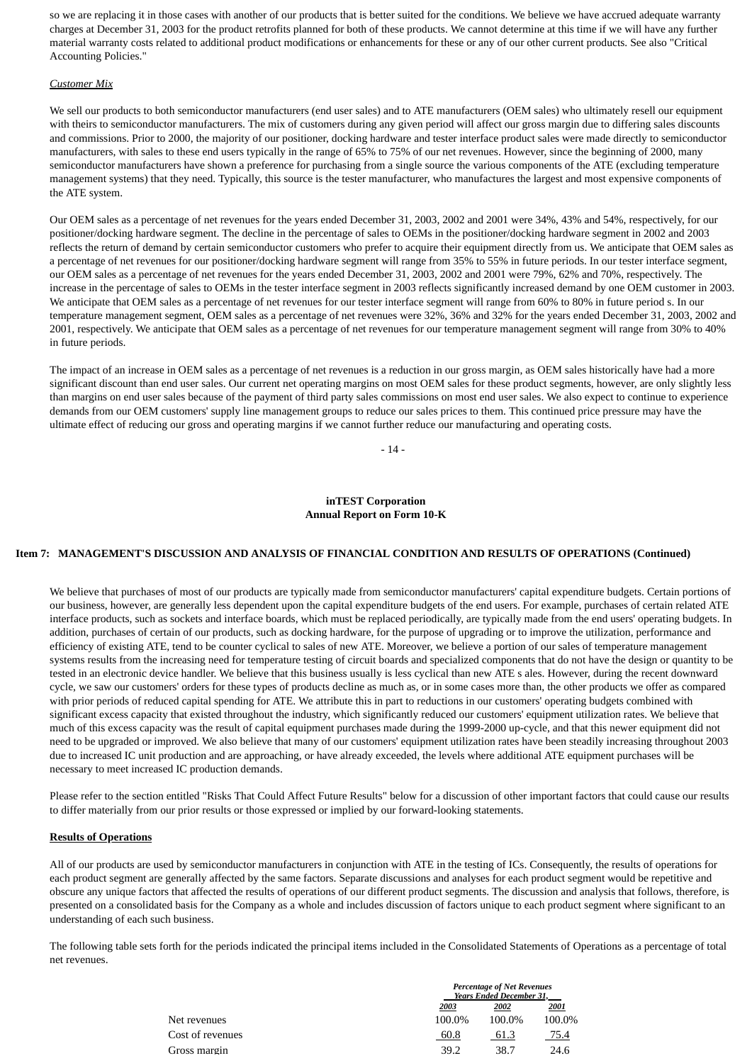so we are replacing it in those cases with another of our products that is better suited for the conditions. We believe we have accrued adequate warranty charges at December 31, 2003 for the product retrofits planned for both of these products. We cannot determine at this time if we will have any further material warranty costs related to additional product modifications or enhancements for these or any of our other current products. See also "Critical Accounting Policies."

#### *Customer Mix*

We sell our products to both semiconductor manufacturers (end user sales) and to ATE manufacturers (OEM sales) who ultimately resell our equipment with theirs to semiconductor manufacturers. The mix of customers during any given period will affect our gross margin due to differing sales discounts and commissions. Prior to 2000, the majority of our positioner, docking hardware and tester interface product sales were made directly to semiconductor manufacturers, with sales to these end users typically in the range of 65% to 75% of our net revenues. However, since the beginning of 2000, many semiconductor manufacturers have shown a preference for purchasing from a single source the various components of the ATE (excluding temperature management systems) that they need. Typically, this source is the tester manufacturer, who manufactures the largest and most expensive components of the ATE system.

Our OEM sales as a percentage of net revenues for the years ended December 31, 2003, 2002 and 2001 were 34%, 43% and 54%, respectively, for our positioner/docking hardware segment. The decline in the percentage of sales to OEMs in the positioner/docking hardware segment in 2002 and 2003 reflects the return of demand by certain semiconductor customers who prefer to acquire their equipment directly from us. We anticipate that OEM sales as a percentage of net revenues for our positioner/docking hardware segment will range from 35% to 55% in future periods. In our tester interface segment, our OEM sales as a percentage of net revenues for the years ended December 31, 2003, 2002 and 2001 were 79%, 62% and 70%, respectively. The increase in the percentage of sales to OEMs in the tester interface segment in 2003 reflects significantly increased demand by one OEM customer in 2003. We anticipate that OEM sales as a percentage of net revenues for our tester interface segment will range from 60% to 80% in future period s. In our temperature management segment, OEM sales as a percentage of net revenues were 32%, 36% and 32% for the years ended December 31, 2003, 2002 and 2001, respectively. We anticipate that OEM sales as a percentage of net revenues for our temperature management segment will range from 30% to 40% in future periods.

The impact of an increase in OEM sales as a percentage of net revenues is a reduction in our gross margin, as OEM sales historically have had a more significant discount than end user sales. Our current net operating margins on most OEM sales for these product segments, however, are only slightly less than margins on end user sales because of the payment of third party sales commissions on most end user sales. We also expect to continue to experience demands from our OEM customers' supply line management groups to reduce our sales prices to them. This continued price pressure may have the ultimate effect of reducing our gross and operating margins if we cannot further reduce our manufacturing and operating costs.

- 14 -

#### **inTEST Corporation Annual Report on Form 10-K**

#### **Item 7: MANAGEMENT'S DISCUSSION AND ANALYSIS OF FINANCIAL CONDITION AND RESULTS OF OPERATIONS (Continued)**

We believe that purchases of most of our products are typically made from semiconductor manufacturers' capital expenditure budgets. Certain portions of our business, however, are generally less dependent upon the capital expenditure budgets of the end users. For example, purchases of certain related ATE interface products, such as sockets and interface boards, which must be replaced periodically, are typically made from the end users' operating budgets. In addition, purchases of certain of our products, such as docking hardware, for the purpose of upgrading or to improve the utilization, performance and efficiency of existing ATE, tend to be counter cyclical to sales of new ATE. Moreover, we believe a portion of our sales of temperature management systems results from the increasing need for temperature testing of circuit boards and specialized components that do not have the design or quantity to be tested in an electronic device handler. We believe that this business usually is less cyclical than new ATE s ales. However, during the recent downward cycle, we saw our customers' orders for these types of products decline as much as, or in some cases more than, the other products we offer as compared with prior periods of reduced capital spending for ATE. We attribute this in part to reductions in our customers' operating budgets combined with significant excess capacity that existed throughout the industry, which significantly reduced our customers' equipment utilization rates. We believe that much of this excess capacity was the result of capital equipment purchases made during the 1999-2000 up-cycle, and that this newer equipment did not need to be upgraded or improved. We also believe that many of our customers' equipment utilization rates have been steadily increasing throughout 2003 due to increased IC unit production and are approaching, or have already exceeded, the levels where additional ATE equipment purchases will be necessary to meet increased IC production demands.

Please refer to the section entitled "Risks That Could Affect Future Results" below for a discussion of other important factors that could cause our results to differ materially from our prior results or those expressed or implied by our forward-looking statements.

#### **Results of Operations**

All of our products are used by semiconductor manufacturers in conjunction with ATE in the testing of ICs. Consequently, the results of operations for each product segment are generally affected by the same factors. Separate discussions and analyses for each product segment would be repetitive and obscure any unique factors that affected the results of operations of our different product segments. The discussion and analysis that follows, therefore, is presented on a consolidated basis for the Company as a whole and includes discussion of factors unique to each product segment where significant to an understanding of each such business.

The following table sets forth for the periods indicated the principal items included in the Consolidated Statements of Operations as a percentage of total net revenues.

| <b>Percentage of Net Revenues</b><br><b>Years Ended December 31,</b> |  |  |  |  |
|----------------------------------------------------------------------|--|--|--|--|
| 2001                                                                 |  |  |  |  |
| 100.0%<br>100.0%                                                     |  |  |  |  |
| 75.4                                                                 |  |  |  |  |
| 24.6                                                                 |  |  |  |  |
| 61.3<br>38.7                                                         |  |  |  |  |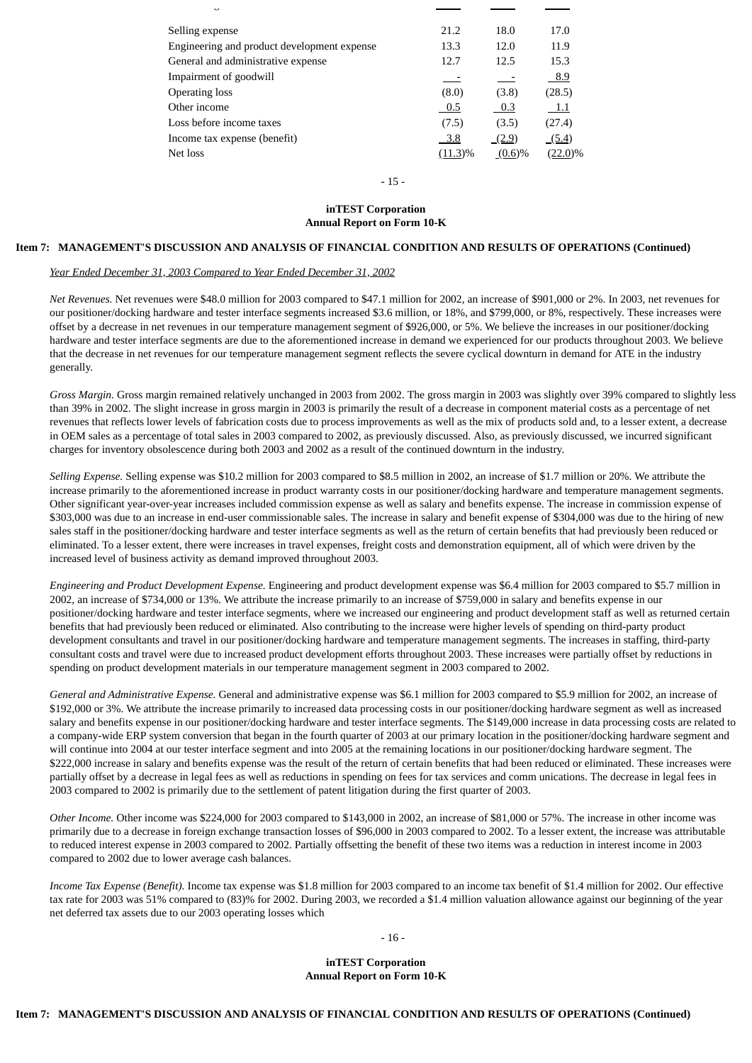| ں                                           |            |           |            |
|---------------------------------------------|------------|-----------|------------|
| Selling expense                             | 21.2       | 18.0      | 17.0       |
| Engineering and product development expense | 13.3       | 12.0      | 11.9       |
| General and administrative expense          | 12.7       | 12.5      | 15.3       |
| Impairment of goodwill                      |            |           | - 8.9      |
| <b>Operating loss</b>                       | (8.0)      | (3.8)     | (28.5)     |
| Other income                                | $0.5\,$    | 0.3       | - 1.1      |
| Loss before income taxes                    | (7.5)      | (3.5)     | (27.4)     |
| Income tax expense (benefit)                | $-3.8$     | (2.9)     | (5.4)      |
| Net loss                                    | $(11.3)\%$ | $(0.6)\%$ | $(22.0)\%$ |

- 15 -

#### **inTEST Corporation Annual Report on Form 10-K**

#### **Item 7: MANAGEMENT'S DISCUSSION AND ANALYSIS OF FINANCIAL CONDITION AND RESULTS OF OPERATIONS (Continued)**

#### *Year Ended December 31, 2003 Compared to Year Ended December 31, 2002*

*Net Revenues.* Net revenues were \$48.0 million for 2003 compared to \$47.1 million for 2002, an increase of \$901,000 or 2%. In 2003, net revenues for our positioner/docking hardware and tester interface segments increased \$3.6 million, or 18%, and \$799,000, or 8%, respectively. These increases were offset by a decrease in net revenues in our temperature management segment of \$926,000, or 5%. We believe the increases in our positioner/docking hardware and tester interface segments are due to the aforementioned increase in demand we experienced for our products throughout 2003. We believe that the decrease in net revenues for our temperature management segment reflects the severe cyclical downturn in demand for ATE in the industry generally.

*Gross Margin.* Gross margin remained relatively unchanged in 2003 from 2002. The gross margin in 2003 was slightly over 39% compared to slightly less than 39% in 2002. The slight increase in gross margin in 2003 is primarily the result of a decrease in component material costs as a percentage of net revenues that reflects lower levels of fabrication costs due to process improvements as well as the mix of products sold and, to a lesser extent, a decrease in OEM sales as a percentage of total sales in 2003 compared to 2002, as previously discussed. Also, as previously discussed, we incurred significant charges for inventory obsolescence during both 2003 and 2002 as a result of the continued downturn in the industry.

*Selling Expense.* Selling expense was \$10.2 million for 2003 compared to \$8.5 million in 2002, an increase of \$1.7 million or 20%. We attribute the increase primarily to the aforementioned increase in product warranty costs in our positioner/docking hardware and temperature management segments. Other significant year-over-year increases included commission expense as well as salary and benefits expense. The increase in commission expense of \$303,000 was due to an increase in end-user commissionable sales. The increase in salary and benefit expense of \$304,000 was due to the hiring of new sales staff in the positioner/docking hardware and tester interface segments as well as the return of certain benefits that had previously been reduced or eliminated. To a lesser extent, there were increases in travel expenses, freight costs and demonstration equipment, all of which were driven by the increased level of business activity as demand improved throughout 2003.

*Engineering and Product Development Expense.* Engineering and product development expense was \$6.4 million for 2003 compared to \$5.7 million in 2002, an increase of \$734,000 or 13%. We attribute the increase primarily to an increase of \$759,000 in salary and benefits expense in our positioner/docking hardware and tester interface segments, where we increased our engineering and product development staff as well as returned certain benefits that had previously been reduced or eliminated. Also contributing to the increase were higher levels of spending on third-party product development consultants and travel in our positioner/docking hardware and temperature management segments. The increases in staffing, third-party consultant costs and travel were due to increased product development efforts throughout 2003. These increases were partially offset by reductions in spending on product development materials in our temperature management segment in 2003 compared to 2002.

*General and Administrative Expense.* General and administrative expense was \$6.1 million for 2003 compared to \$5.9 million for 2002, an increase of \$192,000 or 3%. We attribute the increase primarily to increased data processing costs in our positioner/docking hardware segment as well as increased salary and benefits expense in our positioner/docking hardware and tester interface segments. The \$149,000 increase in data processing costs are related to a company-wide ERP system conversion that began in the fourth quarter of 2003 at our primary location in the positioner/docking hardware segment and will continue into 2004 at our tester interface segment and into 2005 at the remaining locations in our positioner/docking hardware segment. The \$222,000 increase in salary and benefits expense was the result of the return of certain benefits that had been reduced or eliminated. These increases were partially offset by a decrease in legal fees as well as reductions in spending on fees for tax services and comm unications. The decrease in legal fees in 2003 compared to 2002 is primarily due to the settlement of patent litigation during the first quarter of 2003.

*Other Income.* Other income was \$224,000 for 2003 compared to \$143,000 in 2002, an increase of \$81,000 or 57%. The increase in other income was primarily due to a decrease in foreign exchange transaction losses of \$96,000 in 2003 compared to 2002. To a lesser extent, the increase was attributable to reduced interest expense in 2003 compared to 2002. Partially offsetting the benefit of these two items was a reduction in interest income in 2003 compared to 2002 due to lower average cash balances.

*Income Tax Expense (Benefit).* Income tax expense was \$1.8 million for 2003 compared to an income tax benefit of \$1.4 million for 2002. Our effective tax rate for 2003 was 51% compared to (83)% for 2002. During 2003, we recorded a \$1.4 million valuation allowance against our beginning of the year net deferred tax assets due to our 2003 operating losses which

- 16 -

**inTEST Corporation Annual Report on Form 10-K**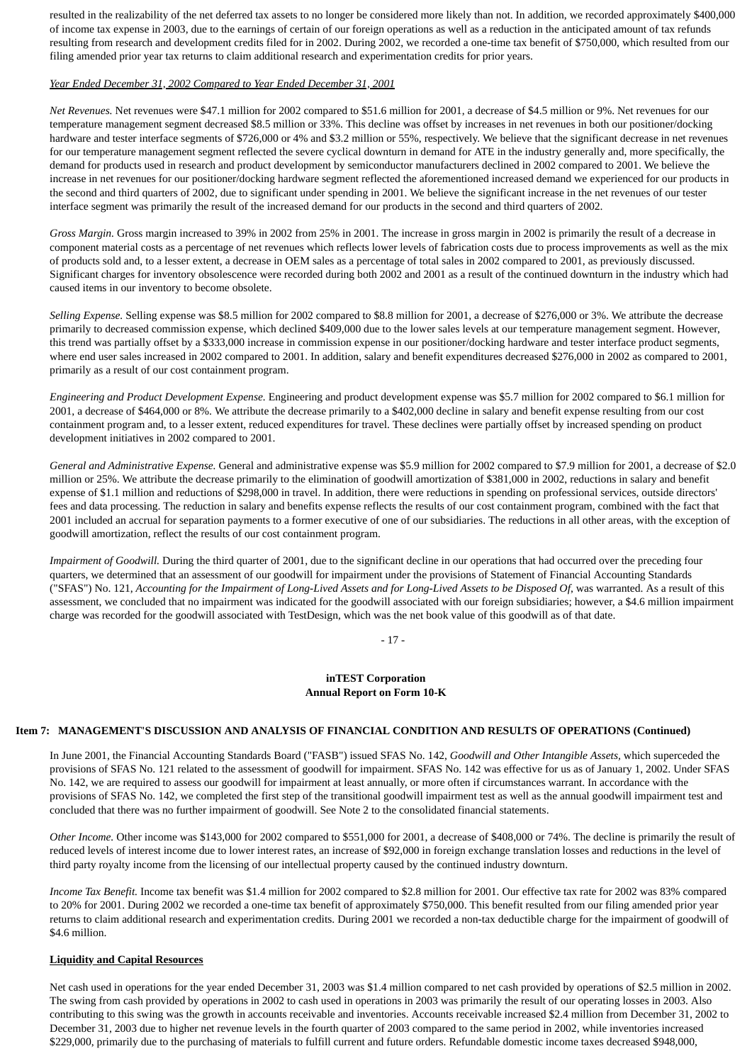resulted in the realizability of the net deferred tax assets to no longer be considered more likely than not. In addition, we recorded approximately \$400,000 of income tax expense in 2003, due to the earnings of certain of our foreign operations as well as a reduction in the anticipated amount of tax refunds resulting from research and development credits filed for in 2002. During 2002, we recorded a one-time tax benefit of \$750,000, which resulted from our filing amended prior year tax returns to claim additional research and experimentation credits for prior years.

#### *Year Ended December 31, 2002 Compared to Year Ended December 31, 2001*

*Net Revenues.* Net revenues were \$47.1 million for 2002 compared to \$51.6 million for 2001, a decrease of \$4.5 million or 9%. Net revenues for our temperature management segment decreased \$8.5 million or 33%. This decline was offset by increases in net revenues in both our positioner/docking hardware and tester interface segments of \$726,000 or 4% and \$3.2 million or 55%, respectively. We believe that the significant decrease in net revenues for our temperature management segment reflected the severe cyclical downturn in demand for ATE in the industry generally and, more specifically, the demand for products used in research and product development by semiconductor manufacturers declined in 2002 compared to 2001. We believe the increase in net revenues for our positioner/docking hardware segment reflected the aforementioned increased demand we experienced for our products in the second and third quarters of 2002, due to significant under spending in 2001. We believe the significant increase in the net revenues of our tester interface segment was primarily the result of the increased demand for our products in the second and third quarters of 2002.

*Gross Margin.* Gross margin increased to 39% in 2002 from 25% in 2001. The increase in gross margin in 2002 is primarily the result of a decrease in component material costs as a percentage of net revenues which reflects lower levels of fabrication costs due to process improvements as well as the mix of products sold and, to a lesser extent, a decrease in OEM sales as a percentage of total sales in 2002 compared to 2001, as previously discussed. Significant charges for inventory obsolescence were recorded during both 2002 and 2001 as a result of the continued downturn in the industry which had caused items in our inventory to become obsolete.

*Selling Expense.* Selling expense was \$8.5 million for 2002 compared to \$8.8 million for 2001, a decrease of \$276,000 or 3%. We attribute the decrease primarily to decreased commission expense, which declined \$409,000 due to the lower sales levels at our temperature management segment. However, this trend was partially offset by a \$333,000 increase in commission expense in our positioner/docking hardware and tester interface product segments, where end user sales increased in 2002 compared to 2001. In addition, salary and benefit expenditures decreased \$276,000 in 2002 as compared to 2001, primarily as a result of our cost containment program.

*Engineering and Product Development Expense.* Engineering and product development expense was \$5.7 million for 2002 compared to \$6.1 million for 2001, a decrease of \$464,000 or 8%. We attribute the decrease primarily to a \$402,000 decline in salary and benefit expense resulting from our cost containment program and, to a lesser extent, reduced expenditures for travel. These declines were partially offset by increased spending on product development initiatives in 2002 compared to 2001.

*General and Administrative Expense.* General and administrative expense was \$5.9 million for 2002 compared to \$7.9 million for 2001, a decrease of \$2.0 million or 25%. We attribute the decrease primarily to the elimination of goodwill amortization of \$381,000 in 2002, reductions in salary and benefit expense of \$1.1 million and reductions of \$298,000 in travel. In addition, there were reductions in spending on professional services, outside directors' fees and data processing. The reduction in salary and benefits expense reflects the results of our cost containment program, combined with the fact that 2001 included an accrual for separation payments to a former executive of one of our subsidiaries. The reductions in all other areas, with the exception of goodwill amortization, reflect the results of our cost containment program.

*Impairment of Goodwill.* During the third quarter of 2001, due to the significant decline in our operations that had occurred over the preceding four quarters, we determined that an assessment of our goodwill for impairment under the provisions of Statement of Financial Accounting Standards ("SFAS") No. 121, *Accounting for the Impairment of Long-Lived Assets and for Long-Lived Assets to be Disposed Of*, was warranted. As a result of this assessment, we concluded that no impairment was indicated for the goodwill associated with our foreign subsidiaries; however, a \$4.6 million impairment charge was recorded for the goodwill associated with TestDesign, which was the net book value of this goodwill as of that date.

- 17 -

#### **inTEST Corporation Annual Report on Form 10-K**

#### **Item 7: MANAGEMENT'S DISCUSSION AND ANALYSIS OF FINANCIAL CONDITION AND RESULTS OF OPERATIONS (Continued)**

In June 2001, the Financial Accounting Standards Board ("FASB") issued SFAS No. 142, *Goodwill and Other Intangible Assets,* which superceded the provisions of SFAS No. 121 related to the assessment of goodwill for impairment. SFAS No. 142 was effective for us as of January 1, 2002. Under SFAS No. 142, we are required to assess our goodwill for impairment at least annually, or more often if circumstances warrant. In accordance with the provisions of SFAS No. 142, we completed the first step of the transitional goodwill impairment test as well as the annual goodwill impairment test and concluded that there was no further impairment of goodwill. See Note 2 to the consolidated financial statements.

*Other Income.* Other income was \$143,000 for 2002 compared to \$551,000 for 2001, a decrease of \$408,000 or 74%. The decline is primarily the result of reduced levels of interest income due to lower interest rates, an increase of \$92,000 in foreign exchange translation losses and reductions in the level of third party royalty income from the licensing of our intellectual property caused by the continued industry downturn.

*Income Tax Benefit.* Income tax benefit was \$1.4 million for 2002 compared to \$2.8 million for 2001. Our effective tax rate for 2002 was 83% compared to 20% for 2001. During 2002 we recorded a one-time tax benefit of approximately \$750,000. This benefit resulted from our filing amended prior year returns to claim additional research and experimentation credits. During 2001 we recorded a non-tax deductible charge for the impairment of goodwill of \$4.6 million.

#### **Liquidity and Capital Resources**

Net cash used in operations for the year ended December 31, 2003 was \$1.4 million compared to net cash provided by operations of \$2.5 million in 2002. The swing from cash provided by operations in 2002 to cash used in operations in 2003 was primarily the result of our operating losses in 2003. Also contributing to this swing was the growth in accounts receivable and inventories. Accounts receivable increased \$2.4 million from December 31, 2002 to December 31, 2003 due to higher net revenue levels in the fourth quarter of 2003 compared to the same period in 2002, while inventories increased \$229,000, primarily due to the purchasing of materials to fulfill current and future orders. Refundable domestic income taxes decreased \$948,000,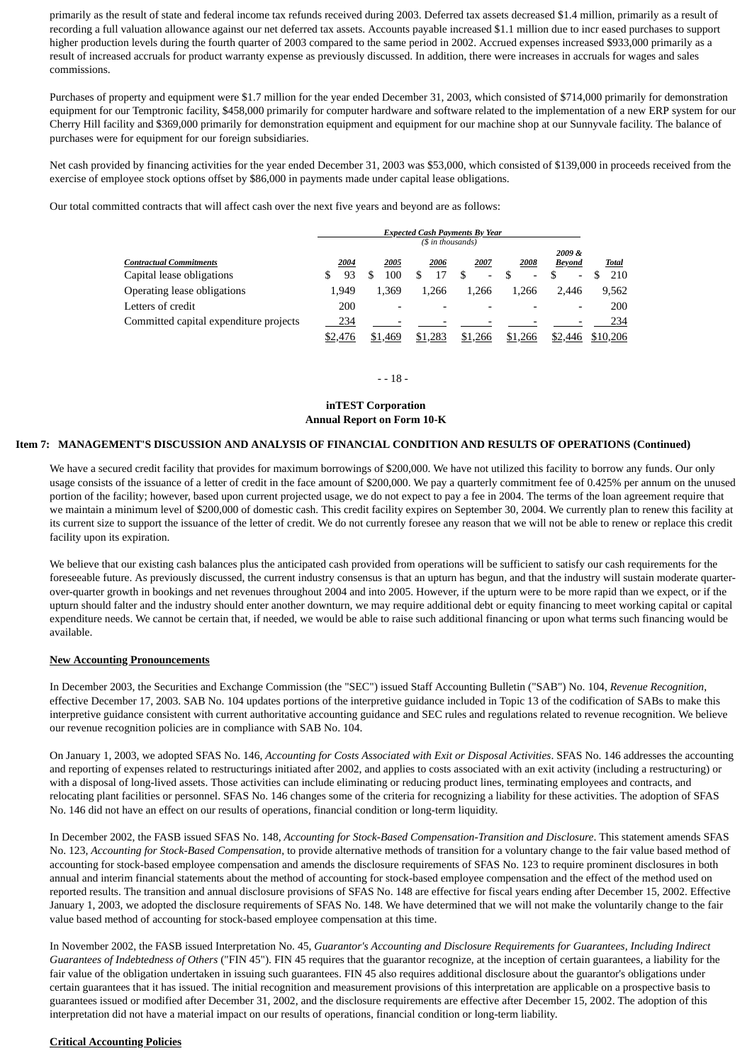primarily as the result of state and federal income tax refunds received during 2003. Deferred tax assets decreased \$1.4 million, primarily as a result of recording a full valuation allowance against our net deferred tax assets. Accounts payable increased \$1.1 million due to incr eased purchases to support higher production levels during the fourth quarter of 2003 compared to the same period in 2002. Accrued expenses increased \$933,000 primarily as a result of increased accruals for product warranty expense as previously discussed. In addition, there were increases in accruals for wages and sales commissions.

Purchases of property and equipment were \$1.7 million for the year ended December 31, 2003, which consisted of \$714,000 primarily for demonstration equipment for our Temptronic facility, \$458,000 primarily for computer hardware and software related to the implementation of a new ERP system for our Cherry Hill facility and \$369,000 primarily for demonstration equipment and equipment for our machine shop at our Sunnyvale facility. The balance of purchases were for equipment for our foreign subsidiaries.

Net cash provided by financing activities for the year ended December 31, 2003 was \$53,000, which consisted of \$139,000 in proceeds received from the exercise of employee stock options offset by \$86,000 in payments made under capital lease obligations.

Our total committed contracts that will affect cash over the next five years and beyond are as follows:

|                                        | <b>Expected Cash Payments By Year</b><br>(\$ in thousands) |                          |         |         |                          |                          |          |
|----------------------------------------|------------------------------------------------------------|--------------------------|---------|---------|--------------------------|--------------------------|----------|
| Contractual Commitments                | 2004                                                       | 2005                     | 2006    | 2007    | 2008                     | 2009&<br><b>Beyond</b>   | Total    |
| Capital lease obligations              | 93                                                         | 100                      | 17      | S<br>-  | $\overline{\phantom{0}}$ | $\overline{\phantom{a}}$ | 210      |
| <b>Operating lease obligations</b>     | 1.949                                                      | 1.369                    | 1.266   | 1.266   | 1.266                    | 2.446                    | 9,562    |
| Letters of credit                      | 200                                                        | $\overline{\phantom{0}}$ |         |         |                          |                          | 200      |
| Committed capital expenditure projects | 234                                                        |                          |         |         |                          |                          | 234      |
|                                        | \$2,476                                                    | \$1,469                  | \$1,283 | \$1,266 | \$1,266                  | \$2,446                  | \$10,206 |

- - 18 -

#### **inTEST Corporation Annual Report on Form 10-K**

#### **Item 7: MANAGEMENT'S DISCUSSION AND ANALYSIS OF FINANCIAL CONDITION AND RESULTS OF OPERATIONS (Continued)**

We have a secured credit facility that provides for maximum borrowings of \$200,000. We have not utilized this facility to borrow any funds. Our only usage consists of the issuance of a letter of credit in the face amount of \$200,000. We pay a quarterly commitment fee of 0.425% per annum on the unused portion of the facility; however, based upon current projected usage, we do not expect to pay a fee in 2004. The terms of the loan agreement require that we maintain a minimum level of \$200,000 of domestic cash. This credit facility expires on September 30, 2004. We currently plan to renew this facility at its current size to support the issuance of the letter of credit. We do not currently foresee any reason that we will not be able to renew or replace this credit facility upon its expiration.

We believe that our existing cash balances plus the anticipated cash provided from operations will be sufficient to satisfy our cash requirements for the foreseeable future. As previously discussed, the current industry consensus is that an upturn has begun, and that the industry will sustain moderate quarterover-quarter growth in bookings and net revenues throughout 2004 and into 2005. However, if the upturn were to be more rapid than we expect, or if the upturn should falter and the industry should enter another downturn, we may require additional debt or equity financing to meet working capital or capital expenditure needs. We cannot be certain that, if needed, we would be able to raise such additional financing or upon what terms such financing would be available.

#### **New Accounting Pronouncements**

In December 2003, the Securities and Exchange Commission (the "SEC") issued Staff Accounting Bulletin ("SAB") No. 104, *Revenue Recognition*, effective December 17, 2003. SAB No. 104 updates portions of the interpretive guidance included in Topic 13 of the codification of SABs to make this interpretive guidance consistent with current authoritative accounting guidance and SEC rules and regulations related to revenue recognition. We believe our revenue recognition policies are in compliance with SAB No. 104.

On January 1, 2003, we adopted SFAS No. 146, *Accounting for Costs Associated with Exit or Disposal Activities*. SFAS No. 146 addresses the accounting and reporting of expenses related to restructurings initiated after 2002, and applies to costs associated with an exit activity (including a restructuring) or with a disposal of long-lived assets. Those activities can include eliminating or reducing product lines, terminating employees and contracts, and relocating plant facilities or personnel. SFAS No. 146 changes some of the criteria for recognizing a liability for these activities. The adoption of SFAS No. 146 did not have an effect on our results of operations, financial condition or long-term liquidity.

In December 2002, the FASB issued SFAS No. 148, *Accounting for Stock-Based Compensation-Transition and Disclosure*. This statement amends SFAS No. 123, *Accounting for Stock-Based Compensation*, to provide alternative methods of transition for a voluntary change to the fair value based method of accounting for stock-based employee compensation and amends the disclosure requirements of SFAS No. 123 to require prominent disclosures in both annual and interim financial statements about the method of accounting for stock-based employee compensation and the effect of the method used on reported results. The transition and annual disclosure provisions of SFAS No. 148 are effective for fiscal years ending after December 15, 2002. Effective January 1, 2003, we adopted the disclosure requirements of SFAS No. 148. We have determined that we will not make the voluntarily change to the fair value based method of accounting for stock-based employee compensation at this time.

In November 2002, the FASB issued Interpretation No. 45, *Guarantor's Accounting and Disclosure Requirements for Guarantees, Including Indirect Guarantees of Indebtedness of Others* ("FIN 45"). FIN 45 requires that the guarantor recognize, at the inception of certain guarantees, a liability for the fair value of the obligation undertaken in issuing such guarantees. FIN 45 also requires additional disclosure about the guarantor's obligations under certain guarantees that it has issued. The initial recognition and measurement provisions of this interpretation are applicable on a prospective basis to guarantees issued or modified after December 31, 2002, and the disclosure requirements are effective after December 15, 2002. The adoption of this interpretation did not have a material impact on our results of operations, financial condition or long-term liability.

#### **Critical Accounting Policies**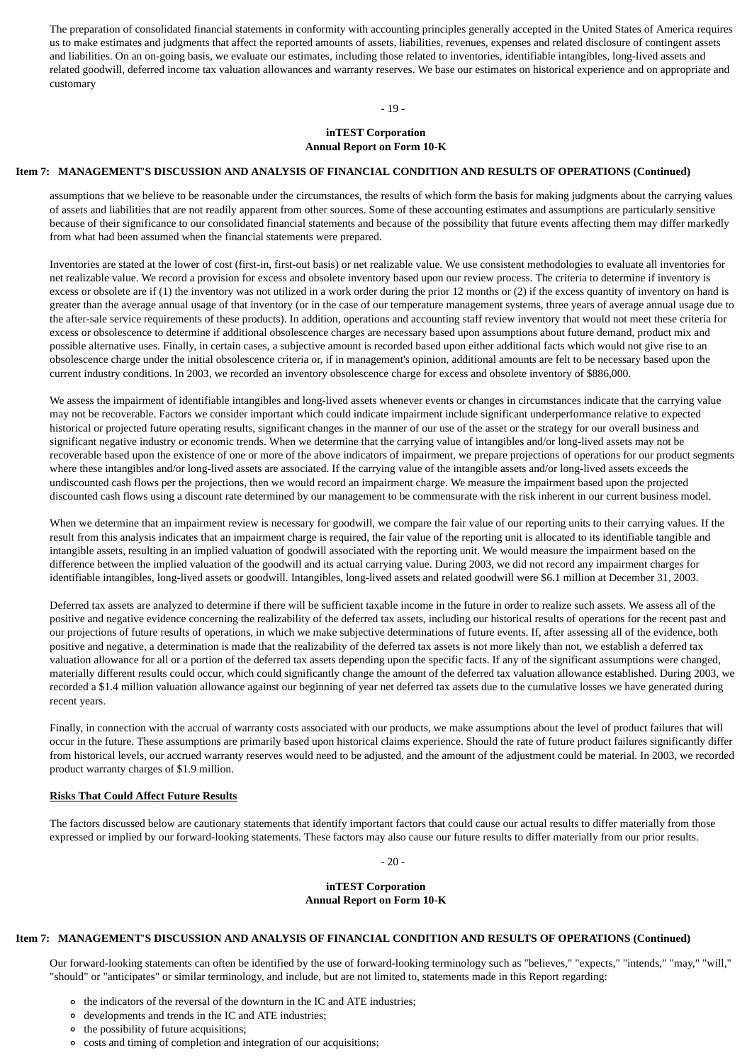The preparation of consolidated financial statements in conformity with accounting principles generally accepted in the United States of America requires us to make estimates and judgments that affect the reported amounts of assets, liabilities, revenues, expenses and related disclosure of contingent assets and liabilities. On an on-going basis, we evaluate our estimates, including those related to inventories, identifiable intangibles, long-lived assets and related goodwill, deferred income tax valuation allowances and warranty reserves. We base our estimates on historical experience and on appropriate and customary

 $-19 -$ 

#### **inTEST Corporation Annual Report on Form 10-K**

#### **Item 7: MANAGEMENT'S DISCUSSION AND ANALYSIS OF FINANCIAL CONDITION AND RESULTS OF OPERATIONS (Continued)**

assumptions that we believe to be reasonable under the circumstances, the results of which form the basis for making judgments about the carrying values of assets and liabilities that are not readily apparent from other sources. Some of these accounting estimates and assumptions are particularly sensitive because of their significance to our consolidated financial statements and because of the possibility that future events affecting them may differ markedly from what had been assumed when the financial statements were prepared.

Inventories are stated at the lower of cost (first-in, first-out basis) or net realizable value. We use consistent methodologies to evaluate all inventories for net realizable value. We record a provision for excess and obsolete inventory based upon our review process. The criteria to determine if inventory is excess or obsolete are if (1) the inventory was not utilized in a work order during the prior 12 months or (2) if the excess quantity of inventory on hand is greater than the average annual usage of that inventory (or in the case of our temperature management systems, three years of average annual usage due to the after-sale service requirements of these products). In addition, operations and accounting staff review inventory that would not meet these criteria for excess or obsolescence to determine if additional obsolescence charges are necessary based upon assumptions about future demand, product mix and possible alternative uses. Finally, in certain cases, a subjective amount is recorded based upon either additional facts which would not give rise to an obsolescence charge under the initial obsolescence criteria or, if in management's opinion, additional amounts are felt to be necessary based upon the current industry conditions. In 2003, we recorded an inventory obsolescence charge for excess and obsolete inventory of \$886,000.

We assess the impairment of identifiable intangibles and long-lived assets whenever events or changes in circumstances indicate that the carrying value may not be recoverable. Factors we consider important which could indicate impairment include significant underperformance relative to expected historical or projected future operating results, significant changes in the manner of our use of the asset or the strategy for our overall business and significant negative industry or economic trends. When we determine that the carrying value of intangibles and/or long-lived assets may not be recoverable based upon the existence of one or more of the above indicators of impairment, we prepare projections of operations for our product segments where these intangibles and/or long-lived assets are associated. If the carrying value of the intangible assets and/or long-lived assets exceeds the undiscounted cash flows per the projections, then we would record an impairment charge. We measure the impairment based upon the projected discounted cash flows using a discount rate determined by our management to be commensurate with the risk inherent in our current business model.

When we determine that an impairment review is necessary for goodwill, we compare the fair value of our reporting units to their carrying values. If the result from this analysis indicates that an impairment charge is required, the fair value of the reporting unit is allocated to its identifiable tangible and intangible assets, resulting in an implied valuation of goodwill associated with the reporting unit. We would measure the impairment based on the difference between the implied valuation of the goodwill and its actual carrying value. During 2003, we did not record any impairment charges for identifiable intangibles, long-lived assets or goodwill. Intangibles, long-lived assets and related goodwill were \$6.1 million at December 31, 2003.

Deferred tax assets are analyzed to determine if there will be sufficient taxable income in the future in order to realize such assets. We assess all of the positive and negative evidence concerning the realizability of the deferred tax assets, including our historical results of operations for the recent past and our projections of future results of operations, in which we make subjective determinations of future events. If, after assessing all of the evidence, both positive and negative, a determination is made that the realizability of the deferred tax assets is not more likely than not, we establish a deferred tax valuation allowance for all or a portion of the deferred tax assets depending upon the specific facts. If any of the significant assumptions were changed, materially different results could occur, which could significantly change the amount of the deferred tax valuation allowance established. During 2003, we recorded a \$1.4 million valuation allowance against our beginning of year net deferred tax assets due to the cumulative losses we have generated during recent years.

Finally, in connection with the accrual of warranty costs associated with our products, we make assumptions about the level of product failures that will occur in the future. These assumptions are primarily based upon historical claims experience. Should the rate of future product failures significantly differ from historical levels, our accrued warranty reserves would need to be adjusted, and the amount of the adjustment could be material. In 2003, we recorded product warranty charges of \$1.9 million.

#### **Risks That Could Affect Future Results**

The factors discussed below are cautionary statements that identify important factors that could cause our actual results to differ materially from those expressed or implied by our forward-looking statements. These factors may also cause our future results to differ materially from our prior results.

- 20 -

#### **inTEST Corporation Annual Report on Form 10-K**

#### **Item 7: MANAGEMENT'S DISCUSSION AND ANALYSIS OF FINANCIAL CONDITION AND RESULTS OF OPERATIONS (Continued)**

Our forward-looking statements can often be identified by the use of forward-looking terminology such as "believes," "expects," "intends," "may," "will," "should" or "anticipates" or similar terminology, and include, but are not limited to, statements made in this Report regarding:

- the indicators of the reversal of the downturn in the IC and ATE industries;
- developments and trends in the IC and ATE industries;
- the possibility of future acquisitions;
- costs and timing of completion and integration of our acquisitions;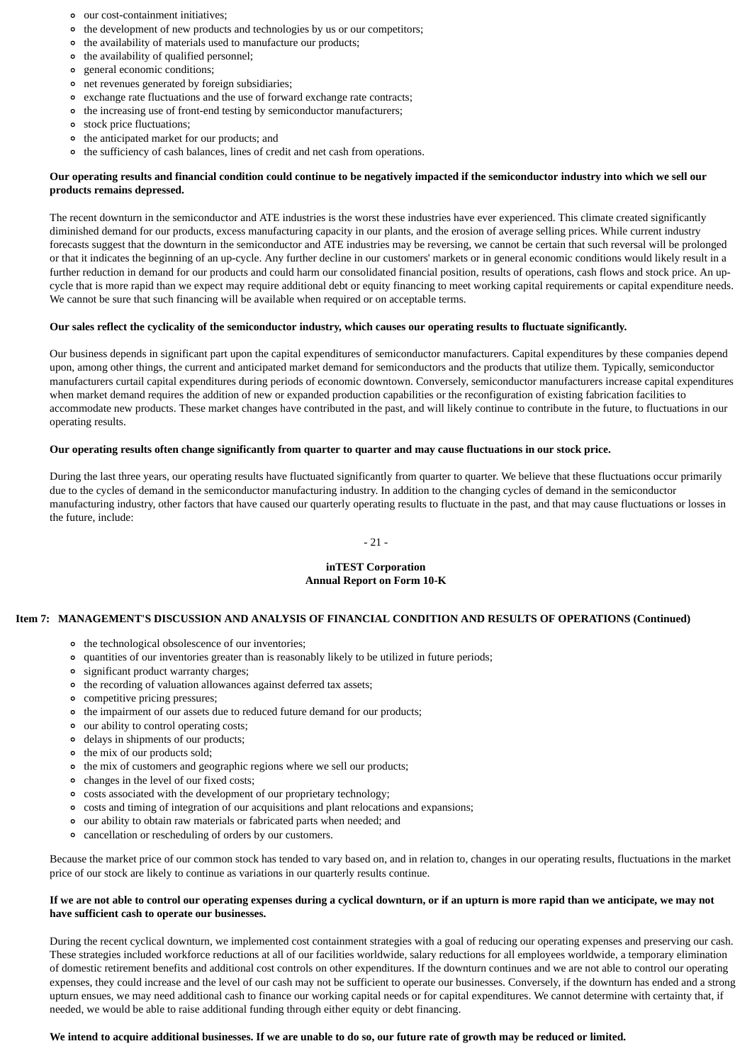- our cost-containment initiatives;
- the development of new products and technologies by us or our competitors;
- the availability of materials used to manufacture our products;
- the availability of qualified personnel;
- $\circ$ general economic conditions;
- net revenues generated by foreign subsidiaries;
- exchange rate fluctuations and the use of forward exchange rate contracts;
- the increasing use of front-end testing by semiconductor manufacturers;
- stock price fluctuations;
- the anticipated market for our products; and
- the sufficiency of cash balances, lines of credit and net cash from operations.

### **Our operating results and financial condition could continue to be negatively impacted if the semiconductor industry into which we sell our products remains depressed.**

The recent downturn in the semiconductor and ATE industries is the worst these industries have ever experienced. This climate created significantly diminished demand for our products, excess manufacturing capacity in our plants, and the erosion of average selling prices. While current industry forecasts suggest that the downturn in the semiconductor and ATE industries may be reversing, we cannot be certain that such reversal will be prolonged or that it indicates the beginning of an up-cycle. Any further decline in our customers' markets or in general economic conditions would likely result in a further reduction in demand for our products and could harm our consolidated financial position, results of operations, cash flows and stock price. An upcycle that is more rapid than we expect may require additional debt or equity financing to meet working capital requirements or capital expenditure needs. We cannot be sure that such financing will be available when required or on acceptable terms.

# **Our sales reflect the cyclicality of the semiconductor industry, which causes our operating results to fluctuate significantly.**

Our business depends in significant part upon the capital expenditures of semiconductor manufacturers. Capital expenditures by these companies depend upon, among other things, the current and anticipated market demand for semiconductors and the products that utilize them. Typically, semiconductor manufacturers curtail capital expenditures during periods of economic downtown. Conversely, semiconductor manufacturers increase capital expenditures when market demand requires the addition of new or expanded production capabilities or the reconfiguration of existing fabrication facilities to accommodate new products. These market changes have contributed in the past, and will likely continue to contribute in the future, to fluctuations in our operating results.

# **Our operating results often change significantly from quarter to quarter and may cause fluctuations in our stock price.**

During the last three years, our operating results have fluctuated significantly from quarter to quarter. We believe that these fluctuations occur primarily due to the cycles of demand in the semiconductor manufacturing industry. In addition to the changing cycles of demand in the semiconductor manufacturing industry, other factors that have caused our quarterly operating results to fluctuate in the past, and that may cause fluctuations or losses in the future, include:

#### - 21 -

#### **inTEST Corporation Annual Report on Form 10-K**

#### **Item 7: MANAGEMENT'S DISCUSSION AND ANALYSIS OF FINANCIAL CONDITION AND RESULTS OF OPERATIONS (Continued)**

- the technological obsolescence of our inventories;
- quantities of our inventories greater than is reasonably likely to be utilized in future periods;
- significant product warranty charges;
- the recording of valuation allowances against deferred tax assets;
- competitive pricing pressures;
- the impairment of our assets due to reduced future demand for our products;
- our ability to control operating costs;
- delays in shipments of our products;
- the mix of our products sold;
- the mix of customers and geographic regions where we sell our products;
- changes in the level of our fixed costs;
- costs associated with the development of our proprietary technology;
- costs and timing of integration of our acquisitions and plant relocations and expansions;
- our ability to obtain raw materials or fabricated parts when needed; and
- cancellation or rescheduling of orders by our customers.

Because the market price of our common stock has tended to vary based on, and in relation to, changes in our operating results, fluctuations in the market price of our stock are likely to continue as variations in our quarterly results continue.

#### **If we are not able to control our operating expenses during a cyclical downturn, or if an upturn is more rapid than we anticipate, we may not have sufficient cash to operate our businesses.**

During the recent cyclical downturn, we implemented cost containment strategies with a goal of reducing our operating expenses and preserving our cash. These strategies included workforce reductions at all of our facilities worldwide, salary reductions for all employees worldwide, a temporary elimination of domestic retirement benefits and additional cost controls on other expenditures. If the downturn continues and we are not able to control our operating expenses, they could increase and the level of our cash may not be sufficient to operate our businesses. Conversely, if the downturn has ended and a strong upturn ensues, we may need additional cash to finance our working capital needs or for capital expenditures. We cannot determine with certainty that, if needed, we would be able to raise additional funding through either equity or debt financing.

#### **We intend to acquire additional businesses. If we are unable to do so, our future rate of growth may be reduced or limited.**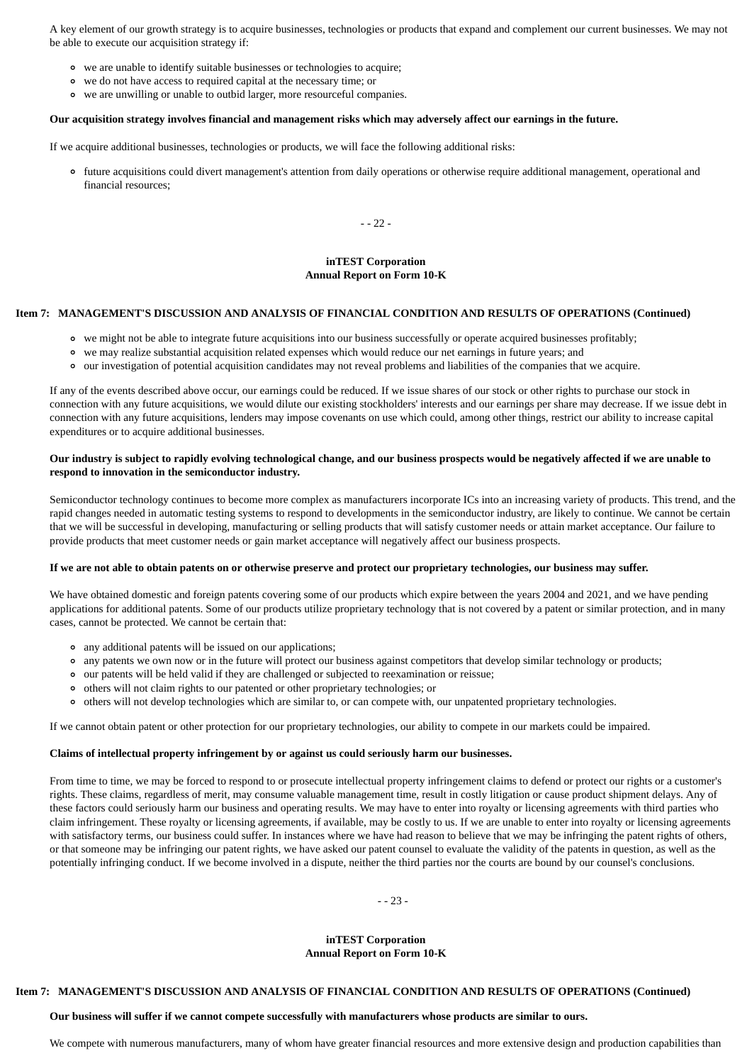A key element of our growth strategy is to acquire businesses, technologies or products that expand and complement our current businesses. We may not be able to execute our acquisition strategy if:

- we are unable to identify suitable businesses or technologies to acquire;
- we do not have access to required capital at the necessary time; or
- we are unwilling or unable to outbid larger, more resourceful companies.

#### **Our acquisition strategy involves financial and management risks which may adversely affect our earnings in the future.**

If we acquire additional businesses, technologies or products, we will face the following additional risks:

future acquisitions could divert management's attention from daily operations or otherwise require additional management, operational and financial resources;

- - 22 -

#### **inTEST Corporation Annual Report on Form 10-K**

### **Item 7: MANAGEMENT'S DISCUSSION AND ANALYSIS OF FINANCIAL CONDITION AND RESULTS OF OPERATIONS (Continued)**

- we might not be able to integrate future acquisitions into our business successfully or operate acquired businesses profitably;
- we may realize substantial acquisition related expenses which would reduce our net earnings in future years; and
- our investigation of potential acquisition candidates may not reveal problems and liabilities of the companies that we acquire.

If any of the events described above occur, our earnings could be reduced. If we issue shares of our stock or other rights to purchase our stock in connection with any future acquisitions, we would dilute our existing stockholders' interests and our earnings per share may decrease. If we issue debt in connection with any future acquisitions, lenders may impose covenants on use which could, among other things, restrict our ability to increase capital expenditures or to acquire additional businesses.

#### **Our industry is subject to rapidly evolving technological change, and our business prospects would be negatively affected if we are unable to respond to innovation in the semiconductor industry.**

Semiconductor technology continues to become more complex as manufacturers incorporate ICs into an increasing variety of products. This trend, and the rapid changes needed in automatic testing systems to respond to developments in the semiconductor industry, are likely to continue. We cannot be certain that we will be successful in developing, manufacturing or selling products that will satisfy customer needs or attain market acceptance. Our failure to provide products that meet customer needs or gain market acceptance will negatively affect our business prospects.

#### **If we are not able to obtain patents on or otherwise preserve and protect our proprietary technologies, our business may suffer.**

We have obtained domestic and foreign patents covering some of our products which expire between the years 2004 and 2021, and we have pending applications for additional patents. Some of our products utilize proprietary technology that is not covered by a patent or similar protection, and in many cases, cannot be protected. We cannot be certain that:

- any additional patents will be issued on our applications;
- any patents we own now or in the future will protect our business against competitors that develop similar technology or products;
- our patents will be held valid if they are challenged or subjected to reexamination or reissue;
- others will not claim rights to our patented or other proprietary technologies; or
- others will not develop technologies which are similar to, or can compete with, our unpatented proprietary technologies.

If we cannot obtain patent or other protection for our proprietary technologies, our ability to compete in our markets could be impaired.

#### **Claims of intellectual property infringement by or against us could seriously harm our businesses.**

From time to time, we may be forced to respond to or prosecute intellectual property infringement claims to defend or protect our rights or a customer's rights. These claims, regardless of merit, may consume valuable management time, result in costly litigation or cause product shipment delays. Any of these factors could seriously harm our business and operating results. We may have to enter into royalty or licensing agreements with third parties who claim infringement. These royalty or licensing agreements, if available, may be costly to us. If we are unable to enter into royalty or licensing agreements with satisfactory terms, our business could suffer. In instances where we have had reason to believe that we may be infringing the patent rights of others, or that someone may be infringing our patent rights, we have asked our patent counsel to evaluate the validity of the patents in question, as well as the potentially infringing conduct. If we become involved in a dispute, neither the third parties nor the courts are bound by our counsel's conclusions.

- - 23 -

#### **inTEST Corporation Annual Report on Form 10-K**

#### **Item 7: MANAGEMENT'S DISCUSSION AND ANALYSIS OF FINANCIAL CONDITION AND RESULTS OF OPERATIONS (Continued)**

#### **Our business will suffer if we cannot compete successfully with manufacturers whose products are similar to ours.**

We compete with numerous manufacturers, many of whom have greater financial resources and more extensive design and production capabilities than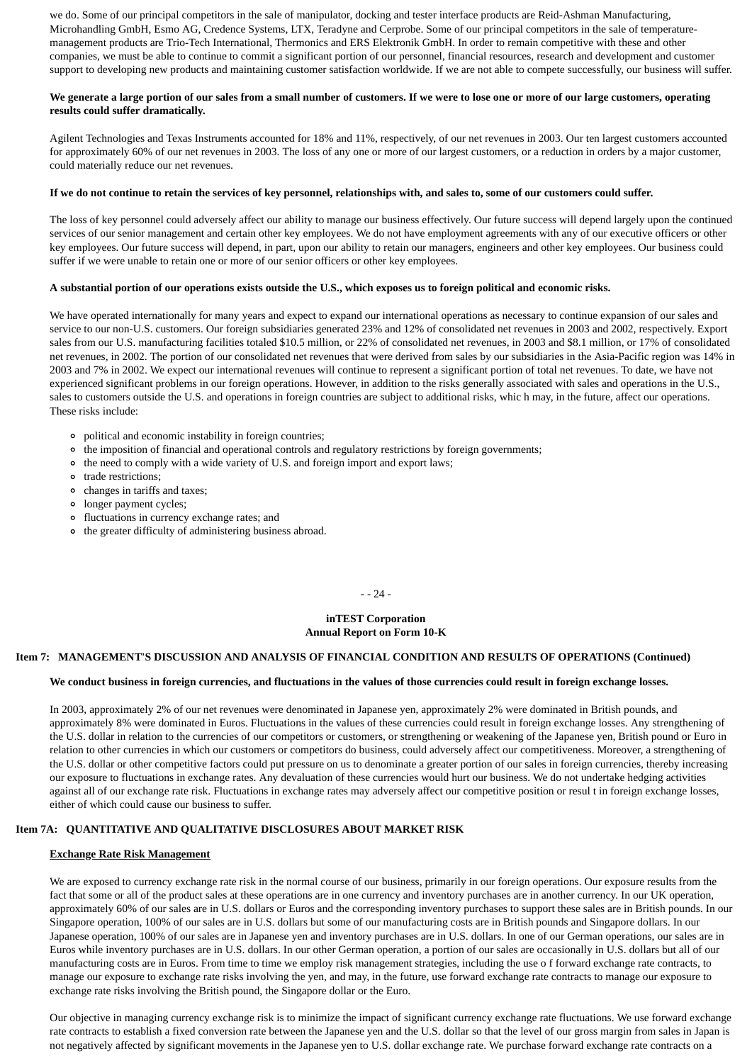we do. Some of our principal competitors in the sale of manipulator, docking and tester interface products are Reid-Ashman Manufacturing, Microhandling GmbH, Esmo AG, Credence Systems, LTX, Teradyne and Cerprobe. Some of our principal competitors in the sale of temperaturemanagement products are Trio-Tech International, Thermonics and ERS Elektronik GmbH. In order to remain competitive with these and other companies, we must be able to continue to commit a significant portion of our personnel, financial resources, research and development and customer support to developing new products and maintaining customer satisfaction worldwide. If we are not able to compete successfully, our business will suffer.

#### **We generate a large portion of our sales from a small number of customers. If we were to lose one or more of our large customers, operating results could suffer dramatically.**

Agilent Technologies and Texas Instruments accounted for 18% and 11%, respectively, of our net revenues in 2003. Our ten largest customers accounted for approximately 60% of our net revenues in 2003. The loss of any one or more of our largest customers, or a reduction in orders by a major customer, could materially reduce our net revenues.

#### **If we do not continue to retain the services of key personnel, relationships with, and sales to, some of our customers could suffer.**

The loss of key personnel could adversely affect our ability to manage our business effectively. Our future success will depend largely upon the continued services of our senior management and certain other key employees. We do not have employment agreements with any of our executive officers or other key employees. Our future success will depend, in part, upon our ability to retain our managers, engineers and other key employees. Our business could suffer if we were unable to retain one or more of our senior officers or other key employees.

#### **A substantial portion of our operations exists outside the U.S., which exposes us to foreign political and economic risks.**

We have operated internationally for many years and expect to expand our international operations as necessary to continue expansion of our sales and service to our non-U.S. customers. Our foreign subsidiaries generated 23% and 12% of consolidated net revenues in 2003 and 2002, respectively. Export sales from our U.S. manufacturing facilities totaled \$10.5 million, or 22% of consolidated net revenues, in 2003 and \$8.1 million, or 17% of consolidated net revenues, in 2002. The portion of our consolidated net revenues that were derived from sales by our subsidiaries in the Asia-Pacific region was 14% in 2003 and 7% in 2002. We expect our international revenues will continue to represent a significant portion of total net revenues. To date, we have not experienced significant problems in our foreign operations. However, in addition to the risks generally associated with sales and operations in the U.S., sales to customers outside the U.S. and operations in foreign countries are subject to additional risks, whic h may, in the future, affect our operations. These risks include:

- political and economic instability in foreign countries;
- the imposition of financial and operational controls and regulatory restrictions by foreign governments;
- the need to comply with a wide variety of U.S. and foreign import and export laws;
- trade restrictions;
- changes in tariffs and taxes;
- longer payment cycles;
- fluctuations in currency exchange rates; and
- the greater difficulty of administering business abroad.

- - 24 -

#### **inTEST Corporation Annual Report on Form 10-K**

#### **Item 7: MANAGEMENT'S DISCUSSION AND ANALYSIS OF FINANCIAL CONDITION AND RESULTS OF OPERATIONS (Continued)**

#### **We conduct business in foreign currencies, and fluctuations in the values of those currencies could result in foreign exchange losses.**

In 2003, approximately 2% of our net revenues were denominated in Japanese yen, approximately 2% were dominated in British pounds, and approximately 8% were dominated in Euros. Fluctuations in the values of these currencies could result in foreign exchange losses. Any strengthening of the U.S. dollar in relation to the currencies of our competitors or customers, or strengthening or weakening of the Japanese yen, British pound or Euro in relation to other currencies in which our customers or competitors do business, could adversely affect our competitiveness. Moreover, a strengthening of the U.S. dollar or other competitive factors could put pressure on us to denominate a greater portion of our sales in foreign currencies, thereby increasing our exposure to fluctuations in exchange rates. Any devaluation of these currencies would hurt our business. We do not undertake hedging activities against all of our exchange rate risk. Fluctuations in exchange rates may adversely affect our competitive position or resul t in foreign exchange losses, either of which could cause our business to suffer.

# **Item 7A: QUANTITATIVE AND QUALITATIVE DISCLOSURES ABOUT MARKET RISK**

#### **Exchange Rate Risk Management**

We are exposed to currency exchange rate risk in the normal course of our business, primarily in our foreign operations. Our exposure results from the fact that some or all of the product sales at these operations are in one currency and inventory purchases are in another currency. In our UK operation, approximately 60% of our sales are in U.S. dollars or Euros and the corresponding inventory purchases to support these sales are in British pounds. In our Singapore operation, 100% of our sales are in U.S. dollars but some of our manufacturing costs are in British pounds and Singapore dollars. In our Japanese operation, 100% of our sales are in Japanese yen and inventory purchases are in U.S. dollars. In one of our German operations, our sales are in Euros while inventory purchases are in U.S. dollars. In our other German operation, a portion of our sales are occasionally in U.S. dollars but all of our manufacturing costs are in Euros. From time to time we employ risk management strategies, including the use o f forward exchange rate contracts, to manage our exposure to exchange rate risks involving the yen, and may, in the future, use forward exchange rate contracts to manage our exposure to exchange rate risks involving the British pound, the Singapore dollar or the Euro.

Our objective in managing currency exchange risk is to minimize the impact of significant currency exchange rate fluctuations. We use forward exchange rate contracts to establish a fixed conversion rate between the Japanese yen and the U.S. dollar so that the level of our gross margin from sales in Japan is not negatively affected by significant movements in the Japanese yen to U.S. dollar exchange rate. We purchase forward exchange rate contracts on a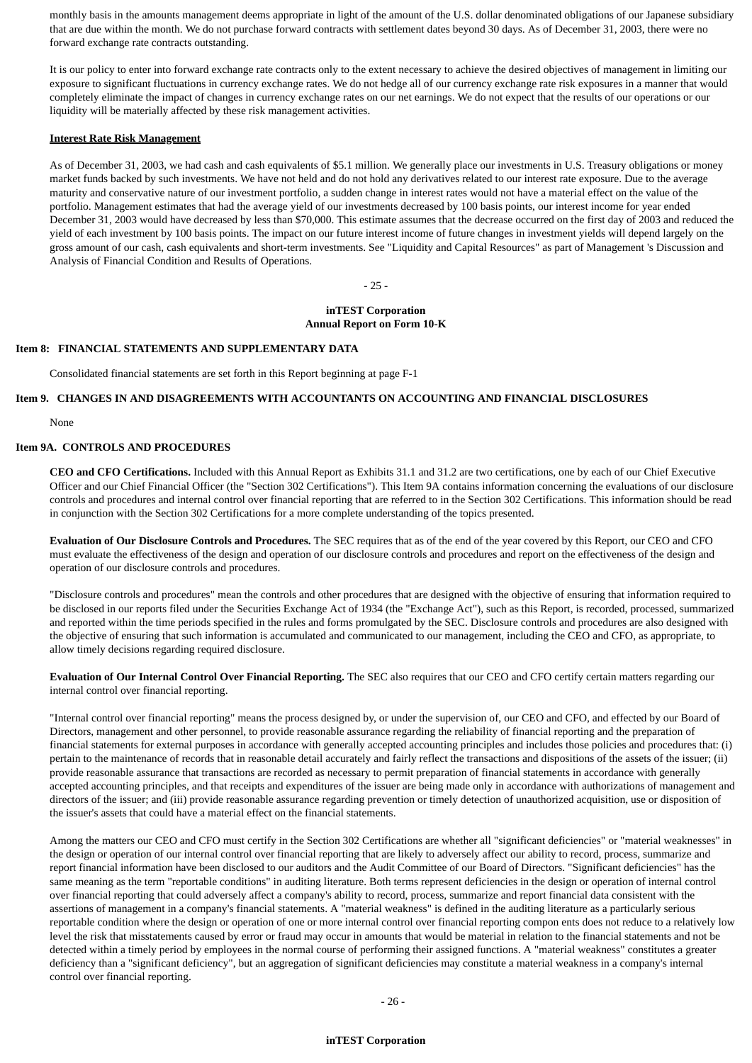monthly basis in the amounts management deems appropriate in light of the amount of the U.S. dollar denominated obligations of our Japanese subsidiary that are due within the month. We do not purchase forward contracts with settlement dates beyond 30 days. As of December 31, 2003, there were no forward exchange rate contracts outstanding.

It is our policy to enter into forward exchange rate contracts only to the extent necessary to achieve the desired objectives of management in limiting our exposure to significant fluctuations in currency exchange rates. We do not hedge all of our currency exchange rate risk exposures in a manner that would completely eliminate the impact of changes in currency exchange rates on our net earnings. We do not expect that the results of our operations or our liquidity will be materially affected by these risk management activities.

#### **Interest Rate Risk Management**

As of December 31, 2003, we had cash and cash equivalents of \$5.1 million. We generally place our investments in U.S. Treasury obligations or money market funds backed by such investments. We have not held and do not hold any derivatives related to our interest rate exposure. Due to the average maturity and conservative nature of our investment portfolio, a sudden change in interest rates would not have a material effect on the value of the portfolio. Management estimates that had the average yield of our investments decreased by 100 basis points, our interest income for year ended December 31, 2003 would have decreased by less than \$70,000. This estimate assumes that the decrease occurred on the first day of 2003 and reduced the yield of each investment by 100 basis points. The impact on our future interest income of future changes in investment yields will depend largely on the gross amount of our cash, cash equivalents and short-term investments. See "Liquidity and Capital Resources" as part of Management 's Discussion and Analysis of Financial Condition and Results of Operations.

- 25 -

#### **inTEST Corporation Annual Report on Form 10-K**

#### **Item 8: FINANCIAL STATEMENTS AND SUPPLEMENTARY DATA**

Consolidated financial statements are set forth in this Report beginning at page F-1

# **Item 9. CHANGES IN AND DISAGREEMENTS WITH ACCOUNTANTS ON ACCOUNTING AND FINANCIAL DISCLOSURES**

None

#### **Item 9A. CONTROLS AND PROCEDURES**

**CEO and CFO Certifications.** Included with this Annual Report as Exhibits 31.1 and 31.2 are two certifications, one by each of our Chief Executive Officer and our Chief Financial Officer (the "Section 302 Certifications"). This Item 9A contains information concerning the evaluations of our disclosure controls and procedures and internal control over financial reporting that are referred to in the Section 302 Certifications. This information should be read in conjunction with the Section 302 Certifications for a more complete understanding of the topics presented.

**Evaluation of Our Disclosure Controls and Procedures.** The SEC requires that as of the end of the year covered by this Report, our CEO and CFO must evaluate the effectiveness of the design and operation of our disclosure controls and procedures and report on the effectiveness of the design and operation of our disclosure controls and procedures.

"Disclosure controls and procedures" mean the controls and other procedures that are designed with the objective of ensuring that information required to be disclosed in our reports filed under the Securities Exchange Act of 1934 (the "Exchange Act"), such as this Report, is recorded, processed, summarized and reported within the time periods specified in the rules and forms promulgated by the SEC. Disclosure controls and procedures are also designed with the objective of ensuring that such information is accumulated and communicated to our management, including the CEO and CFO, as appropriate, to allow timely decisions regarding required disclosure.

**Evaluation of Our Internal Control Over Financial Reporting.** The SEC also requires that our CEO and CFO certify certain matters regarding our internal control over financial reporting.

"Internal control over financial reporting" means the process designed by, or under the supervision of, our CEO and CFO, and effected by our Board of Directors, management and other personnel, to provide reasonable assurance regarding the reliability of financial reporting and the preparation of financial statements for external purposes in accordance with generally accepted accounting principles and includes those policies and procedures that: (i) pertain to the maintenance of records that in reasonable detail accurately and fairly reflect the transactions and dispositions of the assets of the issuer; (ii) provide reasonable assurance that transactions are recorded as necessary to permit preparation of financial statements in accordance with generally accepted accounting principles, and that receipts and expenditures of the issuer are being made only in accordance with authorizations of management and directors of the issuer; and (iii) provide reasonable assurance regarding prevention or timely detection of unauthorized acquisition, use or disposition of the issuer's assets that could have a material effect on the financial statements.

Among the matters our CEO and CFO must certify in the Section 302 Certifications are whether all "significant deficiencies" or "material weaknesses" in the design or operation of our internal control over financial reporting that are likely to adversely affect our ability to record, process, summarize and report financial information have been disclosed to our auditors and the Audit Committee of our Board of Directors. "Significant deficiencies" has the same meaning as the term "reportable conditions" in auditing literature. Both terms represent deficiencies in the design or operation of internal control over financial reporting that could adversely affect a company's ability to record, process, summarize and report financial data consistent with the assertions of management in a company's financial statements. A "material weakness" is defined in the auditing literature as a particularly serious reportable condition where the design or operation of one or more internal control over financial reporting compon ents does not reduce to a relatively low level the risk that misstatements caused by error or fraud may occur in amounts that would be material in relation to the financial statements and not be detected within a timely period by employees in the normal course of performing their assigned functions. A "material weakness" constitutes a greater deficiency than a "significant deficiency", but an aggregation of significant deficiencies may constitute a material weakness in a company's internal control over financial reporting.

#### **inTEST Corporation**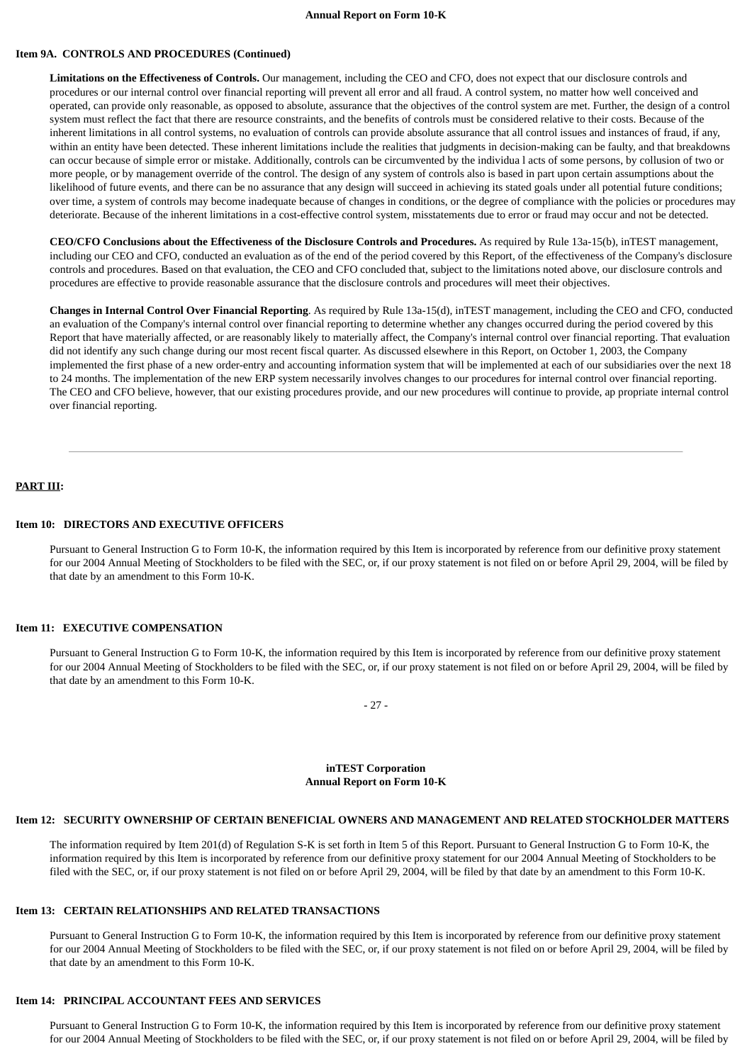#### **Annual Report on Form 10-K**

#### **Item 9A. CONTROLS AND PROCEDURES (Continued)**

**Limitations on the Effectiveness of Controls.** Our management, including the CEO and CFO, does not expect that our disclosure controls and procedures or our internal control over financial reporting will prevent all error and all fraud. A control system, no matter how well conceived and operated, can provide only reasonable, as opposed to absolute, assurance that the objectives of the control system are met. Further, the design of a control system must reflect the fact that there are resource constraints, and the benefits of controls must be considered relative to their costs. Because of the inherent limitations in all control systems, no evaluation of controls can provide absolute assurance that all control issues and instances of fraud, if any, within an entity have been detected. These inherent limitations include the realities that judgments in decision-making can be faulty, and that breakdowns can occur because of simple error or mistake. Additionally, controls can be circumvented by the individua l acts of some persons, by collusion of two or more people, or by management override of the control. The design of any system of controls also is based in part upon certain assumptions about the likelihood of future events, and there can be no assurance that any design will succeed in achieving its stated goals under all potential future conditions; over time, a system of controls may become inadequate because of changes in conditions, or the degree of compliance with the policies or procedures may deteriorate. Because of the inherent limitations in a cost-effective control system, misstatements due to error or fraud may occur and not be detected.

**CEO/CFO Conclusions about the Effectiveness of the Disclosure Controls and Procedures.** As required by Rule 13a-15(b), inTEST management, including our CEO and CFO, conducted an evaluation as of the end of the period covered by this Report, of the effectiveness of the Company's disclosure controls and procedures. Based on that evaluation, the CEO and CFO concluded that, subject to the limitations noted above, our disclosure controls and procedures are effective to provide reasonable assurance that the disclosure controls and procedures will meet their objectives.

**Changes in Internal Control Over Financial Reporting**. As required by Rule 13a-15(d), inTEST management, including the CEO and CFO, conducted an evaluation of the Company's internal control over financial reporting to determine whether any changes occurred during the period covered by this Report that have materially affected, or are reasonably likely to materially affect, the Company's internal control over financial reporting. That evaluation did not identify any such change during our most recent fiscal quarter. As discussed elsewhere in this Report, on October 1, 2003, the Company implemented the first phase of a new order-entry and accounting information system that will be implemented at each of our subsidiaries over the next 18 to 24 months. The implementation of the new ERP system necessarily involves changes to our procedures for internal control over financial reporting. The CEO and CFO believe, however, that our existing procedures provide, and our new procedures will continue to provide, ap propriate internal control over financial reporting.

#### **PART III:**

#### **Item 10: DIRECTORS AND EXECUTIVE OFFICERS**

Pursuant to General Instruction G to Form 10-K, the information required by this Item is incorporated by reference from our definitive proxy statement for our 2004 Annual Meeting of Stockholders to be filed with the SEC, or, if our proxy statement is not filed on or before April 29, 2004, will be filed by that date by an amendment to this Form 10-K.

#### **Item 11: EXECUTIVE COMPENSATION**

Pursuant to General Instruction G to Form 10-K, the information required by this Item is incorporated by reference from our definitive proxy statement for our 2004 Annual Meeting of Stockholders to be filed with the SEC, or, if our proxy statement is not filed on or before April 29, 2004, will be filed by that date by an amendment to this Form 10-K.

- 27 -

#### **inTEST Corporation Annual Report on Form 10-K**

#### **Item 12: SECURITY OWNERSHIP OF CERTAIN BENEFICIAL OWNERS AND MANAGEMENT AND RELATED STOCKHOLDER MATTERS**

The information required by Item 201(d) of Regulation S-K is set forth in Item 5 of this Report. Pursuant to General Instruction G to Form 10-K, the information required by this Item is incorporated by reference from our definitive proxy statement for our 2004 Annual Meeting of Stockholders to be filed with the SEC, or, if our proxy statement is not filed on or before April 29, 2004, will be filed by that date by an amendment to this Form 10-K.

#### **Item 13: CERTAIN RELATIONSHIPS AND RELATED TRANSACTIONS**

Pursuant to General Instruction G to Form 10-K, the information required by this Item is incorporated by reference from our definitive proxy statement for our 2004 Annual Meeting of Stockholders to be filed with the SEC, or, if our proxy statement is not filed on or before April 29, 2004, will be filed by that date by an amendment to this Form 10-K.

#### **Item 14: PRINCIPAL ACCOUNTANT FEES AND SERVICES**

Pursuant to General Instruction G to Form 10-K, the information required by this Item is incorporated by reference from our definitive proxy statement for our 2004 Annual Meeting of Stockholders to be filed with the SEC, or, if our proxy statement is not filed on or before April 29, 2004, will be filed by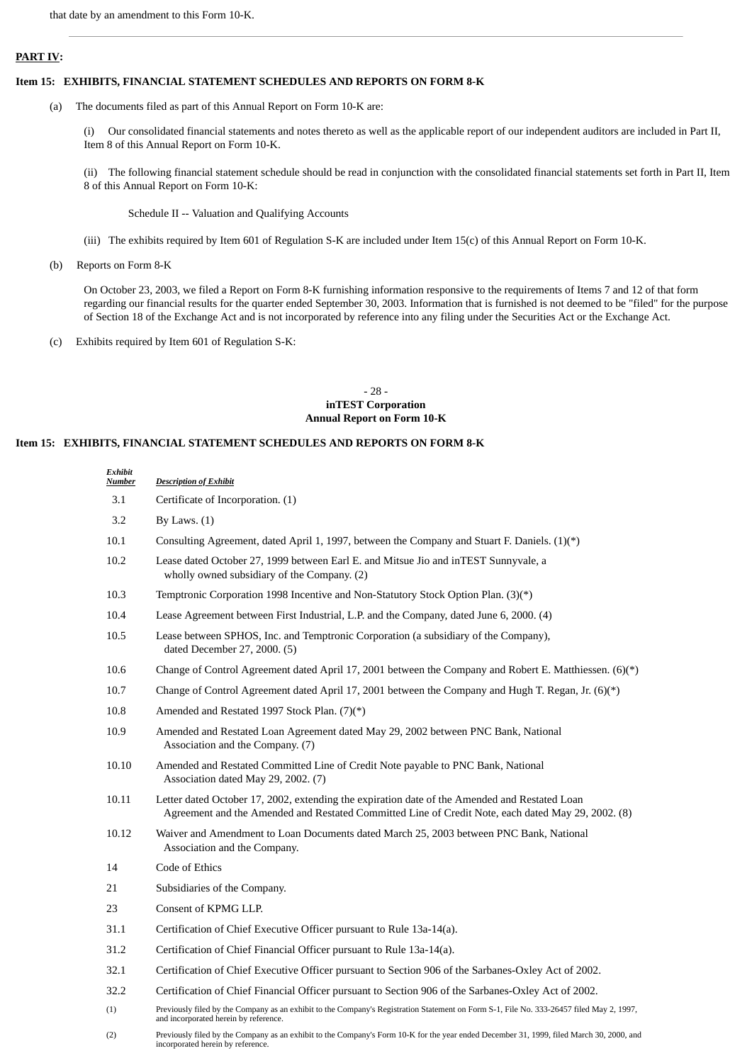#### **PART IV:**

#### **Item 15: EXHIBITS, FINANCIAL STATEMENT SCHEDULES AND REPORTS ON FORM 8-K**

(a) The documents filed as part of this Annual Report on Form 10-K are:

(i) Our consolidated financial statements and notes thereto as well as the applicable report of our independent auditors are included in Part II, Item 8 of this Annual Report on Form 10-K.

(ii) The following financial statement schedule should be read in conjunction with the consolidated financial statements set forth in Part II, Item 8 of this Annual Report on Form 10-K:

Schedule II -- Valuation and Qualifying Accounts

- (iii) The exhibits required by Item 601 of Regulation S-K are included under Item 15(c) of this Annual Report on Form 10-K.
- (b) Reports on Form 8-K

On October 23, 2003, we filed a Report on Form 8-K furnishing information responsive to the requirements of Items 7 and 12 of that form regarding our financial results for the quarter ended September 30, 2003. Information that is furnished is not deemed to be "filed" for the purpose of Section 18 of the Exchange Act and is not incorporated by reference into any filing under the Securities Act or the Exchange Act.

(c) Exhibits required by Item 601 of Regulation S-K:

#### - 28 **inTEST Corporation Annual Report on Form 10-K**

#### **Item 15: EXHIBITS, FINANCIAL STATEMENT SCHEDULES AND REPORTS ON FORM 8-K**

| Exhibit<br><b>Number</b> | <b>Description of Exhibit</b>                                                                                                                                                                       |
|--------------------------|-----------------------------------------------------------------------------------------------------------------------------------------------------------------------------------------------------|
| 3.1                      | Certificate of Incorporation. (1)                                                                                                                                                                   |
| 3.2                      | By Laws. $(1)$                                                                                                                                                                                      |
| 10.1                     | Consulting Agreement, dated April 1, 1997, between the Company and Stuart F. Daniels. $(1)(*)$                                                                                                      |
| 10.2                     | Lease dated October 27, 1999 between Earl E. and Mitsue Jio and inTEST Sunnyvale, a<br>wholly owned subsidiary of the Company. (2)                                                                  |
| 10.3                     | Temptronic Corporation 1998 Incentive and Non-Statutory Stock Option Plan. (3)(*)                                                                                                                   |
| 10.4                     | Lease Agreement between First Industrial, L.P. and the Company, dated June 6, 2000. (4)                                                                                                             |
| 10.5                     | Lease between SPHOS, Inc. and Temptronic Corporation (a subsidiary of the Company),<br>dated December 27, 2000. (5)                                                                                 |
| 10.6                     | Change of Control Agreement dated April 17, 2001 between the Company and Robert E. Matthiessen. (6)(*)                                                                                              |
| 10.7                     | Change of Control Agreement dated April 17, 2001 between the Company and Hugh T. Regan, Jr. (6)(*)                                                                                                  |
| 10.8                     | Amended and Restated 1997 Stock Plan. (7)(*)                                                                                                                                                        |
| 10.9                     | Amended and Restated Loan Agreement dated May 29, 2002 between PNC Bank, National<br>Association and the Company. (7)                                                                               |
| 10.10                    | Amended and Restated Committed Line of Credit Note payable to PNC Bank, National<br>Association dated May 29, 2002. (7)                                                                             |
| 10.11                    | Letter dated October 17, 2002, extending the expiration date of the Amended and Restated Loan<br>Agreement and the Amended and Restated Committed Line of Credit Note, each dated May 29, 2002. (8) |
| 10.12                    | Waiver and Amendment to Loan Documents dated March 25, 2003 between PNC Bank, National<br>Association and the Company.                                                                              |
| 14                       | Code of Ethics                                                                                                                                                                                      |
| 21                       | Subsidiaries of the Company.                                                                                                                                                                        |
| 23                       | Consent of KPMG LLP.                                                                                                                                                                                |
| 31.1                     | Certification of Chief Executive Officer pursuant to Rule 13a-14(a).                                                                                                                                |
| 31.2                     | Certification of Chief Financial Officer pursuant to Rule 13a-14(a).                                                                                                                                |
| 32.1                     | Certification of Chief Executive Officer pursuant to Section 906 of the Sarbanes-Oxley Act of 2002.                                                                                                 |
| 32.2                     | Certification of Chief Financial Officer pursuant to Section 906 of the Sarbanes-Oxley Act of 2002.                                                                                                 |
| (1)                      | Previously filed by the Company as an exhibit to the Company's Registration Statement on Form S-1, File No. 333-26457 filed May 2, 1997,<br>and incorporated herein by reference.                   |

(2) Previously filed by the Company as an exhibit to the Company's Form 10-K for the year ended December 31, 1999, filed March 30, 2000, and incorporated herein by reference.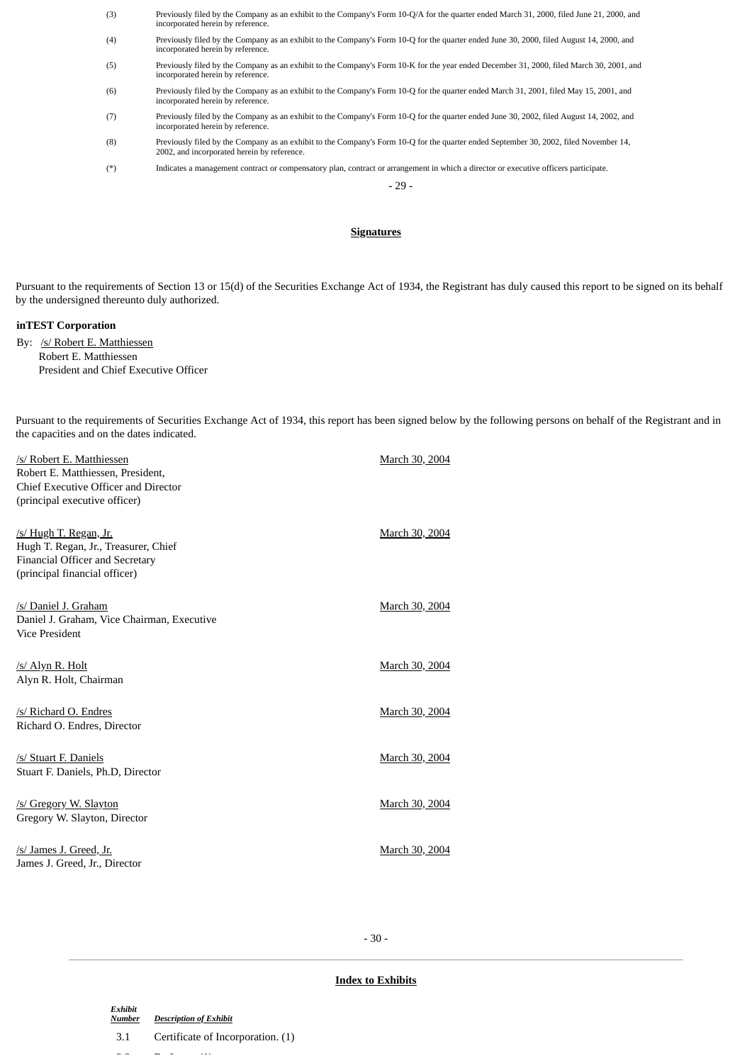(3) Previously filed by the Company as an exhibit to the Company's Form 10-Q/A for the quarter ended March 31, 2000, filed June 21, 2000, and incorporated herein by reference. (4) Previously filed by the Company as an exhibit to the Company's Form 10-Q for the quarter ended June 30, 2000, filed August 14, 2000, and incorporated herein by reference. (5) Previously filed by the Company as an exhibit to the Company's Form 10-K for the year ended December 31, 2000, filed March 30, 2001, and incorporated herein by reference. (6) Previously filed by the Company as an exhibit to the Company's Form 10-Q for the quarter ended March 31, 2001, filed May 15, 2001, and incorporated herein by reference. (7) Previously filed by the Company as an exhibit to the Company's Form 10-Q for the quarter ended June 30, 2002, filed August 14, 2002, and incorporated herein by reference. (8) Previously filed by the Company as an exhibit to the Company's Form 10-Q for the quarter ended September 30, 2002, filed November 14, 2002, and incorporated herein by reference. (\*) Indicates a management contract or compensatory plan, contract or arrangement in which a director or executive officers participate.

# **Signatures**

- 29 -

Pursuant to the requirements of Section 13 or 15(d) of the Securities Exchange Act of 1934, the Registrant has duly caused this report to be signed on its behalf by the undersigned thereunto duly authorized.

#### **inTEST Corporation**

By: /s/ Robert E. Matthiessen Robert E. Matthiessen President and Chief Executive Officer

Pursuant to the requirements of Securities Exchange Act of 1934, this report has been signed below by the following persons on behalf of the Registrant and in the capacities and on the dates indicated.

| /s/ Robert E. Matthiessen<br>Robert E. Matthiessen, President,<br>Chief Executive Officer and Director<br>(principal executive officer)          | March 30, 2004 |
|--------------------------------------------------------------------------------------------------------------------------------------------------|----------------|
| <u>/s/ Hugh T. Regan, Jr.</u><br>Hugh T. Regan, Jr., Treasurer, Chief<br><b>Financial Officer and Secretary</b><br>(principal financial officer) | March 30, 2004 |
| /s/ Daniel J. Graham<br>Daniel J. Graham, Vice Chairman, Executive<br><b>Vice President</b>                                                      | March 30, 2004 |
| /s/ Alyn R. Holt<br>Alyn R. Holt, Chairman                                                                                                       | March 30, 2004 |
| /s/ Richard O. Endres<br>Richard O. Endres, Director                                                                                             | March 30, 2004 |
| /s/ Stuart F. Daniels<br>Stuart F. Daniels, Ph.D, Director                                                                                       | March 30, 2004 |
| /s/ Gregory W. Slayton<br>Gregory W. Slayton, Director                                                                                           | March 30, 2004 |
| /s/ James J. Greed, Jr.<br>James J. Greed, Jr., Director                                                                                         | March 30, 2004 |

- 30 -

#### **Index to Exhibits**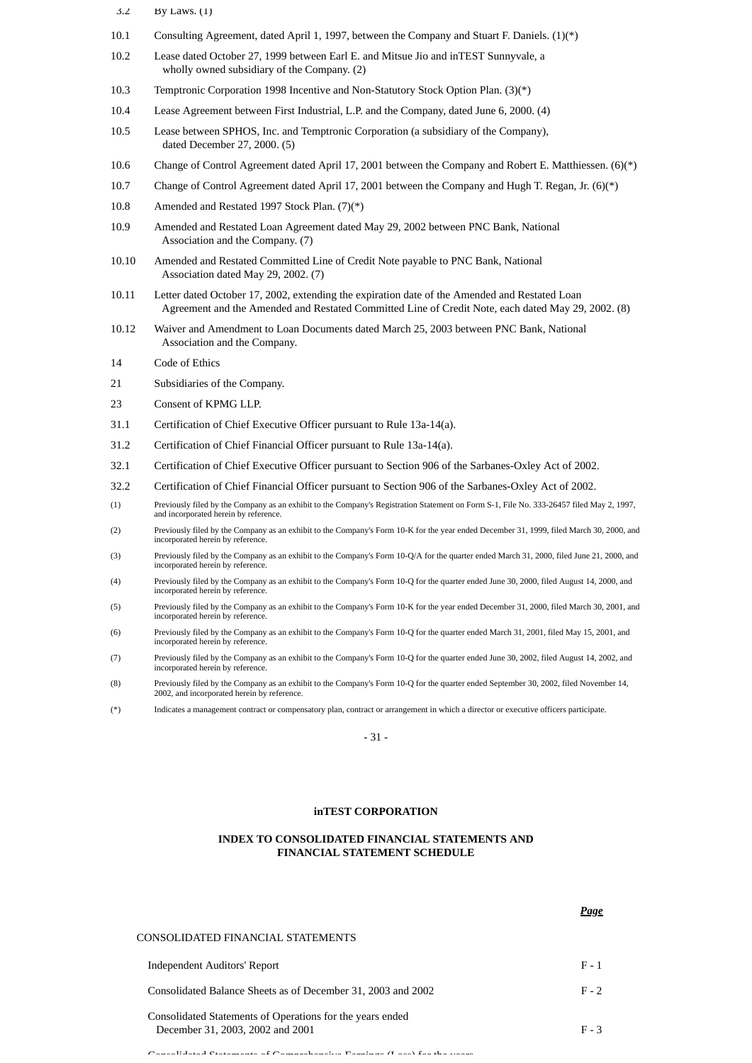- 3.2 By Laws. (1)
- 10.1 Consulting Agreement, dated April 1, 1997, between the Company and Stuart F. Daniels. (1)(\*)
- 10.2 Lease dated October 27, 1999 between Earl E. and Mitsue Jio and inTEST Sunnyvale, a wholly owned subsidiary of the Company. (2)
- 10.3 Temptronic Corporation 1998 Incentive and Non-Statutory Stock Option Plan. (3)(\*)
- 10.4 Lease Agreement between First Industrial, L.P. and the Company, dated June 6, 2000. (4)
- 10.5 Lease between SPHOS, Inc. and Temptronic Corporation (a subsidiary of the Company), dated December 27, 2000. (5)
- 10.6 Change of Control Agreement dated April 17, 2001 between the Company and Robert E. Matthiessen. (6)(\*)
- 10.7 Change of Control Agreement dated April 17, 2001 between the Company and Hugh T. Regan, Jr. (6)(\*)
- 10.8 Amended and Restated 1997 Stock Plan. (7)(\*)
- 10.9 Amended and Restated Loan Agreement dated May 29, 2002 between PNC Bank, National Association and the Company. (7)
- 10.10 Amended and Restated Committed Line of Credit Note payable to PNC Bank, National Association dated May 29, 2002. (7)
- 10.11 Letter dated October 17, 2002, extending the expiration date of the Amended and Restated Loan Agreement and the Amended and Restated Committed Line of Credit Note, each dated May 29, 2002. (8)
- 10.12 Waiver and Amendment to Loan Documents dated March 25, 2003 between PNC Bank, National Association and the Company.
- 14 Code of Ethics
- 21 Subsidiaries of the Company.
- 23 Consent of KPMG LLP.
- 31.1 Certification of Chief Executive Officer pursuant to Rule 13a-14(a).
- 31.2 Certification of Chief Financial Officer pursuant to Rule 13a-14(a).
- 32.1 Certification of Chief Executive Officer pursuant to Section 906 of the Sarbanes-Oxley Act of 2002.
- 32.2 Certification of Chief Financial Officer pursuant to Section 906 of the Sarbanes-Oxley Act of 2002.
- (1) Previously filed by the Company as an exhibit to the Company's Registration Statement on Form S-1, File No. 333-26457 filed May 2, 1997, and incorporated herein by reference.
- (2) Previously filed by the Company as an exhibit to the Company's Form 10-K for the year ended December 31, 1999, filed March 30, 2000, and incorporated herein by reference.
- (3) Previously filed by the Company as an exhibit to the Company's Form 10-Q/A for the quarter ended March 31, 2000, filed June 21, 2000, and incorporated herein by reference
- (4) Previously filed by the Company as an exhibit to the Company's Form 10-Q for the quarter ended June 30, 2000, filed August 14, 2000, and incorporated herein by reference.
- (5) Previously filed by the Company as an exhibit to the Company's Form 10-K for the year ended December 31, 2000, filed March 30, 2001, and incorporated herein by reference.
- (6) Previously filed by the Company as an exhibit to the Company's Form 10-Q for the quarter ended March 31, 2001, filed May 15, 2001, and incorporated herein by reference.
- (7) Previously filed by the Company as an exhibit to the Company's Form 10-Q for the quarter ended June 30, 2002, filed August 14, 2002, and incorporated herein by reference.
- (8) Previously filed by the Company as an exhibit to the Company's Form 10-Q for the quarter ended September 30, 2002, filed November 14, 2002, and incorporated herein by reference.
- (\*) Indicates a management contract or compensatory plan, contract or arrangement in which a director or executive officers participate.

- 31 -

#### **inTEST CORPORATION**

#### **INDEX TO CONSOLIDATED FINANCIAL STATEMENTS AND FINANCIAL STATEMENT SCHEDULE**

*Page*

#### CONSOLIDATED FINANCIAL STATEMENTS

| Independent Auditors' Report                                                                  | $F - 1$ |
|-----------------------------------------------------------------------------------------------|---------|
| Consolidated Balance Sheets as of December 31, 2003 and 2002                                  | $F - 2$ |
| Consolidated Statements of Operations for the vears ended<br>December 31, 2003, 2002 and 2001 | $F - 3$ |

 $\epsilon$  Consolidated Statements of  $C$  comprehensive  $\mathcal{D}$  and  $\alpha$  (Loss) for the years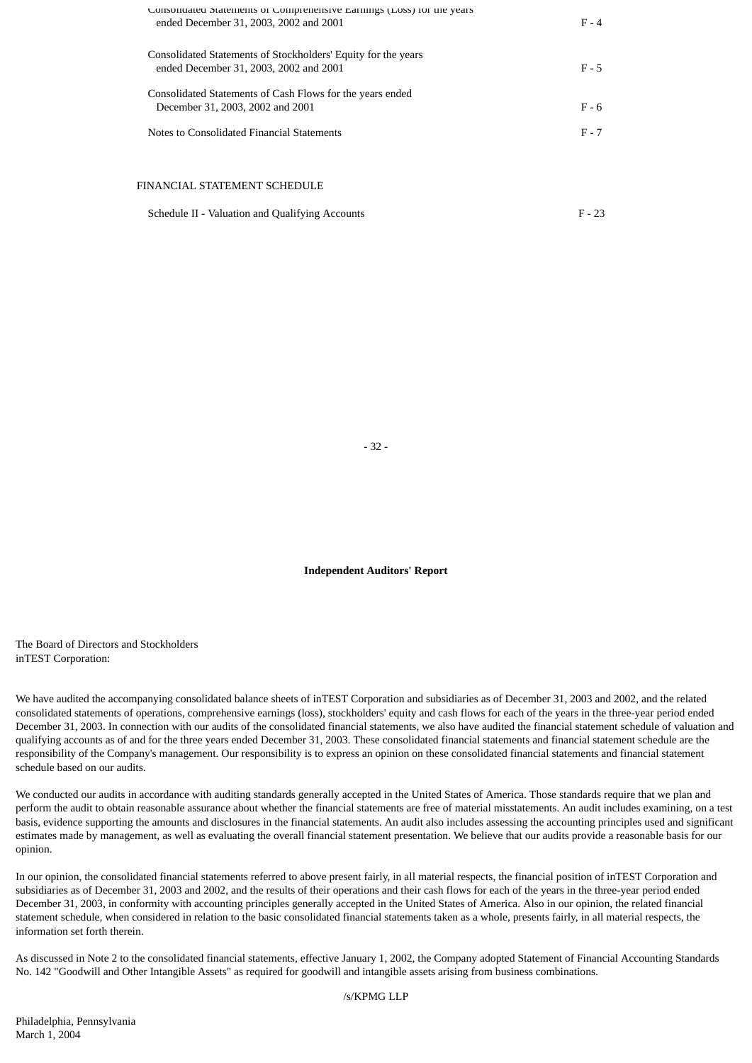| Consolidated Statements of Comprenensive Earnings (Loss) for the years<br>ended December 31, 2003, 2002 and 2001 | $F - 4$ |
|------------------------------------------------------------------------------------------------------------------|---------|
| Consolidated Statements of Stockholders' Equity for the years<br>ended December 31, 2003, 2002 and 2001          | $F - 5$ |
| Consolidated Statements of Cash Flows for the years ended<br>December 31, 2003, 2002 and 2001                    | $F - 6$ |
| Notes to Consolidated Financial Statements                                                                       | $F - 7$ |
| FINANCIAL STATEMENT SCHEDULE                                                                                     |         |

| Schedule II - Valuation and Qualifying Accounts | $F - 23$ |
|-------------------------------------------------|----------|
|-------------------------------------------------|----------|

- 32 -

**Independent Auditors' Report**

The Board of Directors and Stockholders inTEST Corporation:

We have audited the accompanying consolidated balance sheets of inTEST Corporation and subsidiaries as of December 31, 2003 and 2002, and the related consolidated statements of operations, comprehensive earnings (loss), stockholders' equity and cash flows for each of the years in the three-year period ended December 31, 2003. In connection with our audits of the consolidated financial statements, we also have audited the financial statement schedule of valuation and qualifying accounts as of and for the three years ended December 31, 2003. These consolidated financial statements and financial statement schedule are the responsibility of the Company's management. Our responsibility is to express an opinion on these consolidated financial statements and financial statement schedule based on our audits.

We conducted our audits in accordance with auditing standards generally accepted in the United States of America. Those standards require that we plan and perform the audit to obtain reasonable assurance about whether the financial statements are free of material misstatements. An audit includes examining, on a test basis, evidence supporting the amounts and disclosures in the financial statements. An audit also includes assessing the accounting principles used and significant estimates made by management, as well as evaluating the overall financial statement presentation. We believe that our audits provide a reasonable basis for our opinion.

In our opinion, the consolidated financial statements referred to above present fairly, in all material respects, the financial position of inTEST Corporation and subsidiaries as of December 31, 2003 and 2002, and the results of their operations and their cash flows for each of the years in the three-year period ended December 31, 2003, in conformity with accounting principles generally accepted in the United States of America. Also in our opinion, the related financial statement schedule, when considered in relation to the basic consolidated financial statements taken as a whole, presents fairly, in all material respects, the information set forth therein.

As discussed in Note 2 to the consolidated financial statements, effective January 1, 2002, the Company adopted Statement of Financial Accounting Standards No. 142 "Goodwill and Other Intangible Assets" as required for goodwill and intangible assets arising from business combinations.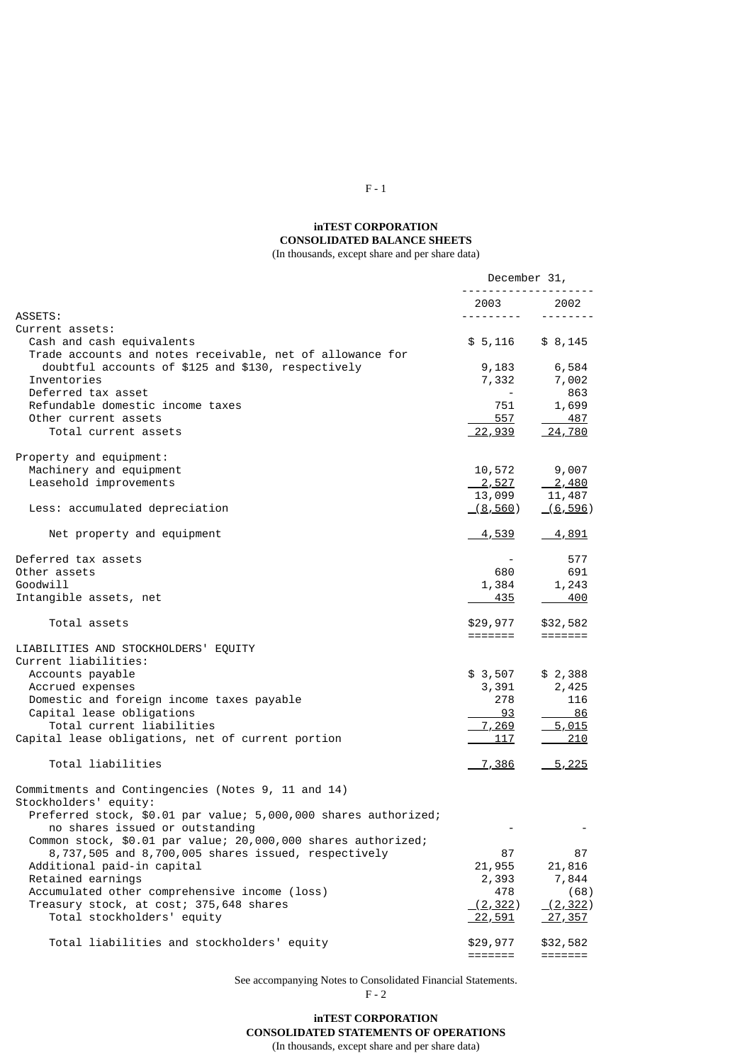# **inTEST CORPORATION CONSOLIDATED BALANCE SHEETS**

(In thousands, except share and per share data)

|                                                                 | December 31,                                                                                                                                                                                                                                                                                                                                                                                                                                                                           |                             |
|-----------------------------------------------------------------|----------------------------------------------------------------------------------------------------------------------------------------------------------------------------------------------------------------------------------------------------------------------------------------------------------------------------------------------------------------------------------------------------------------------------------------------------------------------------------------|-----------------------------|
|                                                                 | 2003                                                                                                                                                                                                                                                                                                                                                                                                                                                                                   | 2002                        |
| ASSETS:                                                         | $\begin{array}{cccccccccccccc} \multicolumn{2}{c}{} & \multicolumn{2}{c}{} & \multicolumn{2}{c}{} & \multicolumn{2}{c}{} & \multicolumn{2}{c}{} & \multicolumn{2}{c}{} & \multicolumn{2}{c}{} & \multicolumn{2}{c}{} & \multicolumn{2}{c}{} & \multicolumn{2}{c}{} & \multicolumn{2}{c}{} & \multicolumn{2}{c}{} & \multicolumn{2}{c}{} & \multicolumn{2}{c}{} & \multicolumn{2}{c}{} & \multicolumn{2}{c}{} & \multicolumn{2}{c}{} & \multicolumn{2}{c}{} & \multicolumn{2}{c}{} & \$ | --------                    |
| Current assets:                                                 |                                                                                                                                                                                                                                                                                                                                                                                                                                                                                        |                             |
| Cash and cash equivalents                                       | \$5,116                                                                                                                                                                                                                                                                                                                                                                                                                                                                                | \$8,145                     |
| Trade accounts and notes receivable, net of allowance for       |                                                                                                                                                                                                                                                                                                                                                                                                                                                                                        |                             |
| doubtful accounts of \$125 and \$130, respectively              | 9,183                                                                                                                                                                                                                                                                                                                                                                                                                                                                                  | 6,584                       |
| Inventories                                                     | 7,332                                                                                                                                                                                                                                                                                                                                                                                                                                                                                  | 7,002                       |
| Deferred tax asset                                              |                                                                                                                                                                                                                                                                                                                                                                                                                                                                                        | 863                         |
| Refundable domestic income taxes                                | 751                                                                                                                                                                                                                                                                                                                                                                                                                                                                                    |                             |
| Other current assets                                            |                                                                                                                                                                                                                                                                                                                                                                                                                                                                                        | 1,699                       |
|                                                                 | 557                                                                                                                                                                                                                                                                                                                                                                                                                                                                                    | 487                         |
| Total current assets                                            | 22,939                                                                                                                                                                                                                                                                                                                                                                                                                                                                                 | 24,780                      |
| Property and equipment:                                         |                                                                                                                                                                                                                                                                                                                                                                                                                                                                                        |                             |
| Machinery and equipment                                         | 10,572                                                                                                                                                                                                                                                                                                                                                                                                                                                                                 | 9,007                       |
| Leasehold improvements                                          | 2,527                                                                                                                                                                                                                                                                                                                                                                                                                                                                                  | $\frac{2,480}{ }$           |
|                                                                 | 13,099                                                                                                                                                                                                                                                                                                                                                                                                                                                                                 | 11,487                      |
| Less: accumulated depreciation                                  | <u>(8,560)</u>                                                                                                                                                                                                                                                                                                                                                                                                                                                                         | (6, 596)                    |
|                                                                 |                                                                                                                                                                                                                                                                                                                                                                                                                                                                                        |                             |
| Net property and equipment                                      | <u>4,539 -</u>                                                                                                                                                                                                                                                                                                                                                                                                                                                                         | <u>4,891</u>                |
| Deferred tax assets                                             |                                                                                                                                                                                                                                                                                                                                                                                                                                                                                        | 577                         |
| Other assets                                                    | 680                                                                                                                                                                                                                                                                                                                                                                                                                                                                                    | 691                         |
| Goodwill                                                        | 1,384                                                                                                                                                                                                                                                                                                                                                                                                                                                                                  | 1,243                       |
| Intangible assets, net                                          | 435                                                                                                                                                                                                                                                                                                                                                                                                                                                                                    | 400                         |
| Total assets                                                    | \$29,977                                                                                                                                                                                                                                                                                                                                                                                                                                                                               | \$32,582                    |
|                                                                 | =======                                                                                                                                                                                                                                                                                                                                                                                                                                                                                | $=$ $=$ $=$ $=$ $=$ $=$ $=$ |
| LIABILITIES AND STOCKHOLDERS' EQUITY                            |                                                                                                                                                                                                                                                                                                                                                                                                                                                                                        |                             |
| Current liabilities:                                            |                                                                                                                                                                                                                                                                                                                                                                                                                                                                                        |                             |
| Accounts payable                                                | \$ 3,507                                                                                                                                                                                                                                                                                                                                                                                                                                                                               | \$2,388                     |
| Accrued expenses                                                | 3,391                                                                                                                                                                                                                                                                                                                                                                                                                                                                                  | 2,425                       |
| Domestic and foreign income taxes payable                       | 278                                                                                                                                                                                                                                                                                                                                                                                                                                                                                    | 116                         |
| Capital lease obligations                                       | 93                                                                                                                                                                                                                                                                                                                                                                                                                                                                                     | 86                          |
| Total current liabilities                                       | 7,269                                                                                                                                                                                                                                                                                                                                                                                                                                                                                  | 5,015                       |
| Capital lease obligations, net of current portion               | <u>117</u>                                                                                                                                                                                                                                                                                                                                                                                                                                                                             | 210                         |
|                                                                 |                                                                                                                                                                                                                                                                                                                                                                                                                                                                                        |                             |
| Total liabilities                                               | <u>7,386</u>                                                                                                                                                                                                                                                                                                                                                                                                                                                                           | $\frac{5,225}{5}$           |
| Commitments and Contingencies (Notes 9, 11 and 14)              |                                                                                                                                                                                                                                                                                                                                                                                                                                                                                        |                             |
| Stockholders' equity:                                           |                                                                                                                                                                                                                                                                                                                                                                                                                                                                                        |                             |
| Preferred stock, \$0.01 par value; 5,000,000 shares authorized; |                                                                                                                                                                                                                                                                                                                                                                                                                                                                                        |                             |
| no shares issued or outstanding                                 |                                                                                                                                                                                                                                                                                                                                                                                                                                                                                        |                             |
| Common stock, \$0.01 par value; 20,000,000 shares authorized;   |                                                                                                                                                                                                                                                                                                                                                                                                                                                                                        |                             |
| 8,737,505 and 8,700,005 shares issued, respectively             | 87                                                                                                                                                                                                                                                                                                                                                                                                                                                                                     | 87                          |
| Additional paid-in capital                                      | 21,955                                                                                                                                                                                                                                                                                                                                                                                                                                                                                 | 21,816                      |
| Retained earnings                                               | 2,393                                                                                                                                                                                                                                                                                                                                                                                                                                                                                  |                             |
| Accumulated other comprehensive income (loss)                   |                                                                                                                                                                                                                                                                                                                                                                                                                                                                                        | 7,844                       |
|                                                                 | 478                                                                                                                                                                                                                                                                                                                                                                                                                                                                                    | (68)                        |
| Treasury stock, at cost; 375,648 shares                         | (2, 322)                                                                                                                                                                                                                                                                                                                                                                                                                                                                               | (2, 322)                    |
| Total stockholders' equity                                      | <u>22,591</u>                                                                                                                                                                                                                                                                                                                                                                                                                                                                          | <u>27,357</u>               |
| Total liabilities and stockholders' equity                      | \$29,977                                                                                                                                                                                                                                                                                                                                                                                                                                                                               | \$32,582                    |
|                                                                 | $=$ $=$ $=$ $=$ $=$ $=$ $=$                                                                                                                                                                                                                                                                                                                                                                                                                                                            | =======                     |

See accompanying Notes to Consolidated Financial Statements. F - 2

**inTEST CORPORATION CONSOLIDATED STATEMENTS OF OPERATIONS** (In thousands, except share and per share data)

F - 1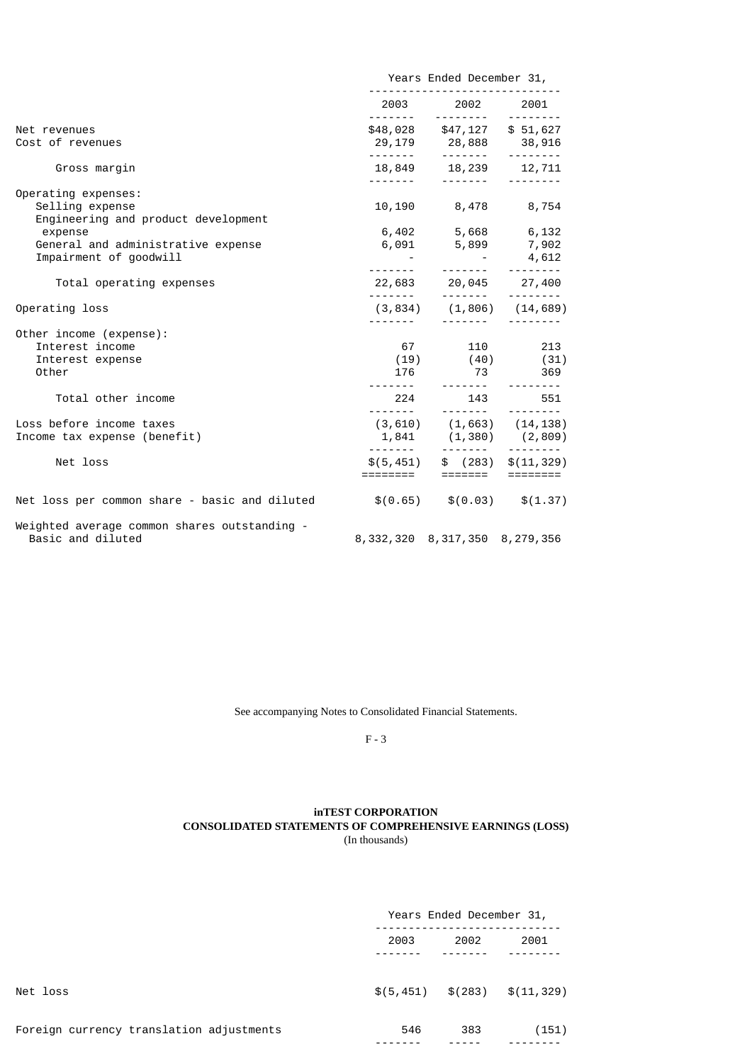|                                                                                                                                                          | Years Ended December 31, |                                                                                                                                                                                                                                                                                                |                                                                        |  |
|----------------------------------------------------------------------------------------------------------------------------------------------------------|--------------------------|------------------------------------------------------------------------------------------------------------------------------------------------------------------------------------------------------------------------------------------------------------------------------------------------|------------------------------------------------------------------------|--|
|                                                                                                                                                          |                          | 2003 2002 2001                                                                                                                                                                                                                                                                                 |                                                                        |  |
| Net revenues<br>Cost of revenues                                                                                                                         |                          | $$48,028$ $$47,127$ $$51,627$<br>$29,179$ $28,888$ $38,916$<br>------- ------- -------                                                                                                                                                                                                         |                                                                        |  |
| Gross margin                                                                                                                                             |                          | $18,849$ $18,239$ $12,711$<br>------- ------- --------                                                                                                                                                                                                                                         |                                                                        |  |
| Operating expenses:<br>Selling expense<br>Engineering and product development<br>expense<br>General and administrative expense<br>Impairment of goodwill |                          | 10,190 8,478 8,754<br>6,402 5,668 6,132<br>6,091 5,899 7,902<br>1999 - 1999 - 1999 - 1999 - 1999 - 1999 - 1999 - 1999 - 1999 - 1999 - 1999 - 1999 - 1999 - 1999 - 1999 - 1999<br>1999 - 1999 - 1999 - 1999 - 1999 - 1999 - 1999 - 1999 - 1999 - 1999 - 1999 - 1999 - 1999 - 1999 - 1999 - 1999 | 4,612                                                                  |  |
| Total operating expenses                                                                                                                                 |                          | $22,683$ $20,045$ $27,400$                                                                                                                                                                                                                                                                     | $- - - - - - - - -$                                                    |  |
| Operating loss                                                                                                                                           |                          | $(3,834)$ $(1,806)$ $(14,689)$                                                                                                                                                                                                                                                                 |                                                                        |  |
| Other income (expense):<br>Interest income<br>Interest expense<br>Other<br>Total other income                                                            | 176                      | 67 110 213<br>$224$ 143 551                                                                                                                                                                                                                                                                    | $(19)$ $(40)$ $(31)$<br>$176$ $73$ $369$<br><u> 1111111 - 11111111</u> |  |
| Loss before income taxes<br>Income tax expense (benefit)                                                                                                 |                          |                                                                                                                                                                                                                                                                                                |                                                                        |  |
| Net loss                                                                                                                                                 |                          |                                                                                                                                                                                                                                                                                                | $$(5,451)$ $$(283)$ $$(11,329)$<br>======== ======== =========         |  |
| Net loss per common share - basic and diluted $$(0.65)$ $$(0.03)$ $$(1.37)$                                                                              |                          |                                                                                                                                                                                                                                                                                                |                                                                        |  |
| Weighted average common shares outstanding -<br>Basic and diluted                                                                                        |                          | 8, 332, 320 8, 317, 350 8, 279, 356                                                                                                                                                                                                                                                            |                                                                        |  |

See accompanying Notes to Consolidated Financial Statements.

F - 3

# **inTEST CORPORATION CONSOLIDATED STATEMENTS OF COMPREHENSIVE EARNINGS (LOSS)** (In thousands)

|                                          | Years Ended December 31, |      |                                              |      |  |
|------------------------------------------|--------------------------|------|----------------------------------------------|------|--|
|                                          | 2003                     | 2002 |                                              | 2001 |  |
| Net loss                                 |                          |      | $\$(5, 451) \quad \$(283) \quad \$(11, 329)$ |      |  |
| Foreign currency translation adjustments | 546                      | 383  | (151)                                        |      |  |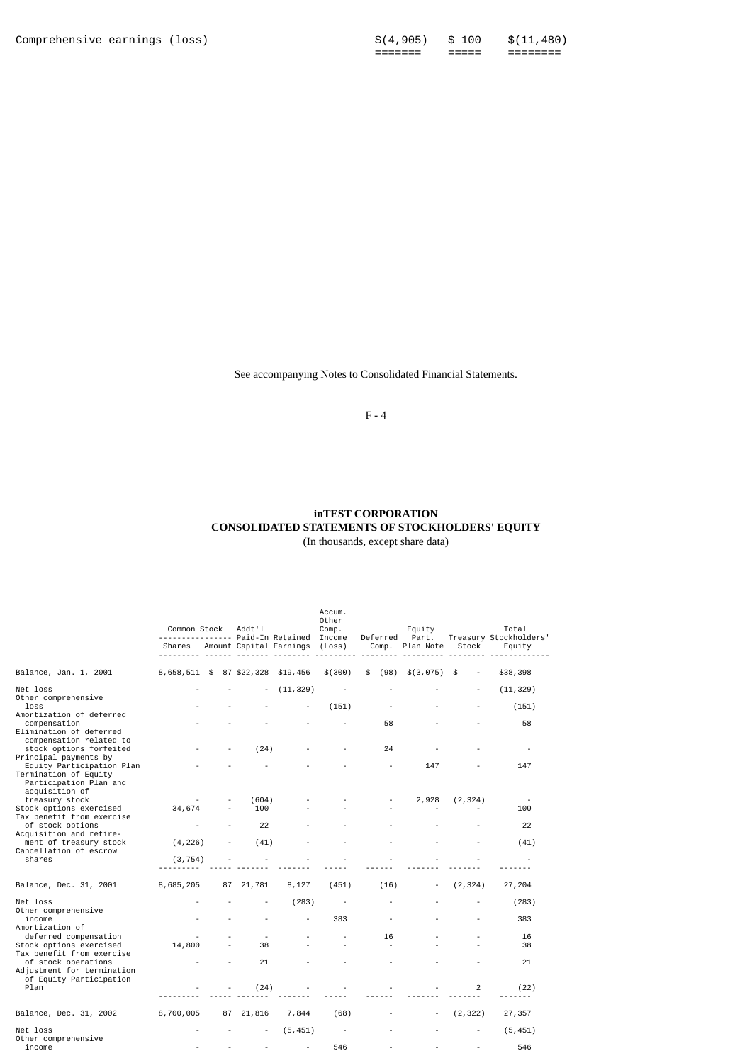See accompanying Notes to Consolidated Financial Statements.

F - 4

#### **inTEST CORPORATION CONSOLIDATED STATEMENTS OF STOCKHOLDERS' EQUITY** (In thousands, except share data)

|                                                                                                                                                                       | Common Stock             |    | Addt'l       |                         | ------ Paid-In Retained  |            |           |          | Accum.<br>Other<br>Comp.<br>Income | Deferred | Equity<br>Part. |  | Total<br>Treasury Stockholders' |
|-----------------------------------------------------------------------------------------------------------------------------------------------------------------------|--------------------------|----|--------------|-------------------------|--------------------------|------------|-----------|----------|------------------------------------|----------|-----------------|--|---------------------------------|
|                                                                                                                                                                       | Shares                   |    |              | Amount Capital Earnings | (Loss)                   | Comp.      | Plan Note | Stock    | Equity                             |          |                 |  |                                 |
| Balance, Jan. 1, 2001                                                                                                                                                 | 8,658,511 \$ 87 \$22,328 |    |              | \$19,456                | \$ (300)                 | \$<br>(98) | \$(3,075) | \$       | \$38,398                           |          |                 |  |                                 |
| Net loss<br>Other comprehensive                                                                                                                                       |                          |    |              | (11, 329)               |                          |            |           |          | (11, 329)                          |          |                 |  |                                 |
| loss<br>Amortization of deferred                                                                                                                                      |                          |    |              |                         | (151)                    |            |           |          | (151)                              |          |                 |  |                                 |
| compensation<br>Elimination of deferred                                                                                                                               |                          |    |              |                         |                          | 58         |           |          | 58                                 |          |                 |  |                                 |
| compensation related to<br>stock options forfeited<br>Principal payments by                                                                                           |                          |    | (24)         |                         |                          | 24         |           |          | $\overline{\phantom{a}}$           |          |                 |  |                                 |
| Equity Participation Plan<br>Termination of Equity<br>Participation Plan and<br>acquisition of                                                                        |                          |    |              |                         |                          |            | 147       |          | 147                                |          |                 |  |                                 |
| treasury stock<br>Stock options exercised<br>Tax benefit from exercise                                                                                                | 34,674                   |    | (604)<br>100 |                         |                          |            | 2,928     | (2, 324) | 100                                |          |                 |  |                                 |
| of stock options                                                                                                                                                      |                          |    | 22           |                         |                          |            |           |          | 22                                 |          |                 |  |                                 |
| Acquisition and retire-<br>ment of treasury stock<br>Cancellation of escrow                                                                                           | (4, 226)                 |    | (41)         |                         |                          |            |           |          | (41)                               |          |                 |  |                                 |
| shares                                                                                                                                                                | (3, 754)                 |    |              |                         |                          |            |           |          |                                    |          |                 |  |                                 |
| Balance, Dec. 31, 2001                                                                                                                                                | 8,685,205                | 87 | 21,781       | 8,127                   | (451)                    | (16)       |           | (2, 324) | 27,204                             |          |                 |  |                                 |
| Net loss<br>Other comprehensive                                                                                                                                       |                          |    |              | (283)                   | $\overline{\phantom{a}}$ |            |           |          | (283)                              |          |                 |  |                                 |
| income<br>Amortization of                                                                                                                                             |                          |    |              |                         | 383                      |            |           |          | 383                                |          |                 |  |                                 |
| deferred compensation<br>Stock options exercised<br>Tax benefit from exercise<br>of stock operations<br>Adjustment for termination<br>of Equity Participation<br>Plan | 14,800                   |    | 38           |                         |                          | 16         |           |          | 16<br>38                           |          |                 |  |                                 |
|                                                                                                                                                                       |                          |    | 21           |                         |                          |            |           |          | 21                                 |          |                 |  |                                 |
|                                                                                                                                                                       |                          |    | (24)         |                         |                          |            |           | 2        | (22)                               |          |                 |  |                                 |
| Balance, Dec. 31, 2002                                                                                                                                                | 8,700,005                |    | 87 21,816    | 7,844                   | (68)                     |            |           | (2, 322) | 27,357                             |          |                 |  |                                 |
| Net loss<br>Other comprehensive                                                                                                                                       |                          |    |              | (5, 451)                |                          |            |           |          | (5, 451)                           |          |                 |  |                                 |
| income                                                                                                                                                                |                          |    |              |                         | 546                      |            |           |          | 546                                |          |                 |  |                                 |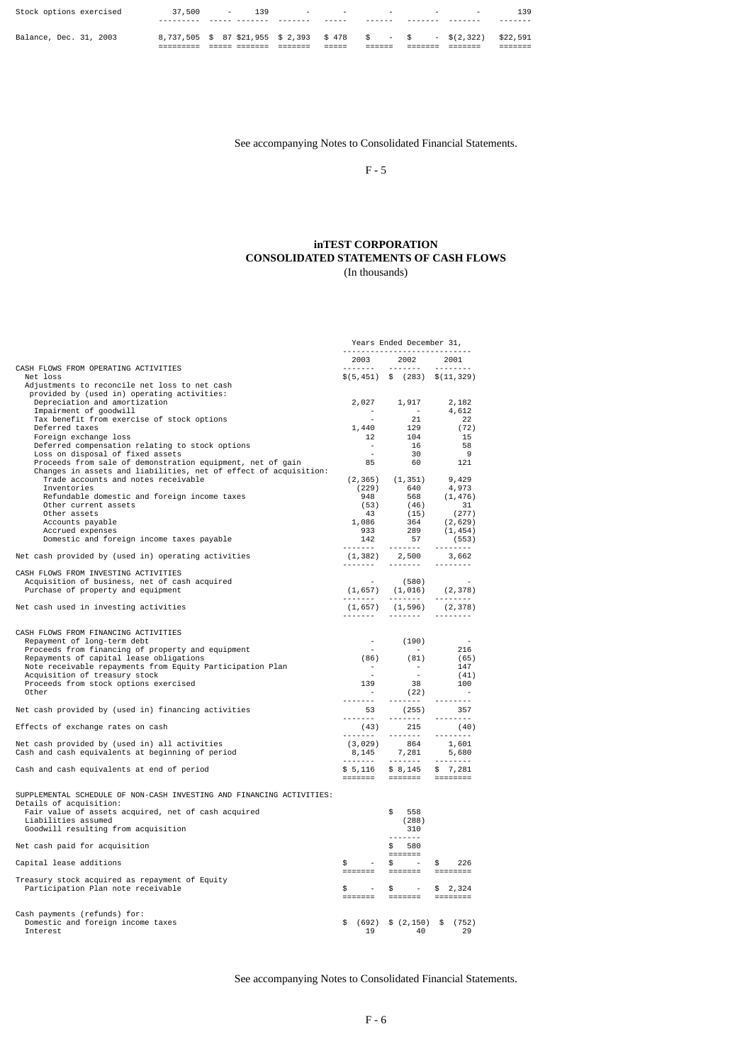| Balance, Dec. 31, 2003  |        | 8,737,505 \$ 87 \$21,955 \$ 2,393 \$ 478 \$ - \$ - \$ (2,322) \$22,591 |                                                        |  | ______               |
|-------------------------|--------|------------------------------------------------------------------------|--------------------------------------------------------|--|----------------------|
| Stock options exercised | 37,500 | 139<br>and the state of the state                                      | 그는 아이들이 아는 그는 사람들이 아니라 그는 사람들이 아니라 그는 사람들이 아니라 그는 것이다. |  | 139<br>- - - - - - - |

See accompanying Notes to Consolidated Financial Statements.

F - 5

### **inTEST CORPORATION CONSOLIDATED STATEMENTS OF CASH FLOWS** (In thousands)

|                                                                                                                                |                      | Years Ended December 31,                                                                                                                                                                                                                                                                                                                                                                                                                                                               |                                   |
|--------------------------------------------------------------------------------------------------------------------------------|----------------------|----------------------------------------------------------------------------------------------------------------------------------------------------------------------------------------------------------------------------------------------------------------------------------------------------------------------------------------------------------------------------------------------------------------------------------------------------------------------------------------|-----------------------------------|
|                                                                                                                                | 2003                 | 2002                                                                                                                                                                                                                                                                                                                                                                                                                                                                                   | 2001                              |
| CASH FLOWS FROM OPERATING ACTIVITIES<br>Net loss                                                                               |                      |                                                                                                                                                                                                                                                                                                                                                                                                                                                                                        | $\$(5,451) \$$ (283) $\$(11,329)$ |
| Adjustments to reconcile net loss to net cash                                                                                  |                      |                                                                                                                                                                                                                                                                                                                                                                                                                                                                                        |                                   |
| provided by (used in) operating activities:                                                                                    |                      |                                                                                                                                                                                                                                                                                                                                                                                                                                                                                        |                                   |
| Depreciation and amortization<br>Impairment of goodwill                                                                        |                      | $2,027$ $1,917$                                                                                                                                                                                                                                                                                                                                                                                                                                                                        | 2,182<br>4,612                    |
| Tax benefit from exercise of stock options                                                                                     |                      | 21                                                                                                                                                                                                                                                                                                                                                                                                                                                                                     | 22                                |
| Deferred taxes                                                                                                                 | 1,440<br>12          | $\frac{1}{104}$                                                                                                                                                                                                                                                                                                                                                                                                                                                                        | (72)                              |
| Foreign exchange loss<br>Deferred compensation relating to stock options                                                       | $\sim$               | 16                                                                                                                                                                                                                                                                                                                                                                                                                                                                                     | 15<br>-58                         |
| Loss on disposal of fixed assets                                                                                               | $\sim$               | 30                                                                                                                                                                                                                                                                                                                                                                                                                                                                                     | - 9                               |
| Proceeds from sale of demonstration equipment, net of gain<br>Changes in assets and liabilities, net of effect of acquisition: | 85                   | 60                                                                                                                                                                                                                                                                                                                                                                                                                                                                                     | 121                               |
| Trade accounts and notes receivable                                                                                            |                      | $(2,365)$ $(1,351)$ 9,429                                                                                                                                                                                                                                                                                                                                                                                                                                                              |                                   |
| Inventories                                                                                                                    | (229)                | 640                                                                                                                                                                                                                                                                                                                                                                                                                                                                                    | 4,973                             |
| Refundable domestic and foreign income taxes<br>Other current assets                                                           | 948<br>(53)          | 568<br>(46)                                                                                                                                                                                                                                                                                                                                                                                                                                                                            | (1, 476)<br>31                    |
| Other assets                                                                                                                   | 43                   | (15)                                                                                                                                                                                                                                                                                                                                                                                                                                                                                   | (277)                             |
| Accounts payable                                                                                                               | 1,086<br>933         | 364<br>289                                                                                                                                                                                                                                                                                                                                                                                                                                                                             | (2,629)                           |
| Accrued expenses<br>Domestic and foreign income taxes payable                                                                  | 142                  | 57                                                                                                                                                                                                                                                                                                                                                                                                                                                                                     | (1, 454)<br>(553)                 |
|                                                                                                                                | . <i>.</i>           | $\begin{array}{cccccccccc} \multicolumn{2}{c}{} & \multicolumn{2}{c}{} & \multicolumn{2}{c}{} & \multicolumn{2}{c}{} & \multicolumn{2}{c}{} & \multicolumn{2}{c}{} & \multicolumn{2}{c}{} & \multicolumn{2}{c}{} & \multicolumn{2}{c}{} & \multicolumn{2}{c}{} & \multicolumn{2}{c}{} & \multicolumn{2}{c}{} & \multicolumn{2}{c}{} & \multicolumn{2}{c}{} & \multicolumn{2}{c}{} & \multicolumn{2}{c}{} & \multicolumn{2}{c}{} & \multicolumn{2}{c}{} & \multicolumn{2}{c}{} & \mult$ | <u>.</u>                          |
| Net cash provided by (used in) operating activities                                                                            |                      | $(1, 382)$ 2,500 3,662                                                                                                                                                                                                                                                                                                                                                                                                                                                                 | 1.1.1.1.1.1.1                     |
| CASH FLOWS FROM INVESTING ACTIVITIES                                                                                           |                      |                                                                                                                                                                                                                                                                                                                                                                                                                                                                                        |                                   |
| Acquisition of business, net of cash acquired                                                                                  | $\sim 100$           | (580)                                                                                                                                                                                                                                                                                                                                                                                                                                                                                  | $(1,657)$ $(1,016)$ $(2,378)$     |
| Purchase of property and equipment                                                                                             |                      |                                                                                                                                                                                                                                                                                                                                                                                                                                                                                        |                                   |
| Net cash used in investing activities                                                                                          |                      | $(1, 657)$ $(1, 596)$ $(2, 378)$                                                                                                                                                                                                                                                                                                                                                                                                                                                       |                                   |
|                                                                                                                                |                      |                                                                                                                                                                                                                                                                                                                                                                                                                                                                                        | <b></b>                           |
| CASH FLOWS FROM FINANCING ACTIVITIES                                                                                           |                      |                                                                                                                                                                                                                                                                                                                                                                                                                                                                                        |                                   |
| Repayment of long-term debt                                                                                                    |                      | $-$ (190)                                                                                                                                                                                                                                                                                                                                                                                                                                                                              |                                   |
| Proceeds from financing of property and equipment<br>Repayments of capital lease obligations                                   | $\sim$               | $\sim$ $\sim$<br>$(86)$ $(81)$                                                                                                                                                                                                                                                                                                                                                                                                                                                         | $\frac{216}{(65)}$                |
| Note receivable repayments from Equity Participation Plan                                                                      | $\sim 100$ m $^{-1}$ | $\sim 100$                                                                                                                                                                                                                                                                                                                                                                                                                                                                             | 147                               |
| Acquisition of treasury stock                                                                                                  | $\sim$ $\sim$        | $\sim 10^{-1}$                                                                                                                                                                                                                                                                                                                                                                                                                                                                         | (41)<br>100                       |
| Proceeds from stock options exercised<br>Other                                                                                 |                      | $\begin{array}{cccc} 139 && 38 \\ - && (22) \end{array}$<br>(22)                                                                                                                                                                                                                                                                                                                                                                                                                       | $\sim$                            |
|                                                                                                                                | <u>.</u>             | $\begin{array}{cccccccccccccc} \multicolumn{2}{c}{} & \multicolumn{2}{c}{} & \multicolumn{2}{c}{} & \multicolumn{2}{c}{} & \multicolumn{2}{c}{} & \multicolumn{2}{c}{} & \multicolumn{2}{c}{} & \multicolumn{2}{c}{} & \multicolumn{2}{c}{} & \multicolumn{2}{c}{} & \multicolumn{2}{c}{} & \multicolumn{2}{c}{} & \multicolumn{2}{c}{} & \multicolumn{2}{c}{} & \multicolumn{2}{c}{} & \multicolumn{2}{c}{} & \multicolumn{2}{c}{} & \multicolumn{2}{c}{} & \multicolumn{2}{c}{} & \$ | <u>.</u>                          |
| Net cash provided by (used in) financing activities                                                                            | 53                   | (255)<br>                                                                                                                                                                                                                                                                                                                                                                                                                                                                              | 357                               |
| Effects of exchange rates on cash                                                                                              | (43)                 | 215                                                                                                                                                                                                                                                                                                                                                                                                                                                                                    | (40)                              |
| Net cash provided by (used in) all activities                                                                                  | (3,029)              | 864                                                                                                                                                                                                                                                                                                                                                                                                                                                                                    | 1.1.1.1.1.1.1                     |
| Cash and cash equivalents at beginning of period                                                                               |                      | $8,145$ 7, 281                                                                                                                                                                                                                                                                                                                                                                                                                                                                         | 1,601<br>5,680                    |
| Cash and cash equivalents at end of period                                                                                     |                      | $$5,116$ $$8,145$ $$7,281$                                                                                                                                                                                                                                                                                                                                                                                                                                                             | $-2222222222$                     |
|                                                                                                                                |                      | ======= ======= =======                                                                                                                                                                                                                                                                                                                                                                                                                                                                |                                   |
| SUPPLEMENTAL SCHEDULE OF NON-CASH INVESTING AND FINANCING ACTIVITIES:                                                          |                      |                                                                                                                                                                                                                                                                                                                                                                                                                                                                                        |                                   |
| Details of acquisition:                                                                                                        |                      |                                                                                                                                                                                                                                                                                                                                                                                                                                                                                        |                                   |
| Fair value of assets acquired, net of cash acquired                                                                            |                      | \$<br>558                                                                                                                                                                                                                                                                                                                                                                                                                                                                              |                                   |
| Liabilities assumed<br>Goodwill resulting from acquisition                                                                     |                      | (288)<br>310                                                                                                                                                                                                                                                                                                                                                                                                                                                                           |                                   |
|                                                                                                                                |                      | <u>.</u>                                                                                                                                                                                                                                                                                                                                                                                                                                                                               |                                   |
| Net cash paid for acquisition                                                                                                  |                      | \$580<br>$=$ $=$ $=$ $=$ $=$ $=$ $=$                                                                                                                                                                                                                                                                                                                                                                                                                                                   |                                   |
| Capital lease additions                                                                                                        | \$<br>$\sim$         | $\sim 100$<br>$$^{\circ}$                                                                                                                                                                                                                                                                                                                                                                                                                                                              | \$<br>226                         |
|                                                                                                                                |                      | =======                                                                                                                                                                                                                                                                                                                                                                                                                                                                                |                                   |
| Treasury stock acquired as repayment of Equity<br>Participation Plan note receivable                                           | \$<br>$\sim$ $-$     | $\frac{1}{2}$ -                                                                                                                                                                                                                                                                                                                                                                                                                                                                        | \$2,324                           |
|                                                                                                                                | <b>EEEEEE</b>        |                                                                                                                                                                                                                                                                                                                                                                                                                                                                                        |                                   |
|                                                                                                                                |                      |                                                                                                                                                                                                                                                                                                                                                                                                                                                                                        |                                   |
| Cash payments (refunds) for:<br>Domestic and foreign income taxes                                                              |                      | $(692)$ \$ $(2, 150)$ \$ $(752)$                                                                                                                                                                                                                                                                                                                                                                                                                                                       |                                   |
| Interest                                                                                                                       | 19                   | -40                                                                                                                                                                                                                                                                                                                                                                                                                                                                                    | 29                                |

See accompanying Notes to Consolidated Financial Statements.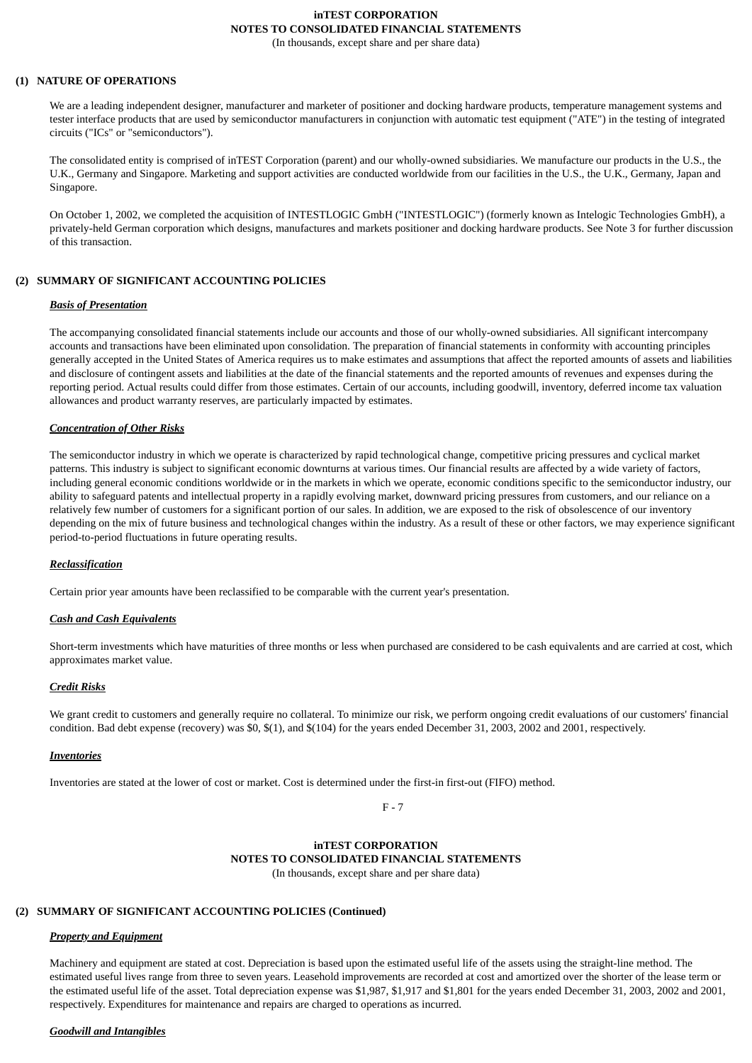# **inTEST CORPORATION NOTES TO CONSOLIDATED FINANCIAL STATEMENTS**

(In thousands, except share and per share data)

#### **(1) NATURE OF OPERATIONS**

We are a leading independent designer, manufacturer and marketer of positioner and docking hardware products, temperature management systems and tester interface products that are used by semiconductor manufacturers in conjunction with automatic test equipment ("ATE") in the testing of integrated circuits ("ICs" or "semiconductors").

The consolidated entity is comprised of inTEST Corporation (parent) and our wholly-owned subsidiaries. We manufacture our products in the U.S., the U.K., Germany and Singapore. Marketing and support activities are conducted worldwide from our facilities in the U.S., the U.K., Germany, Japan and Singapore.

On October 1, 2002, we completed the acquisition of INTESTLOGIC GmbH ("INTESTLOGIC") (formerly known as Intelogic Technologies GmbH), a privately-held German corporation which designs, manufactures and markets positioner and docking hardware products. See Note 3 for further discussion of this transaction.

#### **(2) SUMMARY OF SIGNIFICANT ACCOUNTING POLICIES**

#### *Basis of Presentation*

The accompanying consolidated financial statements include our accounts and those of our wholly-owned subsidiaries. All significant intercompany accounts and transactions have been eliminated upon consolidation. The preparation of financial statements in conformity with accounting principles generally accepted in the United States of America requires us to make estimates and assumptions that affect the reported amounts of assets and liabilities and disclosure of contingent assets and liabilities at the date of the financial statements and the reported amounts of revenues and expenses during the reporting period. Actual results could differ from those estimates. Certain of our accounts, including goodwill, inventory, deferred income tax valuation allowances and product warranty reserves, are particularly impacted by estimates.

#### *Concentration of Other Risks*

The semiconductor industry in which we operate is characterized by rapid technological change, competitive pricing pressures and cyclical market patterns. This industry is subject to significant economic downturns at various times. Our financial results are affected by a wide variety of factors, including general economic conditions worldwide or in the markets in which we operate, economic conditions specific to the semiconductor industry, our ability to safeguard patents and intellectual property in a rapidly evolving market, downward pricing pressures from customers, and our reliance on a relatively few number of customers for a significant portion of our sales. In addition, we are exposed to the risk of obsolescence of our inventory depending on the mix of future business and technological changes within the industry. As a result of these or other factors, we may experience significant period-to-period fluctuations in future operating results.

#### *Reclassification*

Certain prior year amounts have been reclassified to be comparable with the current year's presentation.

#### *Cash and Cash Equivalents*

Short-term investments which have maturities of three months or less when purchased are considered to be cash equivalents and are carried at cost, which approximates market value.

#### *Credit Risks*

We grant credit to customers and generally require no collateral. To minimize our risk, we perform ongoing credit evaluations of our customers' financial condition. Bad debt expense (recovery) was \$0, \$(1), and \$(104) for the years ended December 31, 2003, 2002 and 2001, respectively.

#### *Inventories*

Inventories are stated at the lower of cost or market. Cost is determined under the first-in first-out (FIFO) method.

F - 7

#### **inTEST CORPORATION NOTES TO CONSOLIDATED FINANCIAL STATEMENTS** (In thousands, except share and per share data)

# **(2) SUMMARY OF SIGNIFICANT ACCOUNTING POLICIES (Continued)**

# *Property and Equipment*

Machinery and equipment are stated at cost. Depreciation is based upon the estimated useful life of the assets using the straight-line method. The estimated useful lives range from three to seven years. Leasehold improvements are recorded at cost and amortized over the shorter of the lease term or the estimated useful life of the asset. Total depreciation expense was \$1,987, \$1,917 and \$1,801 for the years ended December 31, 2003, 2002 and 2001, respectively. Expenditures for maintenance and repairs are charged to operations as incurred.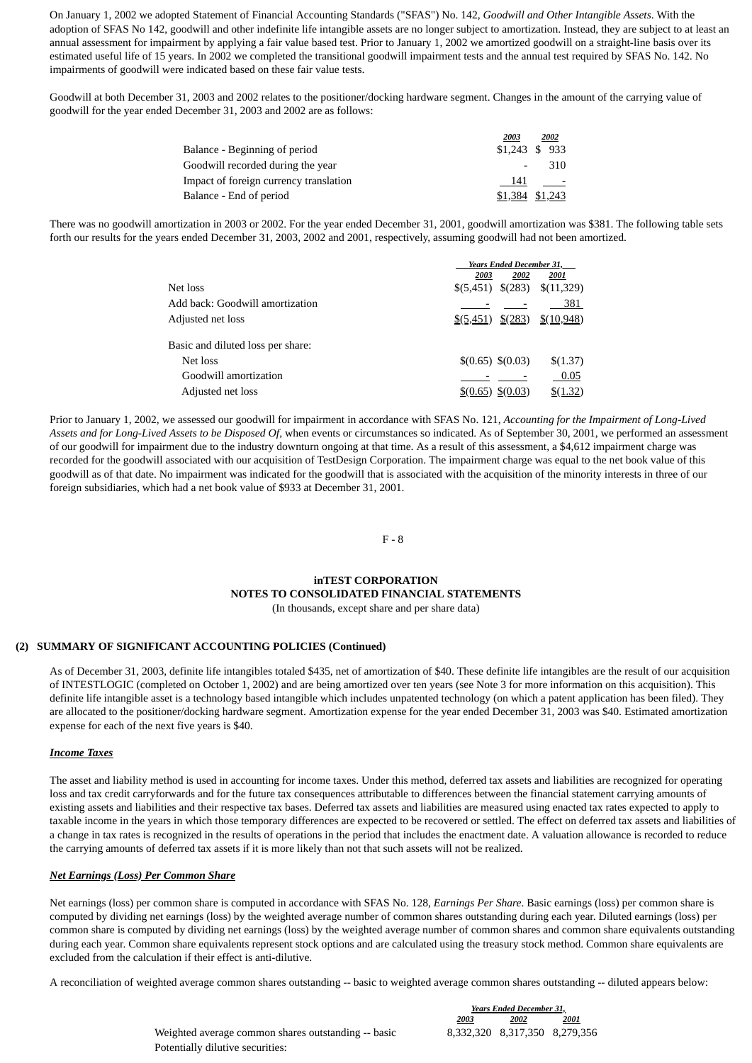On January 1, 2002 we adopted Statement of Financial Accounting Standards ("SFAS") No. 142, *Goodwill and Other Intangible Assets*. With the adoption of SFAS No 142, goodwill and other indefinite life intangible assets are no longer subject to amortization. Instead, they are subject to at least an annual assessment for impairment by applying a fair value based test. Prior to January 1, 2002 we amortized goodwill on a straight-line basis over its estimated useful life of 15 years. In 2002 we completed the transitional goodwill impairment tests and the annual test required by SFAS No. 142. No impairments of goodwill were indicated based on these fair value tests.

Goodwill at both December 31, 2003 and 2002 relates to the positioner/docking hardware segment. Changes in the amount of the carrying value of goodwill for the year ended December 31, 2003 and 2002 are as follows:

|                                        | 2003            | 2002 |
|----------------------------------------|-----------------|------|
| Balance - Beginning of period          | \$1,243 \$ 933  |      |
| Goodwill recorded during the vear      |                 | 310  |
| Impact of foreign currency translation | - 141           |      |
| Balance - End of period                | \$1,384 \$1,243 |      |

There was no goodwill amortization in 2003 or 2002. For the year ended December 31, 2001, goodwill amortization was \$381. The following table sets forth our results for the years ended December 31, 2003, 2002 and 2001, respectively, assuming goodwill had not been amortized.

|                                   | <b>Years Ended December 31.</b>          |      |                                                             |  |
|-----------------------------------|------------------------------------------|------|-------------------------------------------------------------|--|
|                                   | 2003                                     | 2002 | 2001                                                        |  |
| Net loss                          |                                          |      | $$(5,451) \$(283) \$(11,329)$                               |  |
| Add back: Goodwill amortization   |                                          |      | 381                                                         |  |
| Adjusted net loss                 |                                          |      | $\frac{\$(5,451)}{\$(283)}$ $\frac{\$(10,948)}{\$(10,948)}$ |  |
| Basic and diluted loss per share: |                                          |      |                                                             |  |
| Net loss                          | \$(0.65) \$(0.03)                        |      | \$(1.37)                                                    |  |
| Goodwill amortization             |                                          |      | 0.05                                                        |  |
| Adjusted net loss                 | $\frac{$(0.65) \quad \frac{$(0.03)}{2}}$ |      | $\frac{$(1.32)}{2}$                                         |  |

Prior to January 1, 2002, we assessed our goodwill for impairment in accordance with SFAS No. 121, *Accounting for the Impairment of Long-Lived Assets and for Long-Lived Assets to be Disposed Of,* when events or circumstances so indicated. As of September 30, 2001, we performed an assessment of our goodwill for impairment due to the industry downturn ongoing at that time. As a result of this assessment, a \$4,612 impairment charge was recorded for the goodwill associated with our acquisition of TestDesign Corporation. The impairment charge was equal to the net book value of this goodwill as of that date. No impairment was indicated for the goodwill that is associated with the acquisition of the minority interests in three of our foreign subsidiaries, which had a net book value of \$933 at December 31, 2001.

F - 8

#### **inTEST CORPORATION**

#### **NOTES TO CONSOLIDATED FINANCIAL STATEMENTS**

(In thousands, except share and per share data)

#### **(2) SUMMARY OF SIGNIFICANT ACCOUNTING POLICIES (Continued)**

As of December 31, 2003, definite life intangibles totaled \$435, net of amortization of \$40. These definite life intangibles are the result of our acquisition of INTESTLOGIC (completed on October 1, 2002) and are being amortized over ten years (see Note 3 for more information on this acquisition). This definite life intangible asset is a technology based intangible which includes unpatented technology (on which a patent application has been filed). They are allocated to the positioner/docking hardware segment. Amortization expense for the year ended December 31, 2003 was \$40. Estimated amortization expense for each of the next five years is \$40.

#### *Income Taxes*

The asset and liability method is used in accounting for income taxes. Under this method, deferred tax assets and liabilities are recognized for operating loss and tax credit carryforwards and for the future tax consequences attributable to differences between the financial statement carrying amounts of existing assets and liabilities and their respective tax bases. Deferred tax assets and liabilities are measured using enacted tax rates expected to apply to taxable income in the years in which those temporary differences are expected to be recovered or settled. The effect on deferred tax assets and liabilities of a change in tax rates is recognized in the results of operations in the period that includes the enactment date. A valuation allowance is recorded to reduce the carrying amounts of deferred tax assets if it is more likely than not that such assets will not be realized.

#### *Net Earnings (Loss) Per Common Share*

Net earnings (loss) per common share is computed in accordance with SFAS No. 128, *Earnings Per Share*. Basic earnings (loss) per common share is computed by dividing net earnings (loss) by the weighted average number of common shares outstanding during each year. Diluted earnings (loss) per common share is computed by dividing net earnings (loss) by the weighted average number of common shares and common share equivalents outstanding during each year. Common share equivalents represent stock options and are calculated using the treasury stock method. Common share equivalents are excluded from the calculation if their effect is anti-dilutive.

A reconciliation of weighted average common shares outstanding -- basic to weighted average common shares outstanding -- diluted appears below:

*Years Ended December 31, 2003 2002 2001*

Weighted average common shares outstanding -- basic  $8,332,320$   $8,317,350$   $8,279,356$ Potentially dilutive securities: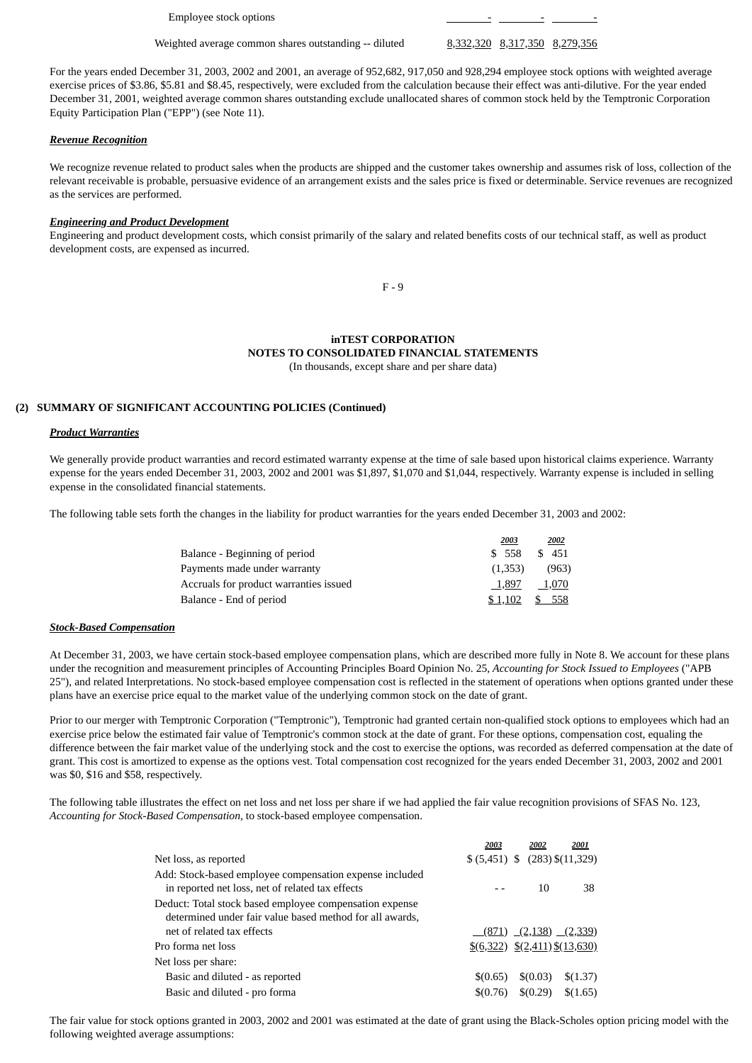Employee stock options  $\overline{\phantom{0}}$  -  $\overline{\phantom{0}}$  -  $\overline{\phantom{0}}$  -  $\overline{\phantom{0}}$  -  $\overline{\phantom{0}}$  -  $\overline{\phantom{0}}$  -  $\overline{\phantom{0}}$  -  $\overline{\phantom{0}}$  -  $\overline{\phantom{0}}$  -  $\overline{\phantom{0}}$  -  $\overline{\phantom{0}}$  -  $\overline{\phantom{0}}$  -  $\overline{\phantom{0}}$  -  $\overline{\phantom{0}}$  -  $\over$ 

Weighted average common shares outstanding -- diluted  $\qquad 8,332,320 \quad 8,317,350 \quad 8,279,356$ 

For the years ended December 31, 2003, 2002 and 2001, an average of 952,682, 917,050 and 928,294 employee stock options with weighted average exercise prices of \$3.86, \$5.81 and \$8.45, respectively, were excluded from the calculation because their effect was anti-dilutive. For the year ended December 31, 2001, weighted average common shares outstanding exclude unallocated shares of common stock held by the Temptronic Corporation Equity Participation Plan ("EPP") (see Note 11).

#### *Revenue Recognition*

We recognize revenue related to product sales when the products are shipped and the customer takes ownership and assumes risk of loss, collection of the relevant receivable is probable, persuasive evidence of an arrangement exists and the sales price is fixed or determinable. Service revenues are recognized as the services are performed.

#### *Engineering and Product Development*

Engineering and product development costs, which consist primarily of the salary and related benefits costs of our technical staff, as well as product development costs, are expensed as incurred.

F - 9

#### **inTEST CORPORATION NOTES TO CONSOLIDATED FINANCIAL STATEMENTS** (In thousands, except share and per share data)

#### **(2) SUMMARY OF SIGNIFICANT ACCOUNTING POLICIES (Continued)**

#### *Product Warranties*

We generally provide product warranties and record estimated warranty expense at the time of sale based upon historical claims experience. Warranty expense for the years ended December 31, 2003, 2002 and 2001 was \$1,897, \$1,070 and \$1,044, respectively. Warranty expense is included in selling expense in the consolidated financial statements.

The following table sets forth the changes in the liability for product warranties for the years ended December 31, 2003 and 2002:

|                                        | 2003    | 2002       |
|----------------------------------------|---------|------------|
| Balance - Beginning of period          | \$ 558  | \$451      |
| Payments made under warranty           | (1.353) | (963)      |
| Accruals for product warranties issued | 1,897   | 1,070      |
| Balance - End of period                | \$1.102 | - 558<br>S |
|                                        |         |            |

#### *Stock-Based Compensation*

At December 31, 2003, we have certain stock-based employee compensation plans, which are described more fully in Note 8. We account for these plans under the recognition and measurement principles of Accounting Principles Board Opinion No. 25, *Accounting for Stock Issued to Employees* ("APB 25"), and related Interpretations. No stock-based employee compensation cost is reflected in the statement of operations when options granted under these plans have an exercise price equal to the market value of the underlying common stock on the date of grant.

Prior to our merger with Temptronic Corporation ("Temptronic"), Temptronic had granted certain non-qualified stock options to employees which had an exercise price below the estimated fair value of Temptronic's common stock at the date of grant. For these options, compensation cost, equaling the difference between the fair market value of the underlying stock and the cost to exercise the options, was recorded as deferred compensation at the date of grant. This cost is amortized to expense as the options vest. Total compensation cost recognized for the years ended December 31, 2003, 2002 and 2001 was \$0, \$16 and \$58, respectively.

The following table illustrates the effect on net loss and net loss per share if we had applied the fair value recognition provisions of SFAS No. 123, *Accounting for Stock-Based Compensation,* to stock-based employee compensation.

|                                                                                                                     | 2003     | 2002     | 2001                                                                 |
|---------------------------------------------------------------------------------------------------------------------|----------|----------|----------------------------------------------------------------------|
| Net loss, as reported                                                                                               |          |          | $(5,451)$ \$ $(283)$ \$ $(11,329)$                                   |
| Add: Stock-based employee compensation expense included<br>in reported net loss, net of related tax effects         |          | 10       | 38                                                                   |
| Deduct: Total stock based employee compensation expense<br>determined under fair value based method for all awards, |          |          |                                                                      |
| net of related tax effects                                                                                          |          |          | $(871)$ $(2,138)$ $(2,339)$                                          |
| Pro forma net loss                                                                                                  |          |          | $\underline{\$(6,322)} \underline{\$(2,411)} \underline{\$(13,630)}$ |
| Net loss per share:                                                                                                 |          |          |                                                                      |
| Basic and diluted - as reported                                                                                     | \$(0.65) | \$(0.03) | \$(1.37)                                                             |
| Basic and diluted - pro forma                                                                                       | \$(0.76) | \$(0.29) | \$(1.65)                                                             |

The fair value for stock options granted in 2003, 2002 and 2001 was estimated at the date of grant using the Black-Scholes option pricing model with the following weighted average assumptions: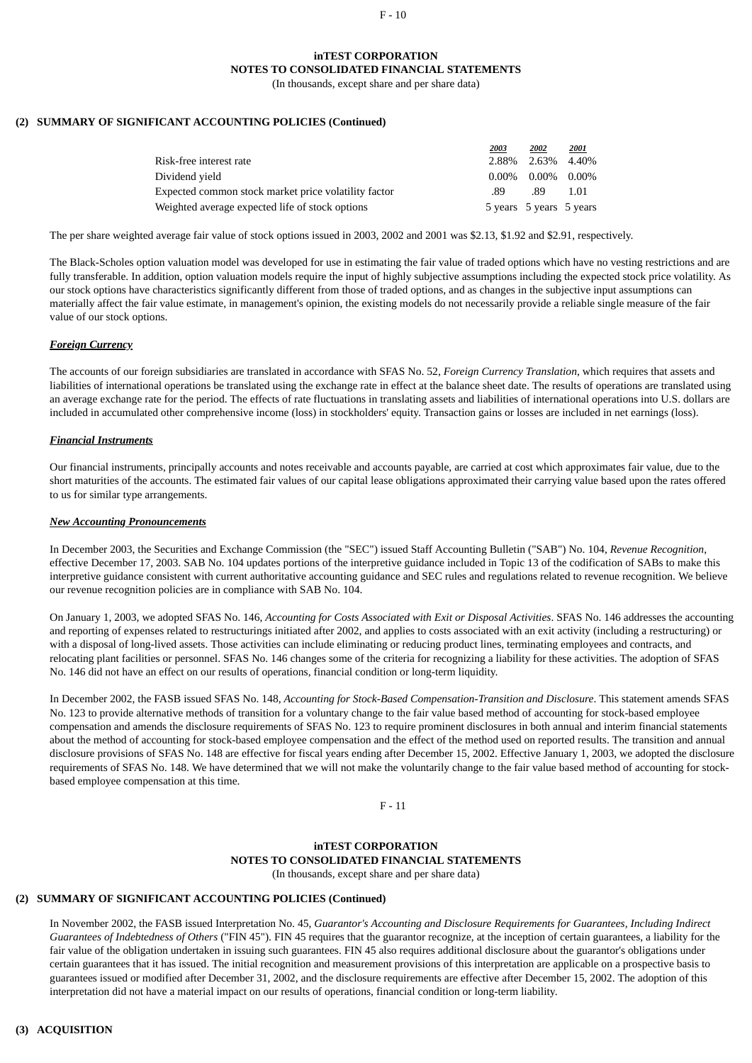#### $F - 10$

#### **inTEST CORPORATION**

**NOTES TO CONSOLIDATED FINANCIAL STATEMENTS**

(In thousands, except share and per share data)

# **(2) SUMMARY OF SIGNIFICANT ACCOUNTING POLICIES (Continued)**

|                                                      | 2003     | 2002                    | 2001 |
|------------------------------------------------------|----------|-------------------------|------|
| Risk-free interest rate                              |          | 2.88% 2.63% 4.40%       |      |
| Dividend vield                                       | $0.00\%$ | 0.00% 0.00%             |      |
| Expected common stock market price volatility factor | .89      | .89                     | 1.01 |
| Weighted average expected life of stock options      |          | 5 years 5 years 5 years |      |

The per share weighted average fair value of stock options issued in 2003, 2002 and 2001 was \$2.13, \$1.92 and \$2.91, respectively.

The Black-Scholes option valuation model was developed for use in estimating the fair value of traded options which have no vesting restrictions and are fully transferable. In addition, option valuation models require the input of highly subjective assumptions including the expected stock price volatility. As our stock options have characteristics significantly different from those of traded options, and as changes in the subjective input assumptions can materially affect the fair value estimate, in management's opinion, the existing models do not necessarily provide a reliable single measure of the fair value of our stock options.

#### *Foreign Currency*

The accounts of our foreign subsidiaries are translated in accordance with SFAS No. 52, *Foreign Currency Translation*, which requires that assets and liabilities of international operations be translated using the exchange rate in effect at the balance sheet date. The results of operations are translated using an average exchange rate for the period. The effects of rate fluctuations in translating assets and liabilities of international operations into U.S. dollars are included in accumulated other comprehensive income (loss) in stockholders' equity. Transaction gains or losses are included in net earnings (loss).

#### *Financial Instruments*

Our financial instruments, principally accounts and notes receivable and accounts payable, are carried at cost which approximates fair value, due to the short maturities of the accounts. The estimated fair values of our capital lease obligations approximated their carrying value based upon the rates offered to us for similar type arrangements.

#### *New Accounting Pronouncements*

In December 2003, the Securities and Exchange Commission (the "SEC") issued Staff Accounting Bulletin ("SAB") No. 104, *Revenue Recognition*, effective December 17, 2003. SAB No. 104 updates portions of the interpretive guidance included in Topic 13 of the codification of SABs to make this interpretive guidance consistent with current authoritative accounting guidance and SEC rules and regulations related to revenue recognition. We believe our revenue recognition policies are in compliance with SAB No. 104.

On January 1, 2003, we adopted SFAS No. 146, *Accounting for Costs Associated with Exit or Disposal Activities*. SFAS No. 146 addresses the accounting and reporting of expenses related to restructurings initiated after 2002, and applies to costs associated with an exit activity (including a restructuring) or with a disposal of long-lived assets. Those activities can include eliminating or reducing product lines, terminating employees and contracts, and relocating plant facilities or personnel. SFAS No. 146 changes some of the criteria for recognizing a liability for these activities. The adoption of SFAS No. 146 did not have an effect on our results of operations, financial condition or long-term liquidity.

In December 2002, the FASB issued SFAS No. 148, *Accounting for Stock-Based Compensation-Transition and Disclosure*. This statement amends SFAS No. 123 to provide alternative methods of transition for a voluntary change to the fair value based method of accounting for stock-based employee compensation and amends the disclosure requirements of SFAS No. 123 to require prominent disclosures in both annual and interim financial statements about the method of accounting for stock-based employee compensation and the effect of the method used on reported results. The transition and annual disclosure provisions of SFAS No. 148 are effective for fiscal years ending after December 15, 2002. Effective January 1, 2003, we adopted the disclosure requirements of SFAS No. 148. We have determined that we will not make the voluntarily change to the fair value based method of accounting for stockbased employee compensation at this time.

 $F - 11$ 

#### **inTEST CORPORATION NOTES TO CONSOLIDATED FINANCIAL STATEMENTS** (In thousands, except share and per share data)

# **(2) SUMMARY OF SIGNIFICANT ACCOUNTING POLICIES (Continued)**

In November 2002, the FASB issued Interpretation No. 45, *Guarantor's Accounting and Disclosure Requirements for Guarantees, Including Indirect Guarantees of Indebtedness of Others* ("FIN 45"). FIN 45 requires that the guarantor recognize, at the inception of certain guarantees, a liability for the fair value of the obligation undertaken in issuing such guarantees. FIN 45 also requires additional disclosure about the guarantor's obligations under certain guarantees that it has issued. The initial recognition and measurement provisions of this interpretation are applicable on a prospective basis to guarantees issued or modified after December 31, 2002, and the disclosure requirements are effective after December 15, 2002. The adoption of this interpretation did not have a material impact on our results of operations, financial condition or long-term liability.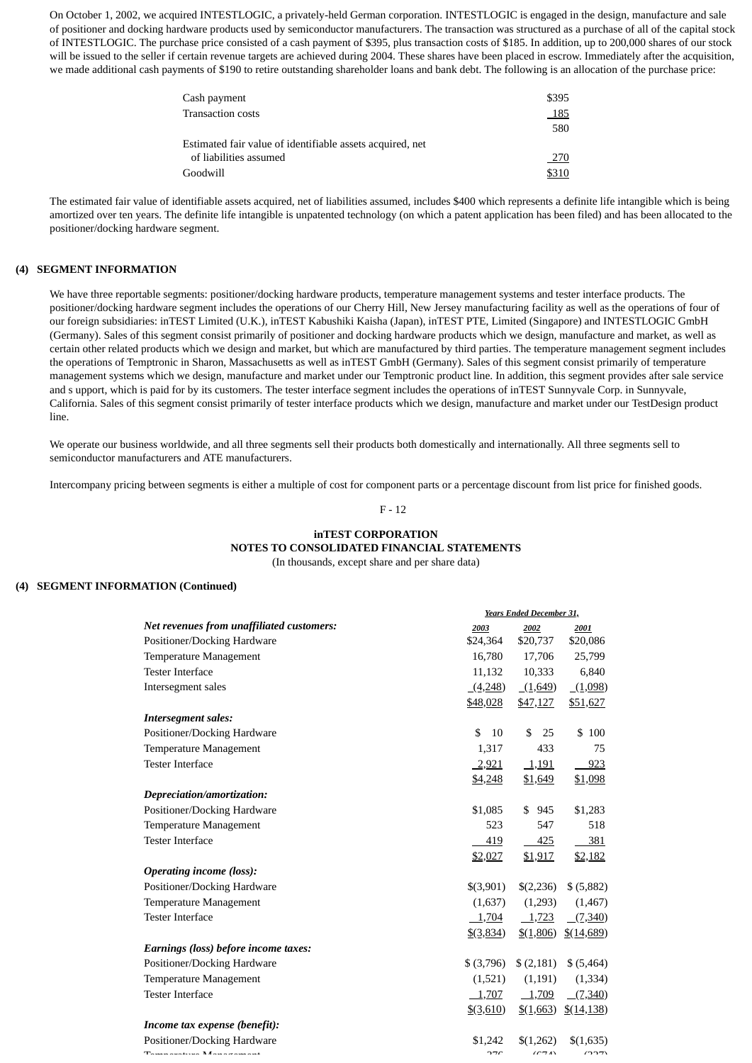On October 1, 2002, we acquired INTESTLOGIC, a privately-held German corporation. INTESTLOGIC is engaged in the design, manufacture and sale of positioner and docking hardware products used by semiconductor manufacturers. The transaction was structured as a purchase of all of the capital stock of INTESTLOGIC. The purchase price consisted of a cash payment of \$395, plus transaction costs of \$185. In addition, up to 200,000 shares of our stock will be issued to the seller if certain revenue targets are achieved during 2004. These shares have been placed in escrow. Immediately after the acquisition, we made additional cash payments of \$190 to retire outstanding shareholder loans and bank debt. The following is an allocation of the purchase price:

| Cash payment                                              | \$395 |
|-----------------------------------------------------------|-------|
| Transaction costs                                         | 185   |
|                                                           | 580   |
| Estimated fair value of identifiable assets acquired, net |       |
| of liabilities assumed                                    | 270   |
| Goodwill                                                  |       |

The estimated fair value of identifiable assets acquired, net of liabilities assumed, includes \$400 which represents a definite life intangible which is being amortized over ten years. The definite life intangible is unpatented technology (on which a patent application has been filed) and has been allocated to the positioner/docking hardware segment.

### **(4) SEGMENT INFORMATION**

We have three reportable segments: positioner/docking hardware products, temperature management systems and tester interface products. The positioner/docking hardware segment includes the operations of our Cherry Hill, New Jersey manufacturing facility as well as the operations of four of our foreign subsidiaries: inTEST Limited (U.K.), inTEST Kabushiki Kaisha (Japan), inTEST PTE, Limited (Singapore) and INTESTLOGIC GmbH (Germany). Sales of this segment consist primarily of positioner and docking hardware products which we design, manufacture and market, as well as certain other related products which we design and market, but which are manufactured by third parties. The temperature management segment includes the operations of Temptronic in Sharon, Massachusetts as well as inTEST GmbH (Germany). Sales of this segment consist primarily of temperature management systems which we design, manufacture and market under our Temptronic product line. In addition, this segment provides after sale service and s upport, which is paid for by its customers. The tester interface segment includes the operations of inTEST Sunnyvale Corp. in Sunnyvale, California. Sales of this segment consist primarily of tester interface products which we design, manufacture and market under our TestDesign product line.

We operate our business worldwide, and all three segments sell their products both domestically and internationally. All three segments sell to semiconductor manufacturers and ATE manufacturers.

Intercompany pricing between segments is either a multiple of cost for component parts or a percentage discount from list price for finished goods.

#### F - 12

#### **inTEST CORPORATION NOTES TO CONSOLIDATED FINANCIAL STATEMENTS** (In thousands, except share and per share data)

#### **(4) SEGMENT INFORMATION (Continued)**

|                                                      | Years Ended December 31, |                      |                       |
|------------------------------------------------------|--------------------------|----------------------|-----------------------|
| Net revenues from unaffiliated customers:            | 2003                     | 2002                 | 2001                  |
| Positioner/Docking Hardware                          | \$24,364                 | \$20,737             | \$20,086              |
| Temperature Management                               | 16,780                   | 17,706               | 25,799                |
| <b>Tester Interface</b>                              | 11,132                   | 10,333               | 6,840                 |
| Intersegment sales                                   | (4,248)                  | (1,649)              | (1,098)               |
|                                                      | \$48,028                 | \$47,127             | \$51,627              |
| <b>Intersegment sales:</b>                           |                          |                      |                       |
| Positioner/Docking Hardware                          | \$<br>10                 | \$<br>25             | \$100                 |
| Temperature Management                               | 1,317                    | 433                  | 75                    |
| <b>Tester Interface</b>                              | 2,921                    | 1,191                | 923                   |
|                                                      | <u>\$4,248</u>           | <u>\$1,649</u>       | \$1,098               |
| Depreciation/amortization:                           |                          |                      |                       |
| Positioner/Docking Hardware                          | \$1,085                  | \$945                | \$1,283               |
| Temperature Management                               | 523                      | 547                  | 518                   |
| <b>Tester Interface</b>                              | 419                      | 425                  | 381                   |
|                                                      | \$2,027                  | \$1,917              | \$2,182               |
| <b>Operating income (loss):</b>                      |                          |                      |                       |
| Positioner/Docking Hardware                          | \$(3,901)                | \$(2,236)            | \$ (5,882)            |
| Temperature Management                               | (1,637)                  | (1,293)              | (1,467)               |
| <b>Tester Interface</b>                              | 1,704                    | 1,723                | (7,340)               |
|                                                      | $\frac{$(3,834)}{2}$     | $\frac{$(1,806)}{2}$ | $\frac{$(14,689)}{}$  |
| Earnings (loss) before income taxes:                 |                          |                      |                       |
| Positioner/Docking Hardware                          | $$$ (3,796)              | (2,181)              | \$ (5,464)            |
| Temperature Management                               | (1,521)                  | (1,191)              | (1, 334)              |
| <b>Tester Interface</b>                              | 1,707                    | 1,709                | (7,340)               |
|                                                      | <u>\$(3,610)</u>         | $\frac{$(1,663)}{2}$ | $\frac{$(14,138)}{2}$ |
| Income tax expense (benefit):                        |                          |                      |                       |
| Positioner/Docking Hardware                          | \$1,242                  | \$(1,262)            | \$(1,635)             |
| The company of the Matter of the company of the U.S. | חדר                      | (CDA)                | (22)                  |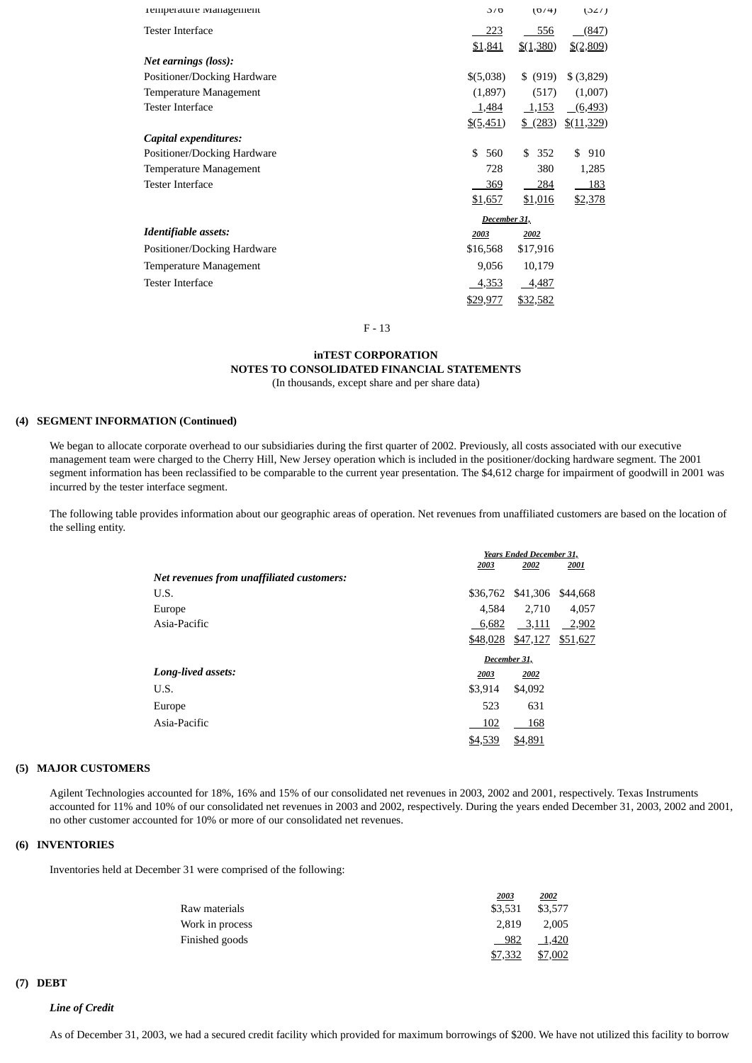| remperature management      | J/O                  | (0/4)         | (32/)                 |
|-----------------------------|----------------------|---------------|-----------------------|
| <b>Tester Interface</b>     | 223                  | 556           | (847)                 |
|                             | \$1,841              | $$$ $(1,380)$ | $$$ (2,809)           |
| Net earnings (loss):        |                      |               |                       |
| Positioner/Docking Hardware | \$(5,038)            | \$ (919)      | \$ (3,829)            |
| Temperature Management      | (1,897)              | (517)         | (1,007)               |
| Tester Interface            | 1,484                | <u>1,153</u>  | (6, 493)              |
|                             | $\frac{$(5,451)}{2}$ | $$^{(283)}$   | $\frac{$(11,329)}{2}$ |
| Capital expenditures:       |                      |               |                       |
| Positioner/Docking Hardware | \$<br>560            | \$<br>352     | \$<br>910             |
| Temperature Management      | 728                  | 380           | 1,285                 |
| <b>Tester Interface</b>     | 369                  | 284           | 183                   |
|                             | \$1,657              | \$1,016       | \$2,378               |
|                             | December 31,         |               |                       |
| Identifiable assets:        | 2003                 | 2002          |                       |
| Positioner/Docking Hardware | \$16,568             | \$17,916      |                       |
| Temperature Management      | 9,056                | 10,179        |                       |
| Tester Interface            | 4,353                | 4,487         |                       |
|                             | \$29,977             | \$32,582      |                       |

F - 13

#### **inTEST CORPORATION NOTES TO CONSOLIDATED FINANCIAL STATEMENTS** (In thousands, except share and per share data)

# **(4) SEGMENT INFORMATION (Continued)**

We began to allocate corporate overhead to our subsidiaries during the first quarter of 2002. Previously, all costs associated with our executive management team were charged to the Cherry Hill, New Jersey operation which is included in the positioner/docking hardware segment. The 2001 segment information has been reclassified to be comparable to the current year presentation. The \$4,612 charge for impairment of goodwill in 2001 was incurred by the tester interface segment.

The following table provides information about our geographic areas of operation. Net revenues from unaffiliated customers are based on the location of the selling entity.

|                                           |         | Years Ended December 31,   |          |  |
|-------------------------------------------|---------|----------------------------|----------|--|
|                                           | 2003    | 2002                       | 2001     |  |
| Net revenues from unaffiliated customers: |         |                            |          |  |
| U.S.                                      |         | \$36,762 \$41,306 \$44,668 |          |  |
| Europe                                    | 4.584   | 2.710                      | 4,057    |  |
| Asia-Pacific                              | 6,682   | 3,111                      | $-2,902$ |  |
|                                           |         | \$48,028 \$47,127          | \$51,627 |  |
|                                           |         | December 31,               |          |  |
| Long-lived assets:                        | 2003    | 2002                       |          |  |
| U.S.                                      | \$3,914 | \$4,092                    |          |  |
| Europe                                    | 523     | 631                        |          |  |
| Asia-Pacific                              | 102     | 168                        |          |  |
|                                           | \$4,539 | \$4,891                    |          |  |

#### **(5) MAJOR CUSTOMERS**

Agilent Technologies accounted for 18%, 16% and 15% of our consolidated net revenues in 2003, 2002 and 2001, respectively. Texas Instruments accounted for 11% and 10% of our consolidated net revenues in 2003 and 2002, respectively. During the years ended December 31, 2003, 2002 and 2001, no other customer accounted for 10% or more of our consolidated net revenues.

#### **(6) INVENTORIES**

Inventories held at December 31 were comprised of the following:

|                 | 2003    | <u> 2002 </u> |
|-----------------|---------|---------------|
| Raw materials   | \$3.531 | \$3,577       |
| Work in process | 2.819   | 2.005         |
| Finished goods  | 982     | 1,420         |
|                 | \$7,332 | \$7,002       |

## **(7) DEBT**

#### *Line of Credit*

As of December 31, 2003, we had a secured credit facility which provided for maximum borrowings of \$200. We have not utilized this facility to borrow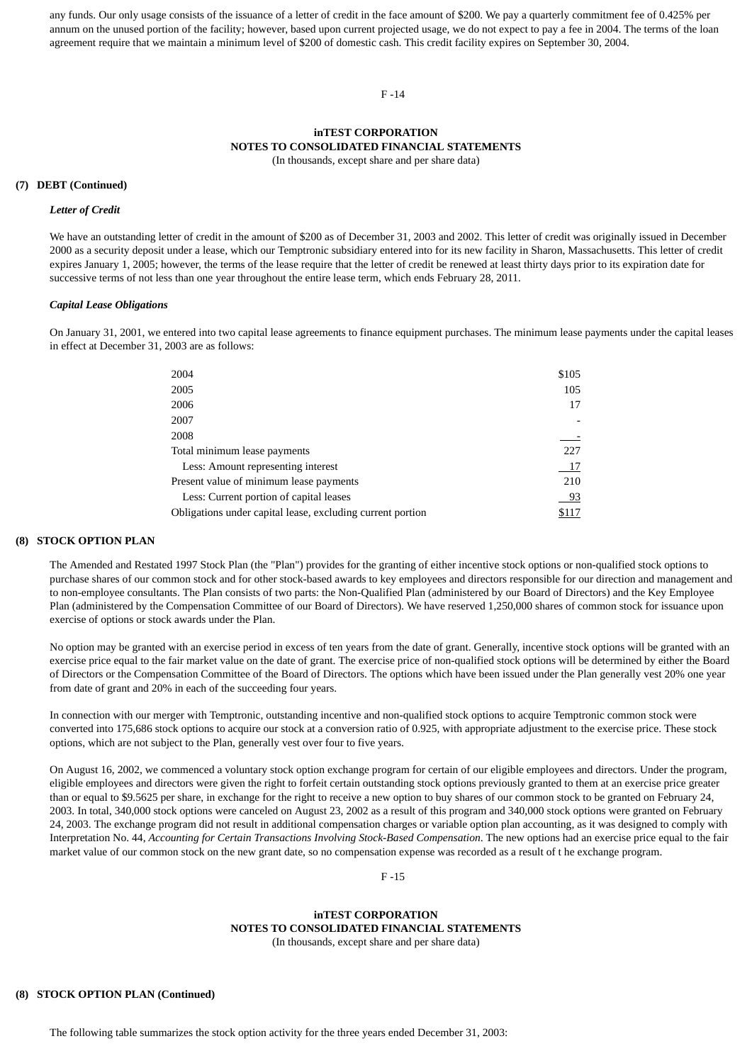any funds. Our only usage consists of the issuance of a letter of credit in the face amount of \$200. We pay a quarterly commitment fee of 0.425% per annum on the unused portion of the facility; however, based upon current projected usage, we do not expect to pay a fee in 2004. The terms of the loan agreement require that we maintain a minimum level of \$200 of domestic cash. This credit facility expires on September 30, 2004.

#### F -14

# **inTEST CORPORATION NOTES TO CONSOLIDATED FINANCIAL STATEMENTS**

(In thousands, except share and per share data)

#### **(7) DEBT (Continued)**

#### *Letter of Credit*

We have an outstanding letter of credit in the amount of \$200 as of December 31, 2003 and 2002. This letter of credit was originally issued in December 2000 as a security deposit under a lease, which our Temptronic subsidiary entered into for its new facility in Sharon, Massachusetts. This letter of credit expires January 1, 2005; however, the terms of the lease require that the letter of credit be renewed at least thirty days prior to its expiration date for successive terms of not less than one year throughout the entire lease term, which ends February 28, 2011.

#### *Capital Lease Obligations*

On January 31, 2001, we entered into two capital lease agreements to finance equipment purchases. The minimum lease payments under the capital leases in effect at December 31, 2003 are as follows:

| \$105 |
|-------|
|       |
| 105   |
| 17    |
|       |
|       |
| 227   |
| 17    |
| 210   |
| 93    |
| \$117 |
|       |

#### **(8) STOCK OPTION PLAN**

The Amended and Restated 1997 Stock Plan (the "Plan") provides for the granting of either incentive stock options or non-qualified stock options to purchase shares of our common stock and for other stock-based awards to key employees and directors responsible for our direction and management and to non-employee consultants. The Plan consists of two parts: the Non-Qualified Plan (administered by our Board of Directors) and the Key Employee Plan (administered by the Compensation Committee of our Board of Directors). We have reserved 1,250,000 shares of common stock for issuance upon exercise of options or stock awards under the Plan.

No option may be granted with an exercise period in excess of ten years from the date of grant. Generally, incentive stock options will be granted with an exercise price equal to the fair market value on the date of grant. The exercise price of non-qualified stock options will be determined by either the Board of Directors or the Compensation Committee of the Board of Directors. The options which have been issued under the Plan generally vest 20% one year from date of grant and 20% in each of the succeeding four years.

In connection with our merger with Temptronic, outstanding incentive and non-qualified stock options to acquire Temptronic common stock were converted into 175,686 stock options to acquire our stock at a conversion ratio of 0.925, with appropriate adjustment to the exercise price. These stock options, which are not subject to the Plan, generally vest over four to five years.

On August 16, 2002, we commenced a voluntary stock option exchange program for certain of our eligible employees and directors. Under the program, eligible employees and directors were given the right to forfeit certain outstanding stock options previously granted to them at an exercise price greater than or equal to \$9.5625 per share, in exchange for the right to receive a new option to buy shares of our common stock to be granted on February 24, 2003. In total, 340,000 stock options were canceled on August 23, 2002 as a result of this program and 340,000 stock options were granted on February 24, 2003. The exchange program did not result in additional compensation charges or variable option plan accounting, as it was designed to comply with Interpretation No. 44, *Accounting for Certain Transactions Involving Stock-Based Compensation*. The new options had an exercise price equal to the fair market value of our common stock on the new grant date, so no compensation expense was recorded as a result of t he exchange program.

F -15

# **inTEST CORPORATION NOTES TO CONSOLIDATED FINANCIAL STATEMENTS**

(In thousands, except share and per share data)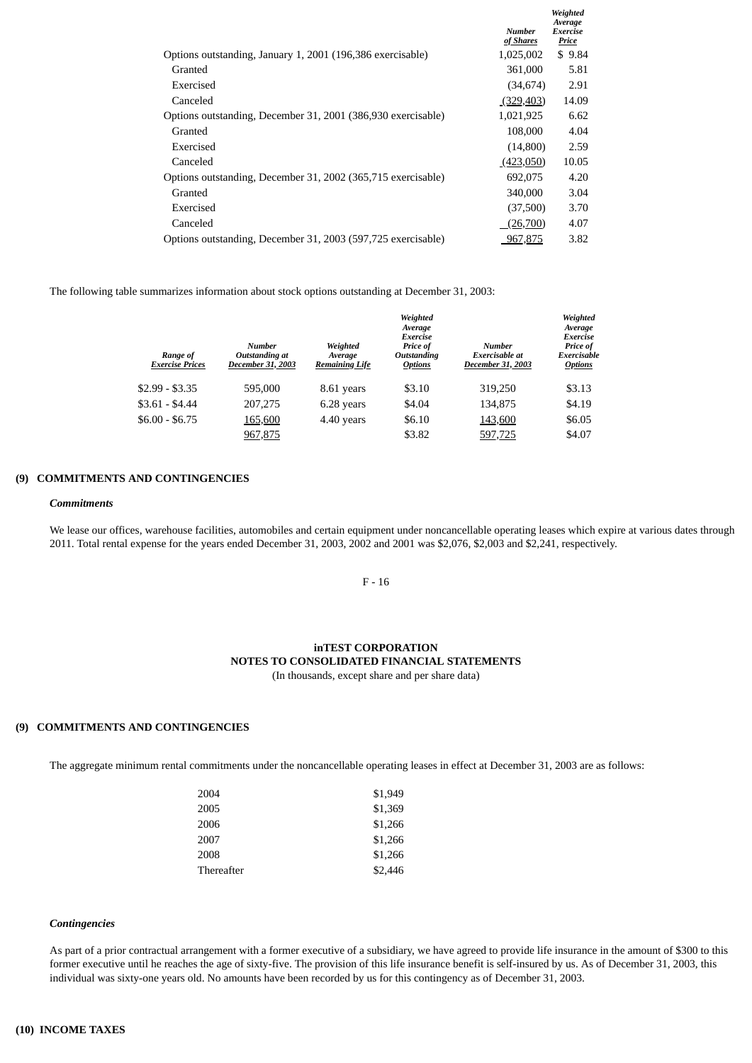|                                                              |                                   | Weighted<br>Average |
|--------------------------------------------------------------|-----------------------------------|---------------------|
|                                                              | <b>Number</b><br><u>of Shares</u> | Exercise<br>Price   |
| Options outstanding, January 1, 2001 (196,386 exercisable)   | 1,025,002                         | \$9.84              |
| Granted                                                      | 361,000                           | 5.81                |
| Exercised                                                    | (34, 674)                         | 2.91                |
| Canceled                                                     | (329, 403)                        | 14.09               |
| Options outstanding, December 31, 2001 (386,930 exercisable) | 1,021,925                         | 6.62                |
| Granted                                                      | 108,000                           | 4.04                |
| Exercised                                                    | (14,800)                          | 2.59                |
| Canceled                                                     | (423,050)                         | 10.05               |
| Options outstanding, December 31, 2002 (365,715 exercisable) | 692,075                           | 4.20                |
| Granted                                                      | 340,000                           | 3.04                |
| Exercised                                                    | (37,500)                          | 3.70                |
| Canceled                                                     | (26,700)                          | 4.07                |
| Options outstanding, December 31, 2003 (597,725 exercisable) | 967,875                           | 3.82                |

The following table summarizes information about stock options outstanding at December 31, 2003:

| Range of<br><b>Exercise Prices</b> | <b>Number</b><br>Outstanding at<br>December 31, 2003 | Weighted<br>Average<br><b>Remaining Life</b> | Weighted<br>Average<br>Exercise<br>Price of<br>Outstanding<br><b>Options</b> | <b>Number</b><br>Exercisable at<br>December 31, 2003 | Weighted<br>Average<br>Exercise<br>Price of<br>Exercisable<br><b>Options</b> |
|------------------------------------|------------------------------------------------------|----------------------------------------------|------------------------------------------------------------------------------|------------------------------------------------------|------------------------------------------------------------------------------|
| $$2.99 - $3.35$                    | 595,000                                              | 8.61 years                                   | \$3.10                                                                       | 319,250                                              | \$3.13                                                                       |
| $$3.61 - $4.44$                    | 207,275                                              | 6.28 years                                   | \$4.04                                                                       | 134,875                                              | \$4.19                                                                       |
| $$6.00 - $6.75$                    | 165,600                                              | 4.40 years                                   | \$6.10                                                                       | 143,600                                              | \$6.05                                                                       |
|                                    | 967,875                                              |                                              | \$3.82                                                                       | 597,725                                              | \$4.07                                                                       |

#### **(9) COMMITMENTS AND CONTINGENCIES**

#### *Commitments*

We lease our offices, warehouse facilities, automobiles and certain equipment under noncancellable operating leases which expire at various dates through 2011. Total rental expense for the years ended December 31, 2003, 2002 and 2001 was \$2,076, \$2,003 and \$2,241, respectively.

F - 16

#### **inTEST CORPORATION NOTES TO CONSOLIDATED FINANCIAL STATEMENTS** (In thousands, except share and per share data)

# **(9) COMMITMENTS AND CONTINGENCIES**

The aggregate minimum rental commitments under the noncancellable operating leases in effect at December 31, 2003 are as follows:

| 2004       | \$1,949 |
|------------|---------|
| 2005       | \$1,369 |
| 2006       | \$1,266 |
| 2007       | \$1,266 |
| 2008       | \$1,266 |
| Thereafter | \$2.446 |

#### *Contingencies*

As part of a prior contractual arrangement with a former executive of a subsidiary, we have agreed to provide life insurance in the amount of \$300 to this former executive until he reaches the age of sixty-five. The provision of this life insurance benefit is self-insured by us. As of December 31, 2003, this individual was sixty-one years old. No amounts have been recorded by us for this contingency as of December 31, 2003.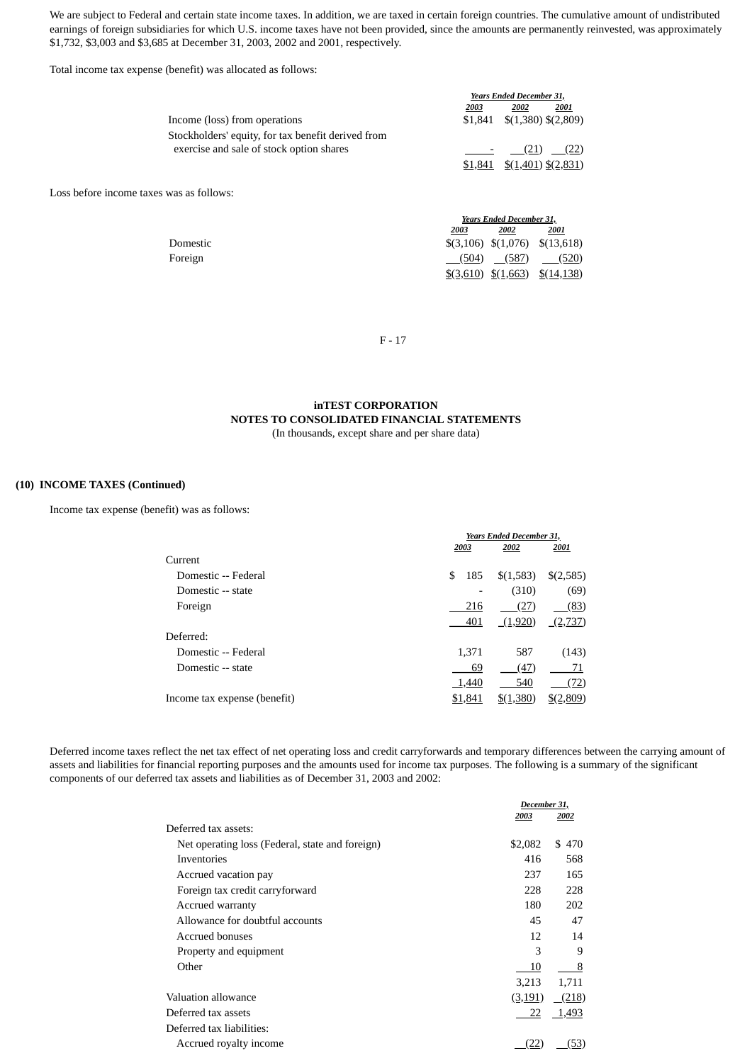We are subject to Federal and certain state income taxes. In addition, we are taxed in certain foreign countries. The cumulative amount of undistributed earnings of foreign subsidiaries for which U.S. income taxes have not been provided, since the amounts are permanently reinvested, was approximately \$1,732, \$3,003 and \$3,685 at December 31, 2003, 2002 and 2001, respectively.

Total income tax expense (benefit) was allocated as follows:

|                                                    | Years Ended December 31, |                                |               |
|----------------------------------------------------|--------------------------|--------------------------------|---------------|
|                                                    | 2003                     | 2002                           | 2001          |
| Income (loss) from operations                      |                          | $$1,841$ $$(1,380)$ $$(2,809)$ |               |
| Stockholders' equity, for tax benefit derived from |                          |                                |               |
| exercise and sale of stock option shares           |                          |                                | $(21)$ $(22)$ |
|                                                    |                          | $$1,841$ $$(1,401)$ $$(2,831)$ |               |
|                                                    |                          |                                |               |

Loss before income taxes was as follows:

|          | <b>Years Ended December 31,</b> |      |                                                   |
|----------|---------------------------------|------|---------------------------------------------------|
|          | 2003                            | 2002 | <u> 2001</u>                                      |
| Domestic |                                 |      | $\{(3,106) \quad \{(1,076) \quad \{(13,618)\}\}$  |
| Foreign  |                                 |      | $(504)$ $(587)$ $(520)$                           |
|          |                                 |      | $\frac{$(3,610) \quad \frac{$(1,663)}{$(14,138)}$ |
|          |                                 |      |                                                   |

F - 17

#### **inTEST CORPORATION NOTES TO CONSOLIDATED FINANCIAL STATEMENTS** (In thousands, except share and per share data)

#### **(10) INCOME TAXES (Continued)**

Income tax expense (benefit) was as follows:

|                              | <b>Years Ended December 31,</b> |         |           |             |
|------------------------------|---------------------------------|---------|-----------|-------------|
|                              |                                 | 2003    | 2002      | 2001        |
| Current                      |                                 |         |           |             |
| Domestic -- Federal          | S.                              | 185     | \$(1,583) | \$(2,585)   |
| Domestic -- state            |                                 |         | (310)     | (69)        |
| Foreign                      |                                 | 216     | (27)      | (83)        |
|                              |                                 | 401     | (1,920)   | (2,737)     |
| Deferred:                    |                                 |         |           |             |
| Domestic -- Federal          |                                 | 1,371   | 587       | (143)       |
| Domestic -- state            |                                 | 69      | (47)      | 71          |
|                              |                                 | 1,440   | 540       | <u>(72)</u> |
| Income tax expense (benefit) |                                 | \$1,841 | \$(1,380) | \$(2,809)   |
|                              |                                 |         |           |             |

Deferred income taxes reflect the net tax effect of net operating loss and credit carryforwards and temporary differences between the carrying amount of assets and liabilities for financial reporting purposes and the amounts used for income tax purposes. The following is a summary of the significant components of our deferred tax assets and liabilities as of December 31, 2003 and 2002:

|                                                 |         | December 31, |  |
|-------------------------------------------------|---------|--------------|--|
|                                                 | 2003    | 2002         |  |
| Deferred tax assets:                            |         |              |  |
| Net operating loss (Federal, state and foreign) | \$2,082 | \$<br>470    |  |
| <b>Inventories</b>                              | 416     | 568          |  |
| Accrued vacation pay                            | 237     | 165          |  |
| Foreign tax credit carryforward                 | 228     | 228          |  |
| Accrued warranty                                | 180     | 202          |  |
| Allowance for doubtful accounts                 | 45      | 47           |  |
| Accrued bonuses                                 | 12      | 14           |  |
| Property and equipment                          | 3       | 9            |  |
| Other                                           | 10      | 8            |  |
|                                                 | 3,213   | 1,711        |  |
| Valuation allowance                             | (3,191) | (218)        |  |
| Deferred tax assets                             | 22      | 1,493        |  |
| Deferred tax liabilities:                       |         |              |  |
| Accrued royalty income                          | 22)     | (53)         |  |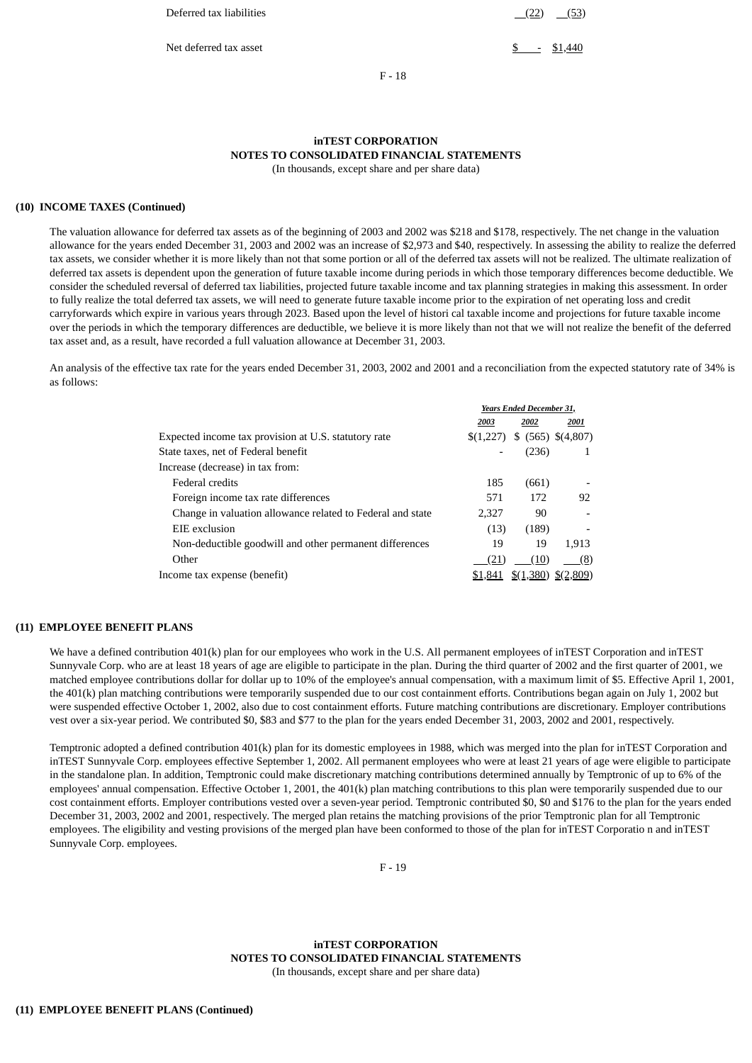Deferred tax liabilities (22) (53)

Net deferred tax asset **\$**  $\frac{1}{2}$   $\frac{1}{440}$ 

F - 18

### **inTEST CORPORATION NOTES TO CONSOLIDATED FINANCIAL STATEMENTS**

(In thousands, except share and per share data)

#### **(10) INCOME TAXES (Continued)**

The valuation allowance for deferred tax assets as of the beginning of 2003 and 2002 was \$218 and \$178, respectively. The net change in the valuation allowance for the years ended December 31, 2003 and 2002 was an increase of \$2,973 and \$40, respectively. In assessing the ability to realize the deferred tax assets, we consider whether it is more likely than not that some portion or all of the deferred tax assets will not be realized. The ultimate realization of deferred tax assets is dependent upon the generation of future taxable income during periods in which those temporary differences become deductible. We consider the scheduled reversal of deferred tax liabilities, projected future taxable income and tax planning strategies in making this assessment. In order to fully realize the total deferred tax assets, we will need to generate future taxable income prior to the expiration of net operating loss and credit carryforwards which expire in various years through 2023. Based upon the level of histori cal taxable income and projections for future taxable income over the periods in which the temporary differences are deductible, we believe it is more likely than not that we will not realize the benefit of the deferred tax asset and, as a result, have recorded a full valuation allowance at December 31, 2003.

An analysis of the effective tax rate for the years ended December 31, 2003, 2002 and 2001 and a reconciliation from the expected statutory rate of 34% is as follows:

| <b>Years Ended December 31,</b> |       |                      |
|---------------------------------|-------|----------------------|
| 2003                            | 2002  | 2001                 |
| \$(1,227)                       |       | $$$ (565) \$(4,807)  |
|                                 | (236) |                      |
|                                 |       |                      |
| 185                             | (661) |                      |
| 571                             | 172   | 92                   |
| 2.327                           | 90    |                      |
| (13)                            | (189) |                      |
| 19                              | 19    | 1.913                |
| (21)                            | (10)  | (8)                  |
| \$1,841                         |       | \$(2,809)            |
|                                 |       | $\frac{$(1,380)}{2}$ |

#### **(11) EMPLOYEE BENEFIT PLANS**

We have a defined contribution 401(k) plan for our employees who work in the U.S. All permanent employees of inTEST Corporation and inTEST Sunnyvale Corp. who are at least 18 years of age are eligible to participate in the plan. During the third quarter of 2002 and the first quarter of 2001, we matched employee contributions dollar for dollar up to 10% of the employee's annual compensation, with a maximum limit of \$5. Effective April 1, 2001, the 401(k) plan matching contributions were temporarily suspended due to our cost containment efforts. Contributions began again on July 1, 2002 but were suspended effective October 1, 2002, also due to cost containment efforts. Future matching contributions are discretionary. Employer contributions vest over a six-year period. We contributed \$0, \$83 and \$77 to the plan for the years ended December 31, 2003, 2002 and 2001, respectively.

Temptronic adopted a defined contribution 401(k) plan for its domestic employees in 1988, which was merged into the plan for inTEST Corporation and inTEST Sunnyvale Corp. employees effective September 1, 2002. All permanent employees who were at least 21 years of age were eligible to participate in the standalone plan. In addition, Temptronic could make discretionary matching contributions determined annually by Temptronic of up to 6% of the employees' annual compensation. Effective October 1, 2001, the 401(k) plan matching contributions to this plan were temporarily suspended due to our cost containment efforts. Employer contributions vested over a seven-year period. Temptronic contributed \$0, \$0 and \$176 to the plan for the years ended December 31, 2003, 2002 and 2001, respectively. The merged plan retains the matching provisions of the prior Temptronic plan for all Temptronic employees. The eligibility and vesting provisions of the merged plan have been conformed to those of the plan for inTEST Corporatio n and inTEST Sunnyvale Corp. employees.

F - 19

**inTEST CORPORATION NOTES TO CONSOLIDATED FINANCIAL STATEMENTS** (In thousands, except share and per share data)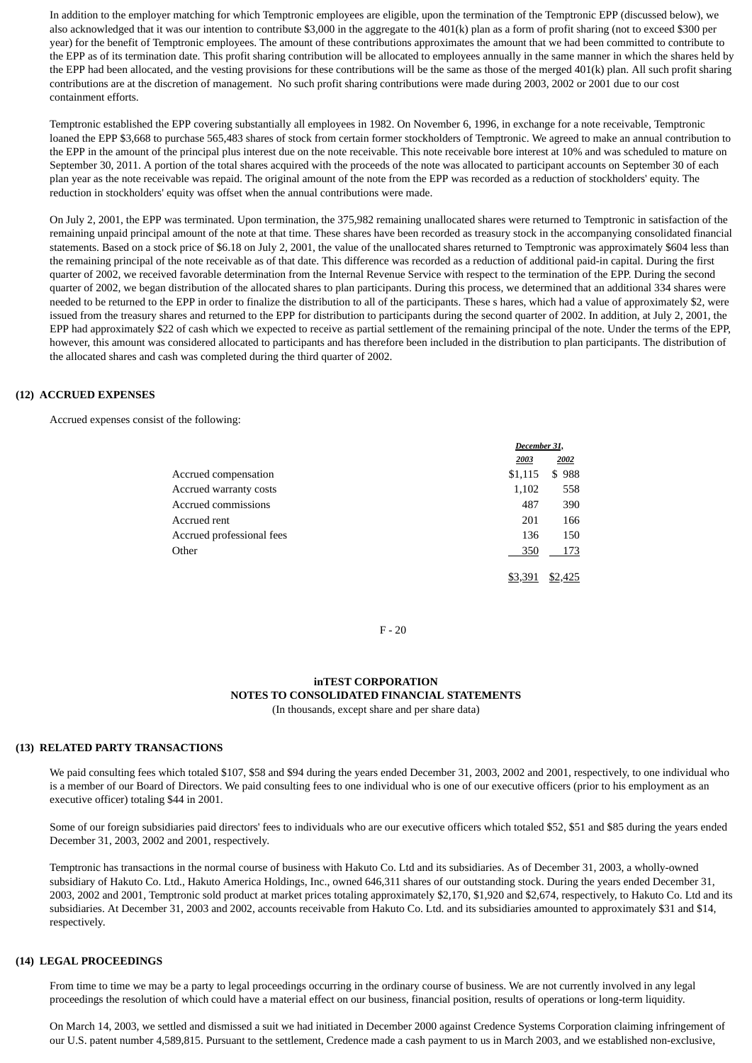In addition to the employer matching for which Temptronic employees are eligible, upon the termination of the Temptronic EPP (discussed below), we also acknowledged that it was our intention to contribute \$3,000 in the aggregate to the 401(k) plan as a form of profit sharing (not to exceed \$300 per year) for the benefit of Temptronic employees. The amount of these contributions approximates the amount that we had been committed to contribute to the EPP as of its termination date. This profit sharing contribution will be allocated to employees annually in the same manner in which the shares held by the EPP had been allocated, and the vesting provisions for these contributions will be the same as those of the merged 401(k) plan. All such profit sharing contributions are at the discretion of management. No such profit sharing contributions were made during 2003, 2002 or 2001 due to our cost containment efforts.

Temptronic established the EPP covering substantially all employees in 1982. On November 6, 1996, in exchange for a note receivable, Temptronic loaned the EPP \$3,668 to purchase 565,483 shares of stock from certain former stockholders of Temptronic. We agreed to make an annual contribution to the EPP in the amount of the principal plus interest due on the note receivable. This note receivable bore interest at 10% and was scheduled to mature on September 30, 2011. A portion of the total shares acquired with the proceeds of the note was allocated to participant accounts on September 30 of each plan year as the note receivable was repaid. The original amount of the note from the EPP was recorded as a reduction of stockholders' equity. The reduction in stockholders' equity was offset when the annual contributions were made.

On July 2, 2001, the EPP was terminated. Upon termination, the 375,982 remaining unallocated shares were returned to Temptronic in satisfaction of the remaining unpaid principal amount of the note at that time. These shares have been recorded as treasury stock in the accompanying consolidated financial statements. Based on a stock price of \$6.18 on July 2, 2001, the value of the unallocated shares returned to Temptronic was approximately \$604 less than the remaining principal of the note receivable as of that date. This difference was recorded as a reduction of additional paid-in capital. During the first quarter of 2002, we received favorable determination from the Internal Revenue Service with respect to the termination of the EPP. During the second quarter of 2002, we began distribution of the allocated shares to plan participants. During this process, we determined that an additional 334 shares were needed to be returned to the EPP in order to finalize the distribution to all of the participants. These s hares, which had a value of approximately \$2, were issued from the treasury shares and returned to the EPP for distribution to participants during the second quarter of 2002. In addition, at July 2, 2001, the EPP had approximately \$22 of cash which we expected to receive as partial settlement of the remaining principal of the note. Under the terms of the EPP, however, this amount was considered allocated to participants and has therefore been included in the distribution to plan participants. The distribution of the allocated shares and cash was completed during the third quarter of 2002.

#### **(12) ACCRUED EXPENSES**

Accrued expenses consist of the following:

|                           |         | December 31, |  |  |
|---------------------------|---------|--------------|--|--|
|                           | 2003    | 2002         |  |  |
| Accrued compensation      | \$1,115 | \$988        |  |  |
| Accrued warranty costs    | 1,102   | 558          |  |  |
| Accrued commissions       | 487     | 390          |  |  |
| Accrued rent              | 201     | 166          |  |  |
| Accrued professional fees | 136     | 150          |  |  |
| Other                     | 350     | 173          |  |  |
|                           | \$3,391 | \$2,425      |  |  |

F - 20

#### **inTEST CORPORATION NOTES TO CONSOLIDATED FINANCIAL STATEMENTS** (In thousands, except share and per share data)

#### **(13) RELATED PARTY TRANSACTIONS**

We paid consulting fees which totaled \$107, \$58 and \$94 during the years ended December 31, 2003, 2002 and 2001, respectively, to one individual who is a member of our Board of Directors. We paid consulting fees to one individual who is one of our executive officers (prior to his employment as an executive officer) totaling \$44 in 2001.

Some of our foreign subsidiaries paid directors' fees to individuals who are our executive officers which totaled \$52, \$51 and \$85 during the years ended December 31, 2003, 2002 and 2001, respectively.

Temptronic has transactions in the normal course of business with Hakuto Co. Ltd and its subsidiaries. As of December 31, 2003, a wholly-owned subsidiary of Hakuto Co. Ltd., Hakuto America Holdings, Inc., owned 646,311 shares of our outstanding stock. During the years ended December 31, 2003, 2002 and 2001, Temptronic sold product at market prices totaling approximately \$2,170, \$1,920 and \$2,674, respectively, to Hakuto Co. Ltd and its subsidiaries. At December 31, 2003 and 2002, accounts receivable from Hakuto Co. Ltd. and its subsidiaries amounted to approximately \$31 and \$14, respectively.

#### **(14) LEGAL PROCEEDINGS**

From time to time we may be a party to legal proceedings occurring in the ordinary course of business. We are not currently involved in any legal proceedings the resolution of which could have a material effect on our business, financial position, results of operations or long-term liquidity.

On March 14, 2003, we settled and dismissed a suit we had initiated in December 2000 against Credence Systems Corporation claiming infringement of our U.S. patent number 4,589,815. Pursuant to the settlement, Credence made a cash payment to us in March 2003, and we established non-exclusive,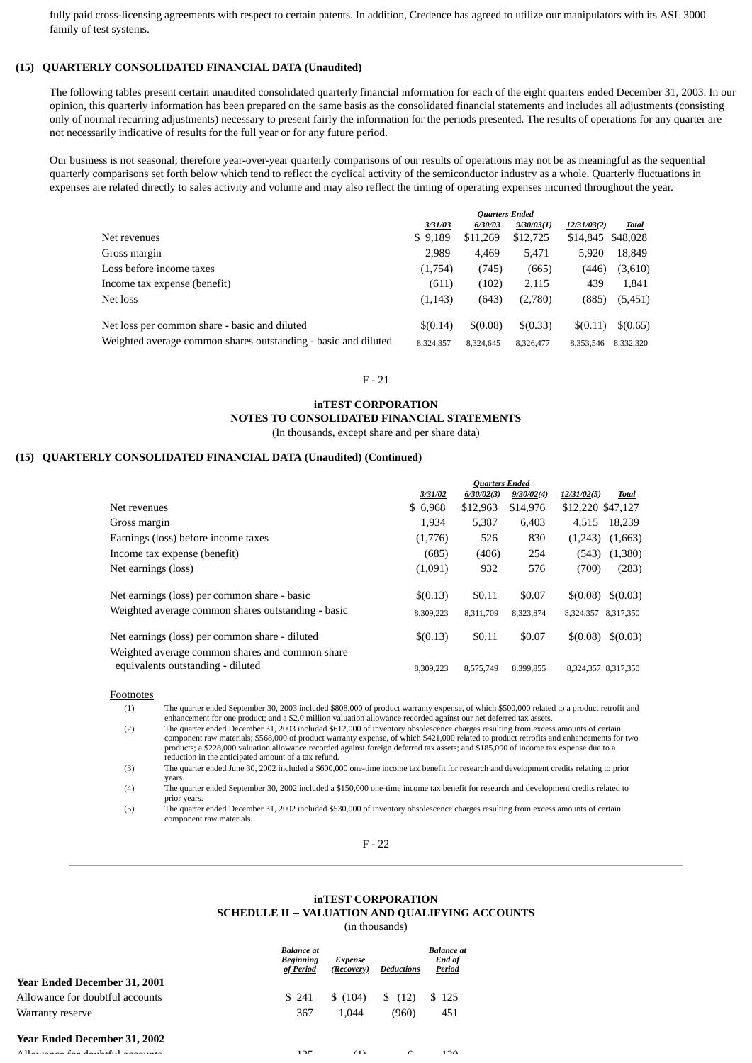fully paid cross-licensing agreements with respect to certain patents. In addition, Credence has agreed to utilize our manipulators with its ASL 3000 family of test systems.

#### **(15) QUARTERLY CONSOLIDATED FINANCIAL DATA (Unaudited)**

The following tables present certain unaudited consolidated quarterly financial information for each of the eight quarters ended December 31, 2003. In our opinion, this quarterly information has been prepared on the same basis as the consolidated financial statements and includes all adjustments (consisting only of normal recurring adjustments) necessary to present fairly the information for the periods presented. The results of operations for any quarter are not necessarily indicative of results for the full year or for any future period.

Our business is not seasonal; therefore year-over-year quarterly comparisons of our results of operations may not be as meaningful as the sequential quarterly comparisons set forth below which tend to reflect the cyclical activity of the semiconductor industry as a whole. Quarterly fluctuations in expenses are related directly to sales activity and volume and may also reflect the timing of operating expenses incurred throughout the year.

|                                                                |           | <b>Ouarters Ended</b> |            |                   |           |
|----------------------------------------------------------------|-----------|-----------------------|------------|-------------------|-----------|
|                                                                | 3/31/03   | 6/30/03               | 9/30/03(1) | 12/31/03(2)       | Total     |
| Net revenues                                                   | \$9,189   | \$11,269              | \$12,725   | \$14,845 \$48,028 |           |
| Gross margin                                                   | 2,989     | 4.469                 | 5.471      | 5.920             | 18,849    |
| Loss before income taxes                                       | (1,754)   | (745)                 | (665)      | (446)             | (3,610)   |
| Income tax expense (benefit)                                   | (611)     | (102)                 | 2,115      | 439               | 1,841     |
| Net loss                                                       | (1, 143)  | (643)                 | (2,780)    | (885)             | (5,451)   |
| Net loss per common share - basic and diluted                  | \$(0.14)  | \$(0.08)              | \$(0.33)   | \$(0.11)          | \$(0.65)  |
| Weighted average common shares outstanding - basic and diluted | 8.324.357 | 8.324.645             | 8,326,477  | 8.353.546         | 8,332,320 |

#### F - 21

# **inTEST CORPORATION**

**NOTES TO CONSOLIDATED FINANCIAL STATEMENTS**

(In thousands, except share and per share data)

#### **(15) QUARTERLY CONSOLIDATED FINANCIAL DATA (Unaudited) (Continued)**

|                                                                                                   |                       | <b>Quarters Ended</b> |            |                     |           |
|---------------------------------------------------------------------------------------------------|-----------------------|-----------------------|------------|---------------------|-----------|
|                                                                                                   | <i><b>3/31/02</b></i> | 6/30/02(3)            | 9/30/02(4) | 12/31/02(5)         | Total     |
| Net revenues                                                                                      | \$6,968               | \$12,963              | \$14,976   | \$12,220 \$47,127   |           |
| Gross margin                                                                                      | 1.934                 | 5,387                 | 6.403      | 4.515               | 18,239    |
| Earnings (loss) before income taxes                                                               | (1,776)               | 526                   | 830        | (1,243)             | (1,663)   |
| Income tax expense (benefit)                                                                      | (685)                 | (406)                 | 254        | (543)               | (1,380)   |
| Net earnings (loss)                                                                               | (1,091)               | 932                   | 576        | (700)               | (283)     |
| Net earnings (loss) per common share - basic                                                      | \$(0.13)              | \$0.11                | \$0.07     | \$(0.08)            | \$(0.03)  |
| Weighted average common shares outstanding - basic                                                | 8,309,223             | 8,311,709             | 8,323,874  | 8,324,357           | 8,317,350 |
| Net earnings (loss) per common share - diluted<br>Weighted average common shares and common share | \$(0.13)              | \$0.11                | \$0.07     | \$(0.08)            | \$(0.03)  |
| equivalents outstanding - diluted                                                                 | 8,309,223             | 8,575,749             | 8,399,855  | 8,324,357 8,317,350 |           |

Footnotes

(1) The quarter ended September 30, 2003 included \$808,000 of product warranty expense, of which \$500,000 related to a product retrofit and enhancement for one product; and a \$2.0 million valuation allowance recorded against our net deferred tax assets.

(2) The quarter ended December 31, 2003 included \$612,000 of inventory obsolescence charges resulting from excess amounts of certain component raw materials; \$568,000 of product warranty expense, of which \$421,000 related to product retrofits and enhancements for two products; a \$228,000 valuation allowance recorded against foreign deferred tax assets; and \$185,000 of income tax expense due to a reduction in the anticipated amount of a tax refund.

(3) The quarter ended June 30, 2002 included a \$600,000 one-time income tax benefit for research and development credits relating to prior years.

(4) The quarter ended September 30, 2002 included a \$150,000 one-time income tax benefit for research and development credits related to prior years.

(5) The quarter ended December 31, 2002 included \$530,000 of inventory obsolescence charges resulting from excess amounts of certain component raw materials.

F - 22

## **inTEST CORPORATION SCHEDULE II -- VALUATION AND QUALIFYING ACCOUNTS**

(in thousands)

|                                 | <b>Balance at</b><br><b>Beginning</b><br>of Period | <b>Expense</b><br>(Recovery) | <b>Deductions</b> | <b>Balance</b> at<br>End of<br>Period |
|---------------------------------|----------------------------------------------------|------------------------------|-------------------|---------------------------------------|
| Year Ended December 31, 2001    |                                                    |                              |                   |                                       |
| Allowance for doubtful accounts | \$241                                              | \$(104)                      | (12)<br>\$        | \$125                                 |
| Warranty reserve                | 367                                                | 1.044                        | (960)             | 451                                   |
| Year Ended December 31, 2002    |                                                    |                              |                   |                                       |
| Allowango for doubtful accounts | 12E                                                | (1)                          | $\epsilon$        | 120                                   |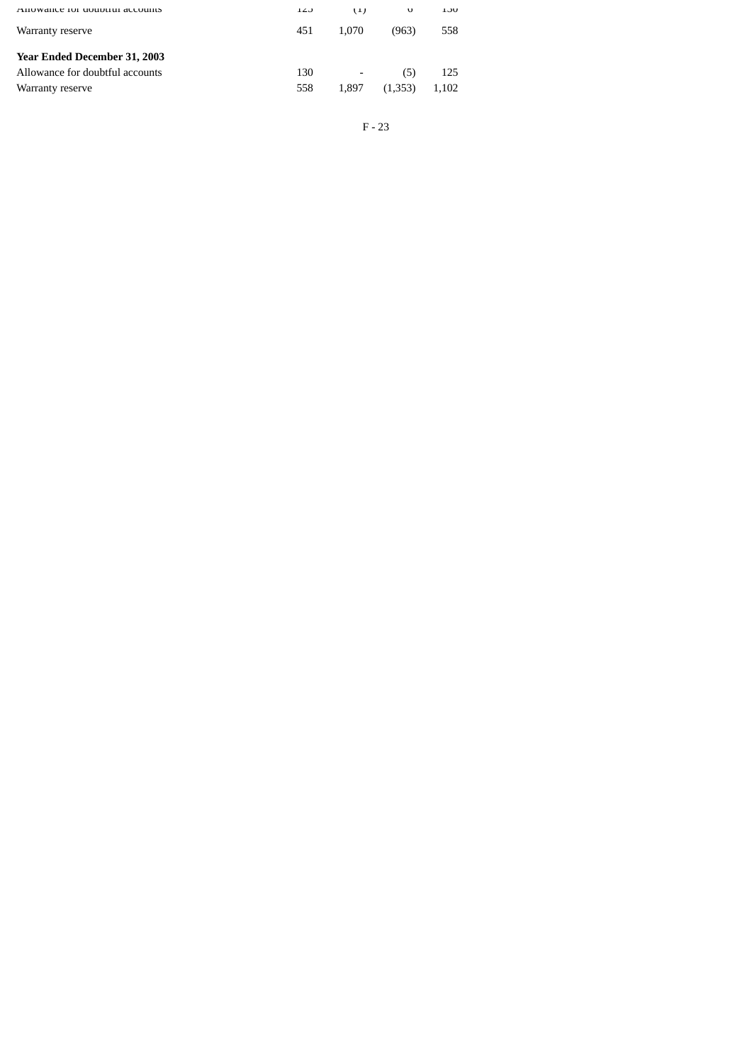| AHOWAILE TOI GOUDLIUI ACCOUIIIS | 140 | ( L J                    | υ       | <b>LJU</b> |
|---------------------------------|-----|--------------------------|---------|------------|
| Warranty reserve                | 451 | 1.070                    | (963)   | 558        |
| Year Ended December 31, 2003    |     |                          |         |            |
| Allowance for doubtful accounts | 130 | $\overline{\phantom{a}}$ | (5)     | 125        |
| Warranty reserve                | 558 | 1.897                    | (1,353) | 1.102      |
|                                 |     |                          |         |            |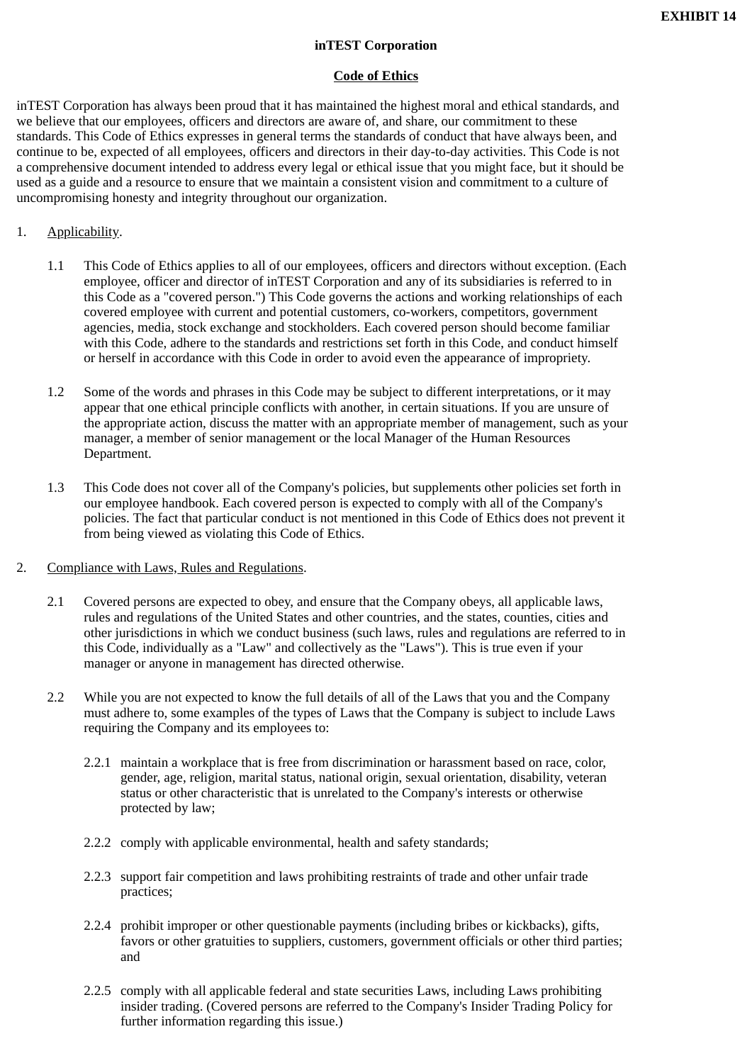# **inTEST Corporation**

# **Code of Ethics**

inTEST Corporation has always been proud that it has maintained the highest moral and ethical standards, and we believe that our employees, officers and directors are aware of, and share, our commitment to these standards. This Code of Ethics expresses in general terms the standards of conduct that have always been, and continue to be, expected of all employees, officers and directors in their day-to-day activities. This Code is not a comprehensive document intended to address every legal or ethical issue that you might face, but it should be used as a guide and a resource to ensure that we maintain a consistent vision and commitment to a culture of uncompromising honesty and integrity throughout our organization.

# 1. Applicability.

- 1.1 This Code of Ethics applies to all of our employees, officers and directors without exception. (Each employee, officer and director of inTEST Corporation and any of its subsidiaries is referred to in this Code as a "covered person.") This Code governs the actions and working relationships of each covered employee with current and potential customers, co-workers, competitors, government agencies, media, stock exchange and stockholders. Each covered person should become familiar with this Code, adhere to the standards and restrictions set forth in this Code, and conduct himself or herself in accordance with this Code in order to avoid even the appearance of impropriety.
- 1.2 Some of the words and phrases in this Code may be subject to different interpretations, or it may appear that one ethical principle conflicts with another, in certain situations. If you are unsure of the appropriate action, discuss the matter with an appropriate member of management, such as your manager, a member of senior management or the local Manager of the Human Resources Department.
- 1.3 This Code does not cover all of the Company's policies, but supplements other policies set forth in our employee handbook. Each covered person is expected to comply with all of the Company's policies. The fact that particular conduct is not mentioned in this Code of Ethics does not prevent it from being viewed as violating this Code of Ethics.
- 2. Compliance with Laws, Rules and Regulations.
	- 2.1 Covered persons are expected to obey, and ensure that the Company obeys, all applicable laws, rules and regulations of the United States and other countries, and the states, counties, cities and other jurisdictions in which we conduct business (such laws, rules and regulations are referred to in this Code, individually as a "Law" and collectively as the "Laws"). This is true even if your manager or anyone in management has directed otherwise.
	- 2.2 While you are not expected to know the full details of all of the Laws that you and the Company must adhere to, some examples of the types of Laws that the Company is subject to include Laws requiring the Company and its employees to:
		- 2.2.1 maintain a workplace that is free from discrimination or harassment based on race, color, gender, age, religion, marital status, national origin, sexual orientation, disability, veteran status or other characteristic that is unrelated to the Company's interests or otherwise protected by law;
		- 2.2.2 comply with applicable environmental, health and safety standards;
		- 2.2.3 support fair competition and laws prohibiting restraints of trade and other unfair trade practices;
		- 2.2.4 prohibit improper or other questionable payments (including bribes or kickbacks), gifts, favors or other gratuities to suppliers, customers, government officials or other third parties; and
		- 2.2.5 comply with all applicable federal and state securities Laws, including Laws prohibiting insider trading. (Covered persons are referred to the Company's Insider Trading Policy for further information regarding this issue.)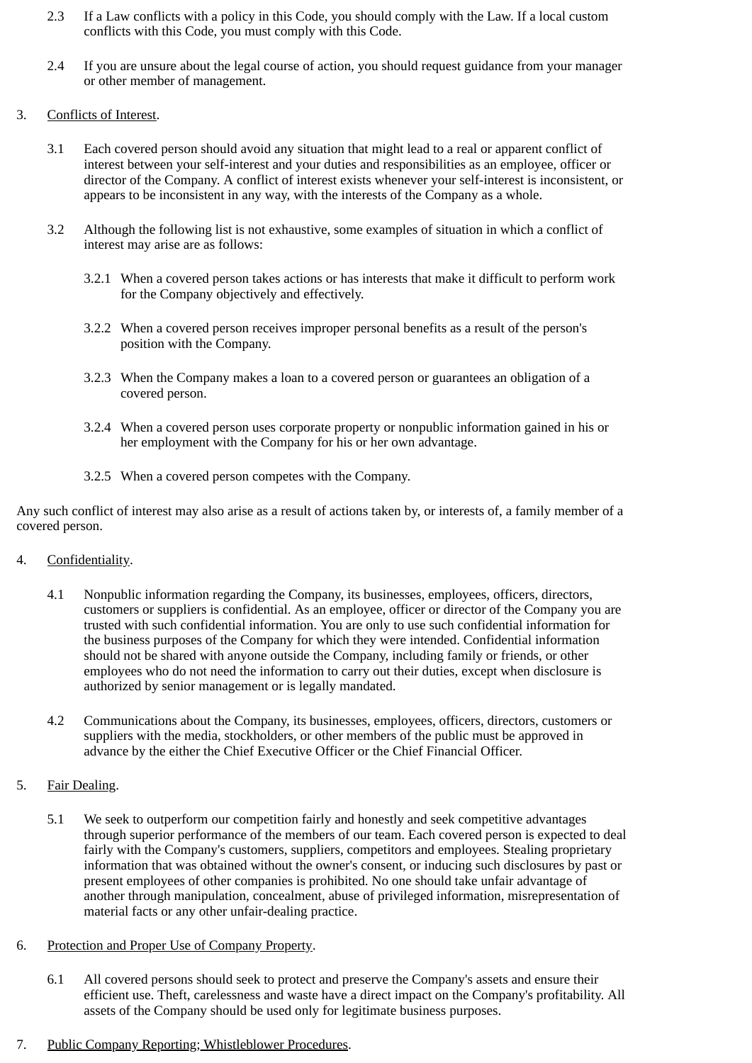- 2.3 If a Law conflicts with a policy in this Code, you should comply with the Law. If a local custom conflicts with this Code, you must comply with this Code.
- 2.4 If you are unsure about the legal course of action, you should request guidance from your manager or other member of management.
- 3. Conflicts of Interest.
	- 3.1 Each covered person should avoid any situation that might lead to a real or apparent conflict of interest between your self-interest and your duties and responsibilities as an employee, officer or director of the Company. A conflict of interest exists whenever your self-interest is inconsistent, or appears to be inconsistent in any way, with the interests of the Company as a whole.
	- 3.2 Although the following list is not exhaustive, some examples of situation in which a conflict of interest may arise are as follows:
		- 3.2.1 When a covered person takes actions or has interests that make it difficult to perform work for the Company objectively and effectively.
		- 3.2.2 When a covered person receives improper personal benefits as a result of the person's position with the Company.
		- 3.2.3 When the Company makes a loan to a covered person or guarantees an obligation of a covered person.
		- 3.2.4 When a covered person uses corporate property or nonpublic information gained in his or her employment with the Company for his or her own advantage.
		- 3.2.5 When a covered person competes with the Company.

Any such conflict of interest may also arise as a result of actions taken by, or interests of, a family member of a covered person.

- 4. Confidentiality.
	- 4.1 Nonpublic information regarding the Company, its businesses, employees, officers, directors, customers or suppliers is confidential. As an employee, officer or director of the Company you are trusted with such confidential information. You are only to use such confidential information for the business purposes of the Company for which they were intended. Confidential information should not be shared with anyone outside the Company, including family or friends, or other employees who do not need the information to carry out their duties, except when disclosure is authorized by senior management or is legally mandated.
	- 4.2 Communications about the Company, its businesses, employees, officers, directors, customers or suppliers with the media, stockholders, or other members of the public must be approved in advance by the either the Chief Executive Officer or the Chief Financial Officer.
- 5. Fair Dealing.
	- 5.1 We seek to outperform our competition fairly and honestly and seek competitive advantages through superior performance of the members of our team. Each covered person is expected to deal fairly with the Company's customers, suppliers, competitors and employees. Stealing proprietary information that was obtained without the owner's consent, or inducing such disclosures by past or present employees of other companies is prohibited. No one should take unfair advantage of another through manipulation, concealment, abuse of privileged information, misrepresentation of material facts or any other unfair-dealing practice.
- 6. Protection and Proper Use of Company Property.
	- 6.1 All covered persons should seek to protect and preserve the Company's assets and ensure their efficient use. Theft, carelessness and waste have a direct impact on the Company's profitability. All assets of the Company should be used only for legitimate business purposes.
- 7. Public Company Reporting; Whistleblower Procedures.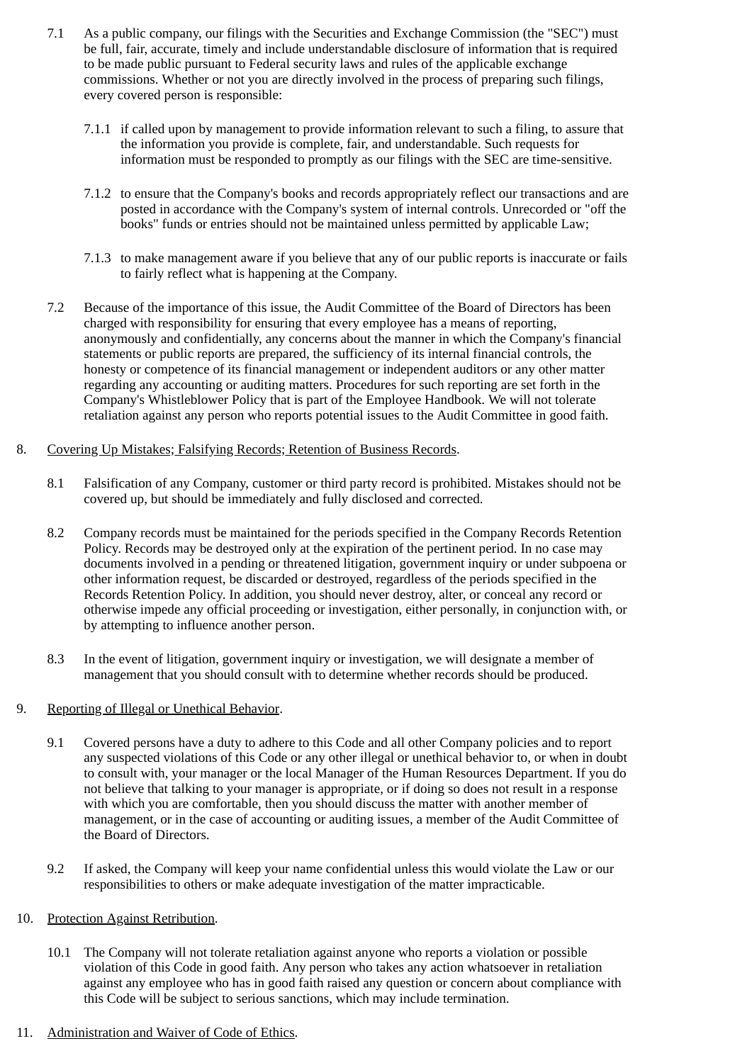- 7.1 As a public company, our filings with the Securities and Exchange Commission (the "SEC") must be full, fair, accurate, timely and include understandable disclosure of information that is required to be made public pursuant to Federal security laws and rules of the applicable exchange commissions. Whether or not you are directly involved in the process of preparing such filings, every covered person is responsible:
	- 7.1.1 if called upon by management to provide information relevant to such a filing, to assure that the information you provide is complete, fair, and understandable. Such requests for information must be responded to promptly as our filings with the SEC are time-sensitive.
	- 7.1.2 to ensure that the Company's books and records appropriately reflect our transactions and are posted in accordance with the Company's system of internal controls. Unrecorded or "off the books" funds or entries should not be maintained unless permitted by applicable Law;
	- 7.1.3 to make management aware if you believe that any of our public reports is inaccurate or fails to fairly reflect what is happening at the Company.
- 7.2 Because of the importance of this issue, the Audit Committee of the Board of Directors has been charged with responsibility for ensuring that every employee has a means of reporting, anonymously and confidentially, any concerns about the manner in which the Company's financial statements or public reports are prepared, the sufficiency of its internal financial controls, the honesty or competence of its financial management or independent auditors or any other matter regarding any accounting or auditing matters. Procedures for such reporting are set forth in the Company's Whistleblower Policy that is part of the Employee Handbook. We will not tolerate retaliation against any person who reports potential issues to the Audit Committee in good faith.
- 8. Covering Up Mistakes; Falsifying Records; Retention of Business Records.
	- 8.1 Falsification of any Company, customer or third party record is prohibited. Mistakes should not be covered up, but should be immediately and fully disclosed and corrected.
	- 8.2 Company records must be maintained for the periods specified in the Company Records Retention Policy. Records may be destroyed only at the expiration of the pertinent period. In no case may documents involved in a pending or threatened litigation, government inquiry or under subpoena or other information request, be discarded or destroyed, regardless of the periods specified in the Records Retention Policy. In addition, you should never destroy, alter, or conceal any record or otherwise impede any official proceeding or investigation, either personally, in conjunction with, or by attempting to influence another person.
	- 8.3 In the event of litigation, government inquiry or investigation, we will designate a member of management that you should consult with to determine whether records should be produced.

# 9. Reporting of Illegal or Unethical Behavior.

- 9.1 Covered persons have a duty to adhere to this Code and all other Company policies and to report any suspected violations of this Code or any other illegal or unethical behavior to, or when in doubt to consult with, your manager or the local Manager of the Human Resources Department. If you do not believe that talking to your manager is appropriate, or if doing so does not result in a response with which you are comfortable, then you should discuss the matter with another member of management, or in the case of accounting or auditing issues, a member of the Audit Committee of the Board of Directors.
- 9.2 If asked, the Company will keep your name confidential unless this would violate the Law or our responsibilities to others or make adequate investigation of the matter impracticable.
- 10. Protection Against Retribution.
	- 10.1 The Company will not tolerate retaliation against anyone who reports a violation or possible violation of this Code in good faith. Any person who takes any action whatsoever in retaliation against any employee who has in good faith raised any question or concern about compliance with this Code will be subject to serious sanctions, which may include termination.
- 11. Administration and Waiver of Code of Ethics.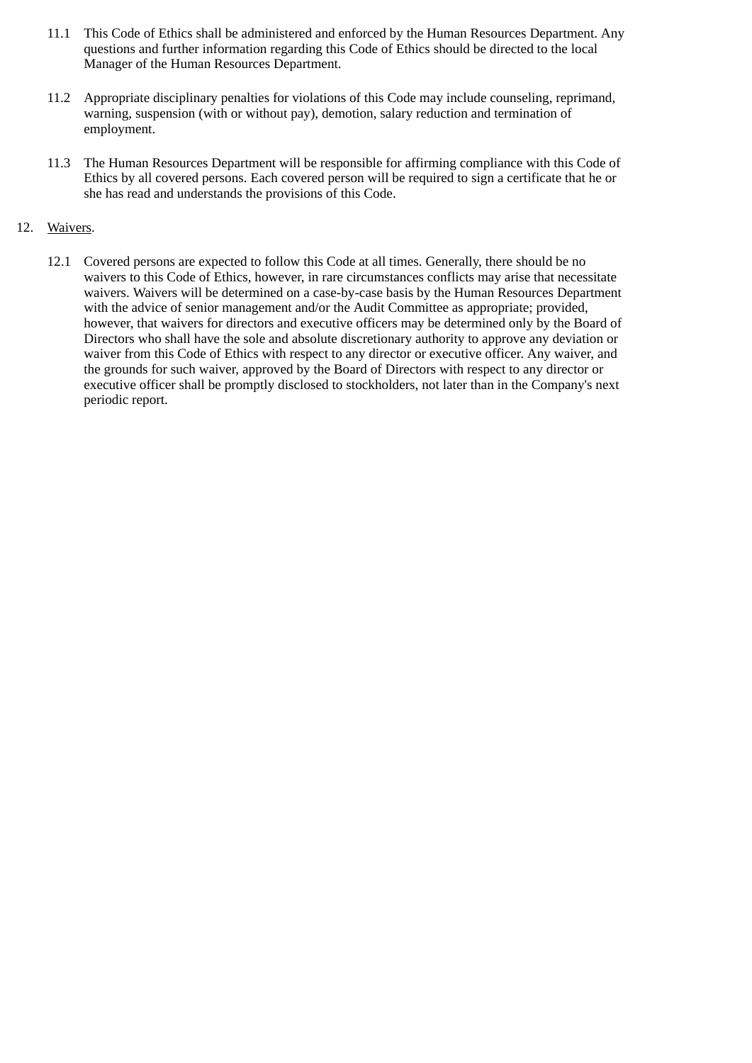- 11.1 This Code of Ethics shall be administered and enforced by the Human Resources Department. Any questions and further information regarding this Code of Ethics should be directed to the local Manager of the Human Resources Department.
- 11.2 Appropriate disciplinary penalties for violations of this Code may include counseling, reprimand, warning, suspension (with or without pay), demotion, salary reduction and termination of employment.
- 11.3 The Human Resources Department will be responsible for affirming compliance with this Code of Ethics by all covered persons. Each covered person will be required to sign a certificate that he or she has read and understands the provisions of this Code.

# 12. Waivers.

12.1 Covered persons are expected to follow this Code at all times. Generally, there should be no waivers to this Code of Ethics, however, in rare circumstances conflicts may arise that necessitate waivers. Waivers will be determined on a case-by-case basis by the Human Resources Department with the advice of senior management and/or the Audit Committee as appropriate; provided, however, that waivers for directors and executive officers may be determined only by the Board of Directors who shall have the sole and absolute discretionary authority to approve any deviation or waiver from this Code of Ethics with respect to any director or executive officer. Any waiver, and the grounds for such waiver, approved by the Board of Directors with respect to any director or executive officer shall be promptly disclosed to stockholders, not later than in the Company's next periodic report.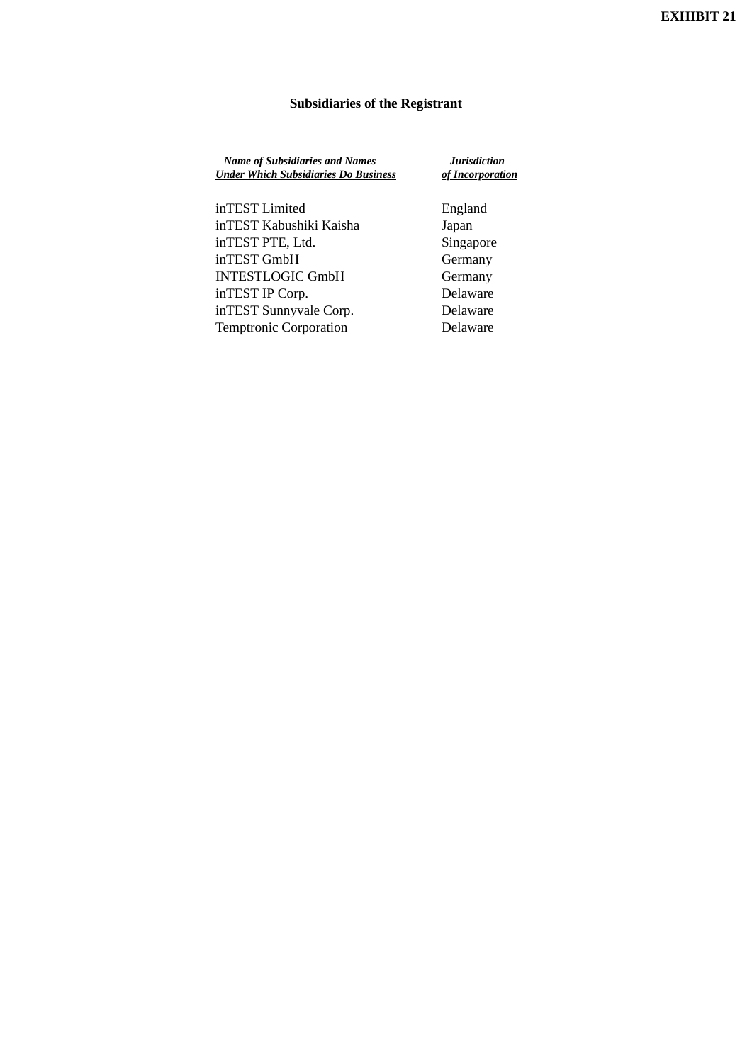# **Subsidiaries of the Registrant**

| <b>Name of Subsidiaries and Names</b><br><b>Under Which Subsidiaries Do Business</b> | Jurisdiction<br>of Incorporation |  |  |  |
|--------------------------------------------------------------------------------------|----------------------------------|--|--|--|
| inTEST Limited                                                                       | England                          |  |  |  |
| inTEST Kabushiki Kaisha                                                              | Japan                            |  |  |  |
| inTEST PTE, Ltd.                                                                     | Singapore                        |  |  |  |
| inTEST GmbH                                                                          | Germany                          |  |  |  |
| <b>INTESTLOGIC GmbH</b>                                                              | Germany                          |  |  |  |
| inTEST IP Corp.                                                                      | Delaware                         |  |  |  |

inTEST Sunnyvale Corp. Delaware Temptronic Corporation **Delaware**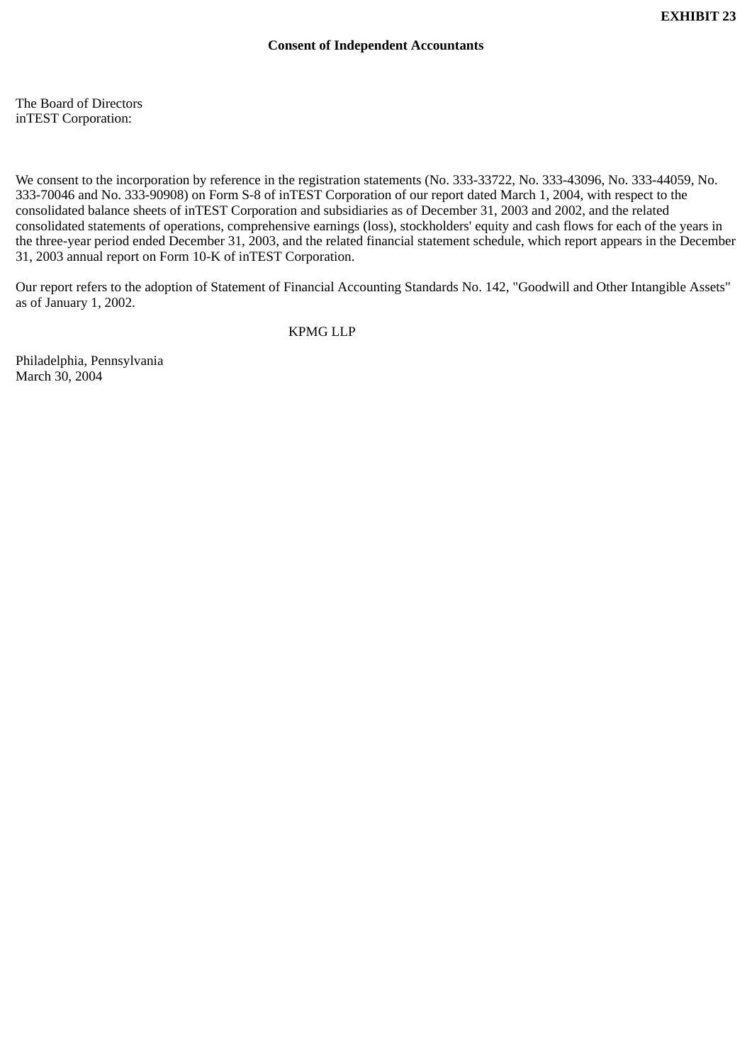The Board of Directors inTEST Corporation:

We consent to the incorporation by reference in the registration statements (No. 333-33722, No. 333-43096, No. 333-44059, No. 333-70046 and No. 333-90908) on Form S-8 of inTEST Corporation of our report dated March 1, 2004, with respect to the consolidated balance sheets of inTEST Corporation and subsidiaries as of December 31, 2003 and 2002, and the related consolidated statements of operations, comprehensive earnings (loss), stockholders' equity and cash flows for each of the years in the three-year period ended December 31, 2003, and the related financial statement schedule, which report appears in the December 31, 2003 annual report on Form 10-K of inTEST Corporation.

Our report refers to the adoption of Statement of Financial Accounting Standards No. 142, "Goodwill and Other Intangible Assets" as of January 1, 2002.

KPMG LLP

Philadelphia, Pennsylvania March 30, 2004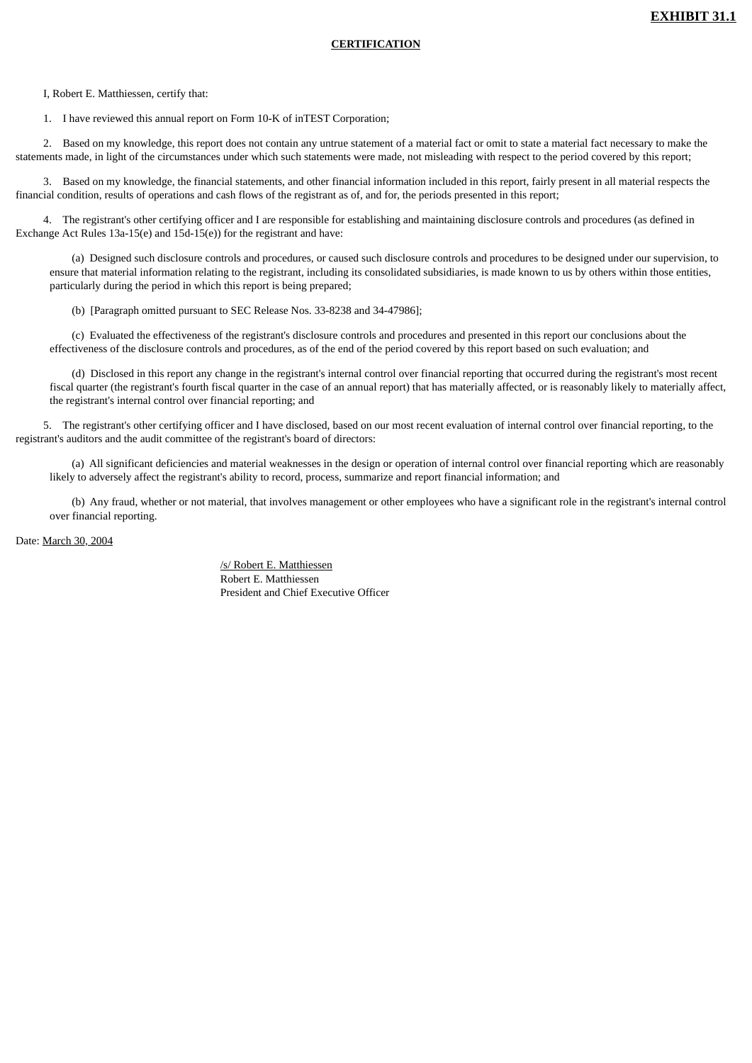#### **CERTIFICATION**

I, Robert E. Matthiessen, certify that:

1. I have reviewed this annual report on Form 10-K of inTEST Corporation;

 2. Based on my knowledge, this report does not contain any untrue statement of a material fact or omit to state a material fact necessary to make the statements made, in light of the circumstances under which such statements were made, not misleading with respect to the period covered by this report;

 3. Based on my knowledge, the financial statements, and other financial information included in this report, fairly present in all material respects the financial condition, results of operations and cash flows of the registrant as of, and for, the periods presented in this report;

 4. The registrant's other certifying officer and I are responsible for establishing and maintaining disclosure controls and procedures (as defined in Exchange Act Rules 13a-15(e) and 15d-15(e)) for the registrant and have:

 (a) Designed such disclosure controls and procedures, or caused such disclosure controls and procedures to be designed under our supervision, to ensure that material information relating to the registrant, including its consolidated subsidiaries, is made known to us by others within those entities, particularly during the period in which this report is being prepared;

(b) [Paragraph omitted pursuant to SEC Release Nos. 33-8238 and 34-47986];

 (c) Evaluated the effectiveness of the registrant's disclosure controls and procedures and presented in this report our conclusions about the effectiveness of the disclosure controls and procedures, as of the end of the period covered by this report based on such evaluation; and

 (d) Disclosed in this report any change in the registrant's internal control over financial reporting that occurred during the registrant's most recent fiscal quarter (the registrant's fourth fiscal quarter in the case of an annual report) that has materially affected, or is reasonably likely to materially affect, the registrant's internal control over financial reporting; and

 5. The registrant's other certifying officer and I have disclosed, based on our most recent evaluation of internal control over financial reporting, to the registrant's auditors and the audit committee of the registrant's board of directors:

 (a) All significant deficiencies and material weaknesses in the design or operation of internal control over financial reporting which are reasonably likely to adversely affect the registrant's ability to record, process, summarize and report financial information; and

 (b) Any fraud, whether or not material, that involves management or other employees who have a significant role in the registrant's internal control over financial reporting.

Date: March 30, 2004

/s/ Robert E. Matthiessen Robert E. Matthiessen President and Chief Executive Officer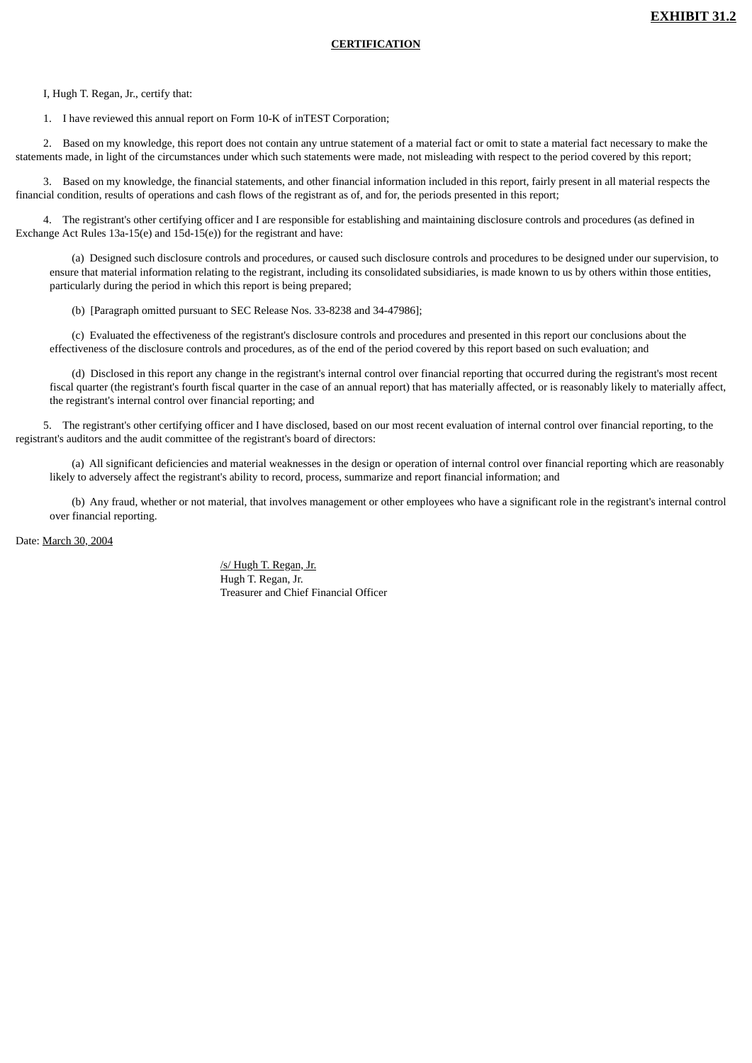I, Hugh T. Regan, Jr., certify that:

1. I have reviewed this annual report on Form 10-K of inTEST Corporation;

 2. Based on my knowledge, this report does not contain any untrue statement of a material fact or omit to state a material fact necessary to make the statements made, in light of the circumstances under which such statements were made, not misleading with respect to the period covered by this report;

 3. Based on my knowledge, the financial statements, and other financial information included in this report, fairly present in all material respects the financial condition, results of operations and cash flows of the registrant as of, and for, the periods presented in this report;

 4. The registrant's other certifying officer and I are responsible for establishing and maintaining disclosure controls and procedures (as defined in Exchange Act Rules 13a-15(e) and 15d-15(e)) for the registrant and have:

 (a) Designed such disclosure controls and procedures, or caused such disclosure controls and procedures to be designed under our supervision, to ensure that material information relating to the registrant, including its consolidated subsidiaries, is made known to us by others within those entities, particularly during the period in which this report is being prepared;

(b) [Paragraph omitted pursuant to SEC Release Nos. 33-8238 and 34-47986];

 (c) Evaluated the effectiveness of the registrant's disclosure controls and procedures and presented in this report our conclusions about the effectiveness of the disclosure controls and procedures, as of the end of the period covered by this report based on such evaluation; and

 (d) Disclosed in this report any change in the registrant's internal control over financial reporting that occurred during the registrant's most recent fiscal quarter (the registrant's fourth fiscal quarter in the case of an annual report) that has materially affected, or is reasonably likely to materially affect, the registrant's internal control over financial reporting; and

 5. The registrant's other certifying officer and I have disclosed, based on our most recent evaluation of internal control over financial reporting, to the registrant's auditors and the audit committee of the registrant's board of directors:

 (a) All significant deficiencies and material weaknesses in the design or operation of internal control over financial reporting which are reasonably likely to adversely affect the registrant's ability to record, process, summarize and report financial information; and

 (b) Any fraud, whether or not material, that involves management or other employees who have a significant role in the registrant's internal control over financial reporting.

Date: March 30, 2004

/s/ Hugh T. Regan, Jr. Hugh T. Regan, Jr. Treasurer and Chief Financial Officer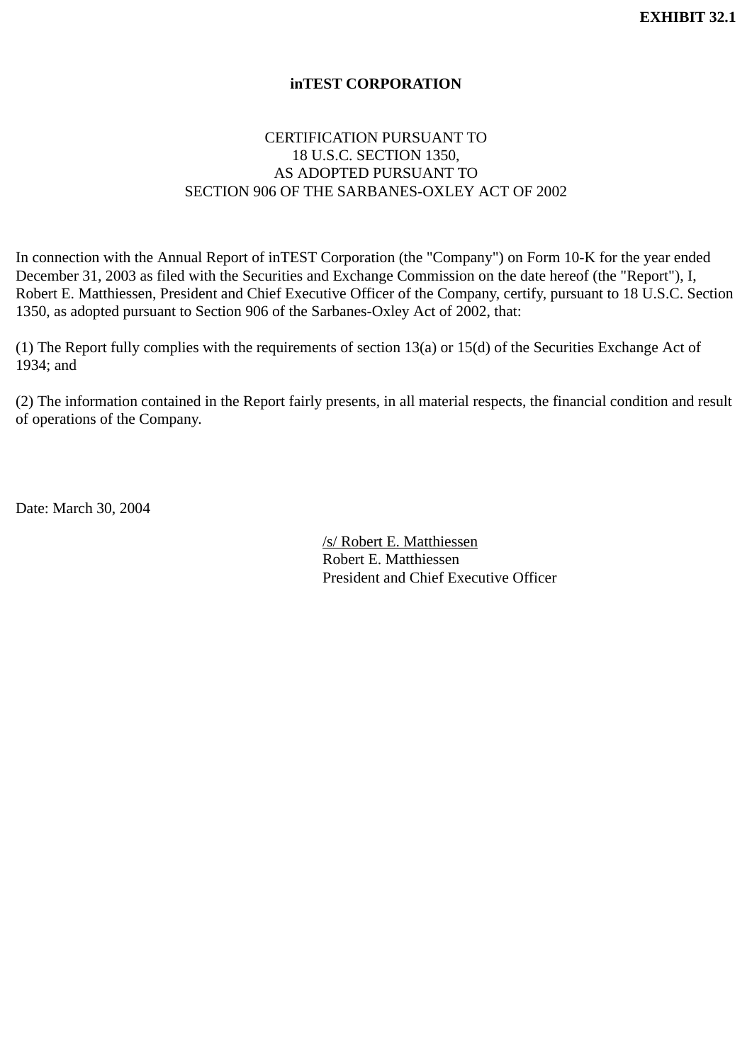# **inTEST CORPORATION**

# CERTIFICATION PURSUANT TO 18 U.S.C. SECTION 1350, AS ADOPTED PURSUANT TO SECTION 906 OF THE SARBANES-OXLEY ACT OF 2002

In connection with the Annual Report of inTEST Corporation (the "Company") on Form 10-K for the year ended December 31, 2003 as filed with the Securities and Exchange Commission on the date hereof (the "Report"), I, Robert E. Matthiessen, President and Chief Executive Officer of the Company, certify, pursuant to 18 U.S.C. Section 1350, as adopted pursuant to Section 906 of the Sarbanes-Oxley Act of 2002, that:

(1) The Report fully complies with the requirements of section 13(a) or 15(d) of the Securities Exchange Act of 1934; and

(2) The information contained in the Report fairly presents, in all material respects, the financial condition and result of operations of the Company.

Date: March 30, 2004

/s/ Robert E. Matthiessen Robert E. Matthiessen President and Chief Executive Officer